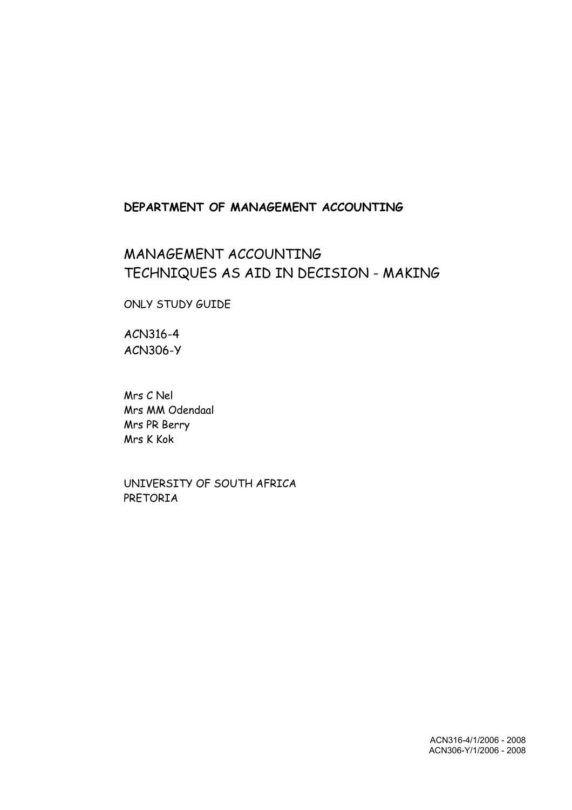## **DEPARTMENT OF MANAGEMENT ACCOUNTING**

## MANAGEMENT ACCOUNTING TECHNIQUES AS AID IN DECISION - MAKING

ONLY STUDY GUIDE

ACN316-4 ACN306-Y

Mrs C Nel Mrs MM Odendaal Mrs PR Berry Mrs K Kok

UNIVERSITY OF SOUTH AFRICA PRETORIA

> ACN316-4/1/2006 - 2008 ACN306-Y/1/2006 - 2008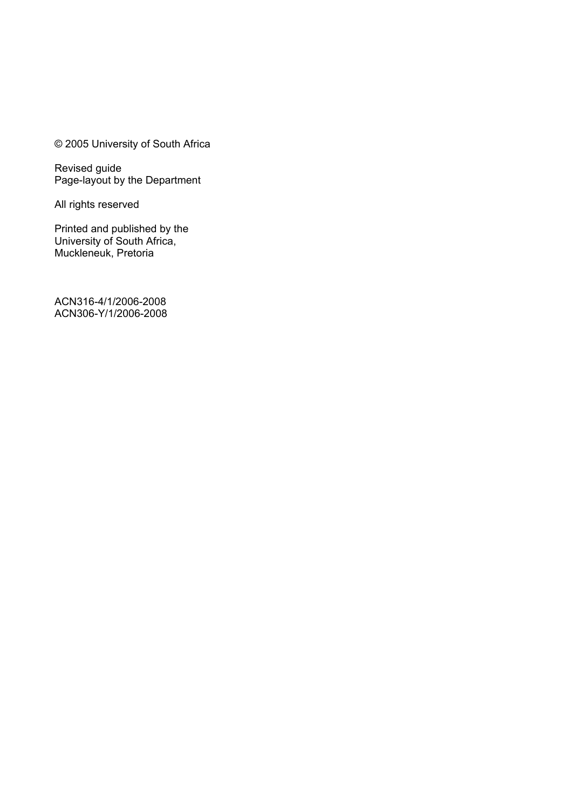© 2005 University of South Africa

Revised guide Page-layout by the Department

All rights reserved

Printed and published by the University of South Africa, Muckleneuk, Pretoria

ACN316-4/1/2006-2008 ACN306-Y/1/2006-2008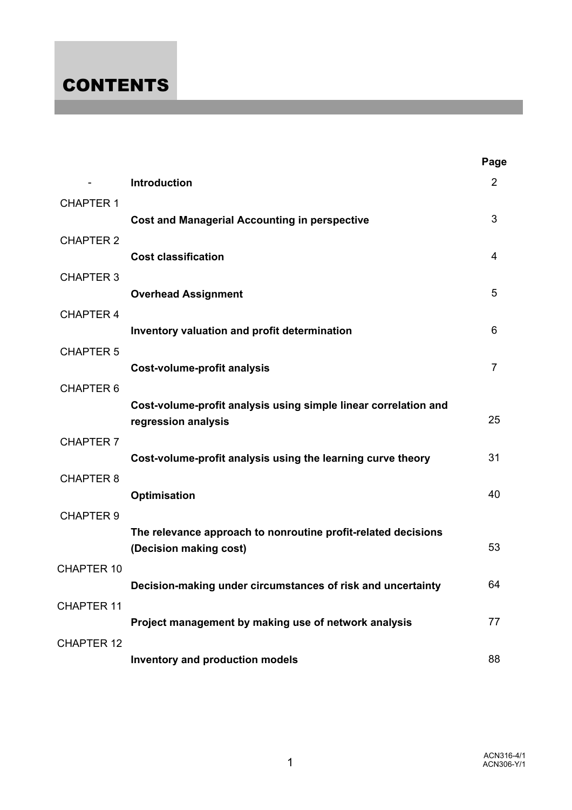# **CONTENTS**

|                   |                                                                                        | Page           |
|-------------------|----------------------------------------------------------------------------------------|----------------|
|                   | Introduction                                                                           | $\overline{2}$ |
| <b>CHAPTER 1</b>  | <b>Cost and Managerial Accounting in perspective</b>                                   | 3              |
| <b>CHAPTER 2</b>  | <b>Cost classification</b>                                                             | 4              |
| <b>CHAPTER 3</b>  |                                                                                        | 5              |
| <b>CHAPTER 4</b>  | <b>Overhead Assignment</b>                                                             |                |
| <b>CHAPTER 5</b>  | Inventory valuation and profit determination                                           | 6              |
|                   | Cost-volume-profit analysis                                                            | $\overline{7}$ |
| <b>CHAPTER 6</b>  | Cost-volume-profit analysis using simple linear correlation and<br>regression analysis | 25             |
| <b>CHAPTER 7</b>  | Cost-volume-profit analysis using the learning curve theory                            | 31             |
| <b>CHAPTER 8</b>  | <b>Optimisation</b>                                                                    | 40             |
| <b>CHAPTER 9</b>  | The relevance approach to nonroutine profit-related decisions                          |                |
|                   | (Decision making cost)                                                                 | 53             |
| <b>CHAPTER 10</b> | Decision-making under circumstances of risk and uncertainty                            | 64             |
| <b>CHAPTER 11</b> | Project management by making use of network analysis                                   | 77             |
| <b>CHAPTER 12</b> |                                                                                        |                |
|                   | Inventory and production models                                                        | 88             |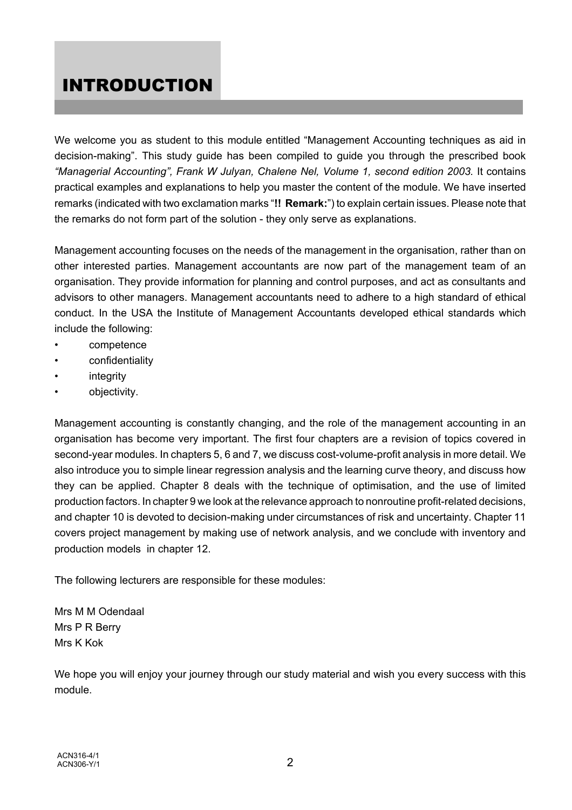## INTRODUCTION

We welcome you as student to this module entitled "Management Accounting techniques as aid in decision-making". This study guide has been compiled to guide you through the prescribed book *"Managerial Accounting", Frank W Julyan, Chalene Nel, Volume 1, second edition 2003.* It contains practical examples and explanations to help you master the content of the module. We have inserted remarks (indicated with two exclamation marks "**!! Remark:**") to explain certain issues. Please note that the remarks do not form part of the solution - they only serve as explanations.

Management accounting focuses on the needs of the management in the organisation, rather than on other interested parties. Management accountants are now part of the management team of an organisation. They provide information for planning and control purposes, and act as consultants and advisors to other managers. Management accountants need to adhere to a high standard of ethical conduct. In the USA the Institute of Management Accountants developed ethical standards which include the following:

- competence
- confidentiality
- **integrity**
- objectivity.

Management accounting is constantly changing, and the role of the management accounting in an organisation has become very important. The first four chapters are a revision of topics covered in second-year modules. In chapters 5, 6 and 7, we discuss cost-volume-profit analysis in more detail. We also introduce you to simple linear regression analysis and the learning curve theory, and discuss how they can be applied. Chapter 8 deals with the technique of optimisation, and the use of limited production factors. In chapter 9 we look at the relevance approach to nonroutine profit-related decisions, and chapter 10 is devoted to decision-making under circumstances of risk and uncertainty. Chapter 11 covers project management by making use of network analysis, and we conclude with inventory and production models in chapter 12.

The following lecturers are responsible for these modules:

Mrs M M Odendaal Mrs P R Berry Mrs K Kok

We hope you will enjoy your journey through our study material and wish you every success with this module.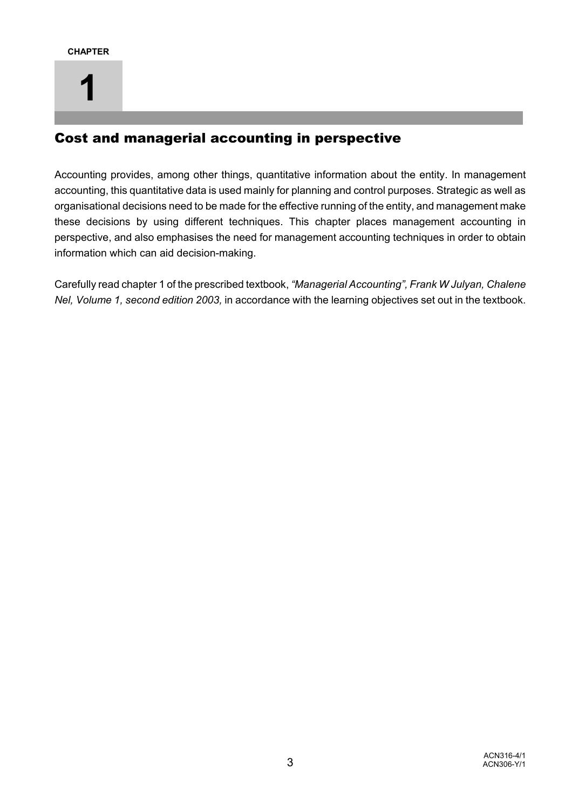## Cost and managerial accounting in perspective

Accounting provides, among other things, quantitative information about the entity. In management accounting, this quantitative data is used mainly for planning and control purposes. Strategic as well as organisational decisions need to be made for the effective running of the entity, and management make these decisions by using different techniques. This chapter places management accounting in perspective, and also emphasises the need for management accounting techniques in order to obtain information which can aid decision-making.

Carefully read chapter 1 of the prescribed textbook, *"Managerial Accounting", Frank W Julyan, Chalene Nel, Volume 1, second edition 2003,* in accordance with the learning objectives set out in the textbook.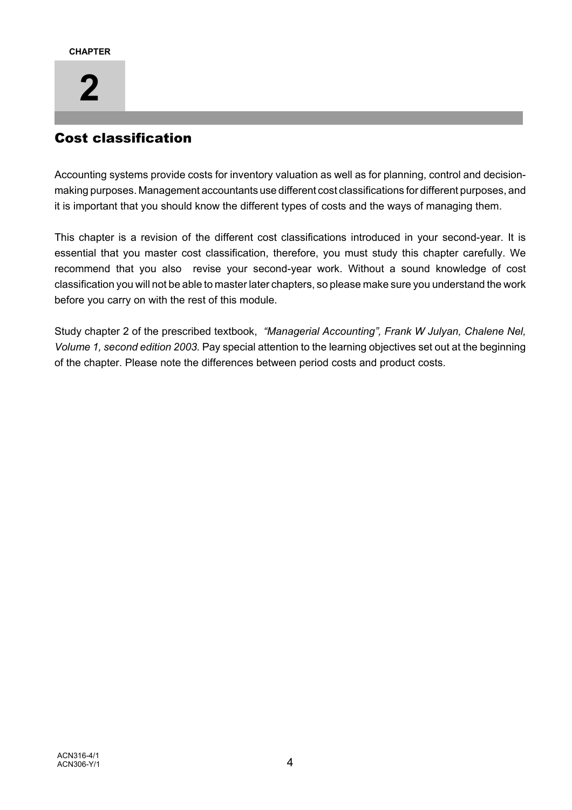# **2**

## Cost classification

Accounting systems provide costs for inventory valuation as well as for planning, control and decisionmaking purposes. Management accountants use different cost classifications for different purposes, and it is important that you should know the different types of costs and the ways of managing them.

This chapter is a revision of the different cost classifications introduced in your second-year. It is essential that you master cost classification, therefore, you must study this chapter carefully. We recommend that you also revise your second-year work. Without a sound knowledge of cost classification you will not be able to master later chapters, so please make sure you understand the work before you carry on with the rest of this module.

Study chapter 2 of the prescribed textbook, *"Managerial Accounting", Frank W Julyan, Chalene Nel, Volume 1, second edition 2003.* Pay special attention to the learning objectives set out at the beginning of the chapter. Please note the differences between period costs and product costs.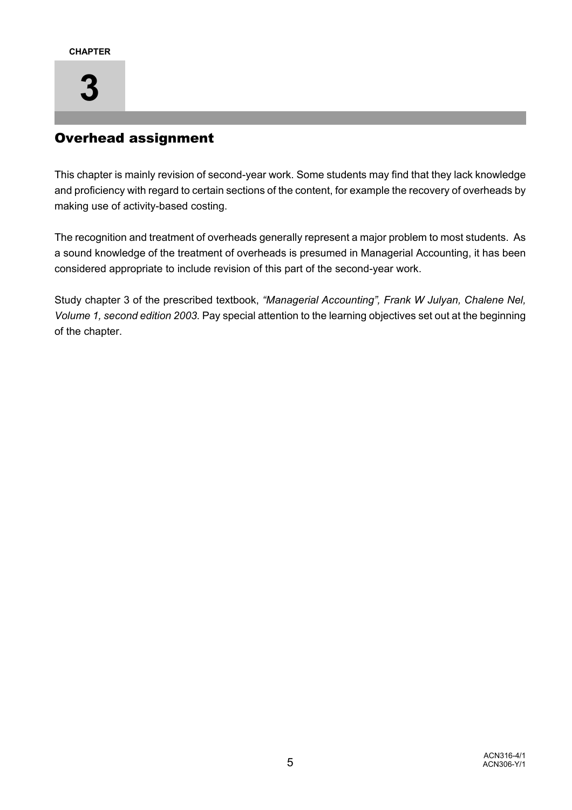

## Overhead assignment

This chapter is mainly revision of second-year work. Some students may find that they lack knowledge and proficiency with regard to certain sections of the content, for example the recovery of overheads by making use of activity-based costing.

The recognition and treatment of overheads generally represent a major problem to most students. As a sound knowledge of the treatment of overheads is presumed in Managerial Accounting, it has been considered appropriate to include revision of this part of the second-year work.

Study chapter 3 of the prescribed textbook, *"Managerial Accounting", Frank W Julyan, Chalene Nel, Volume 1, second edition 2003.* Pay special attention to the learning objectives set out at the beginning of the chapter.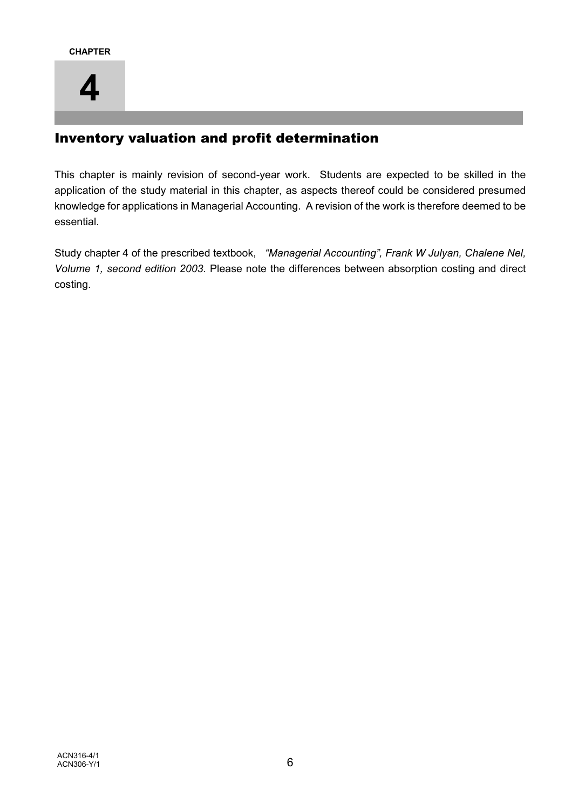

## Inventory valuation and profit determination

This chapter is mainly revision of second-year work. Students are expected to be skilled in the application of the study material in this chapter, as aspects thereof could be considered presumed knowledge for applications in Managerial Accounting. A revision of the work is therefore deemed to be essential.

Study chapter 4 of the prescribed textbook, *"Managerial Accounting", Frank W Julyan, Chalene Nel, Volume 1, second edition 2003.* Please note the differences between absorption costing and direct costing.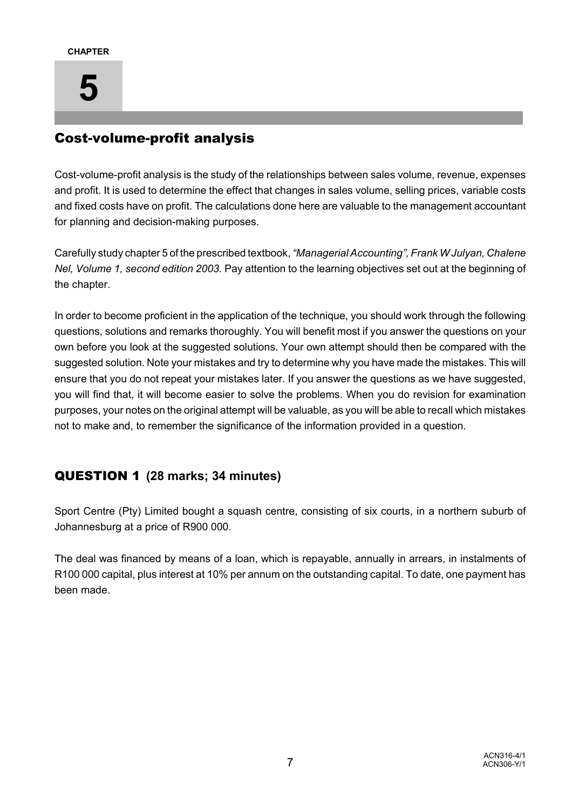# **5**

## Cost-volume-profit analysis

Cost-volume-profit analysis is the study of the relationships between sales volume, revenue, expenses and profit. It is used to determine the effect that changes in sales volume, selling prices, variable costs and fixed costs have on profit. The calculations done here are valuable to the management accountant for planning and decision-making purposes.

Carefully study chapter 5 of the prescribed textbook, *"Managerial Accounting", Frank W Julyan, Chalene Nel, Volume 1, second edition 2003.* Pay attention to the learning objectives set out at the beginning of the chapter.

In order to become proficient in the application of the technique, you should work through the following questions, solutions and remarks thoroughly. You will benefit most if you answer the questions on your own before you look at the suggested solutions. Your own attempt should then be compared with the suggested solution. Note your mistakes and try to determine why you have made the mistakes. This will ensure that you do not repeat your mistakes later. If you answer the questions as we have suggested, you will find that, it will become easier to solve the problems. When you do revision for examination purposes, your notes on the original attempt will be valuable, as you will be able to recall which mistakes not to make and, to remember the significance of the information provided in a question.

## QUESTION 1 **(28 marks; 34 minutes)**

Sport Centre (Pty) Limited bought a squash centre, consisting of six courts, in a northern suburb of Johannesburg at a price of R900 000.

The deal was financed by means of a loan, which is repayable, annually in arrears, in instalments of R100 000 capital, plus interest at 10% per annum on the outstanding capital. To date, one payment has been made.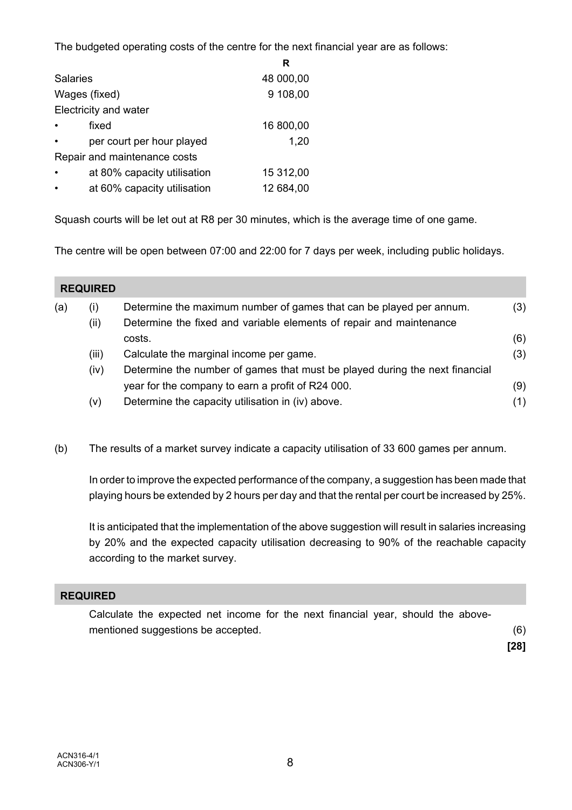The budgeted operating costs of the centre for the next financial year are as follows:

|                       |                              | R         |
|-----------------------|------------------------------|-----------|
| <b>Salaries</b>       |                              | 48 000,00 |
| Wages (fixed)         |                              | 9 108,00  |
| Electricity and water |                              |           |
| fixed<br>$\bullet$    |                              | 16 800,00 |
|                       | per court per hour played    | 1,20      |
|                       | Repair and maintenance costs |           |
| $\bullet$             | at 80% capacity utilisation  | 15 312,00 |
|                       | at 60% capacity utilisation  | 12 684,00 |

Squash courts will be let out at R8 per 30 minutes, which is the average time of one game.

The centre will be open between 07:00 and 22:00 for 7 days per week, including public holidays.

|     | <b>REQUIRED</b> |                                                                             |     |
|-----|-----------------|-----------------------------------------------------------------------------|-----|
| (a) | (i)             | Determine the maximum number of games that can be played per annum.         | (3) |
|     | (ii)            | Determine the fixed and variable elements of repair and maintenance         |     |
|     |                 | costs.                                                                      | (6) |
|     | (iii)           | Calculate the marginal income per game.                                     | (3) |
|     | (iv)            | Determine the number of games that must be played during the next financial |     |
|     |                 | year for the company to earn a profit of R24 000.                           | (9) |
|     | (v)             | Determine the capacity utilisation in (iv) above.                           | (1) |

(b) The results of a market survey indicate a capacity utilisation of 33 600 games per annum.

In order to improve the expected performance of the company, a suggestion has been made that playing hours be extended by 2 hours per day and that the rental per court be increased by 25%.

It is anticipated that the implementation of the above suggestion will result in salaries increasing by 20% and the expected capacity utilisation decreasing to 90% of the reachable capacity according to the market survey.

## **REQUIRED**

Calculate the expected net income for the next financial year, should the abovementioned suggestions be accepted. (6) **[28]**

ACN316-4/1  $ACN306-Y/1$   $8$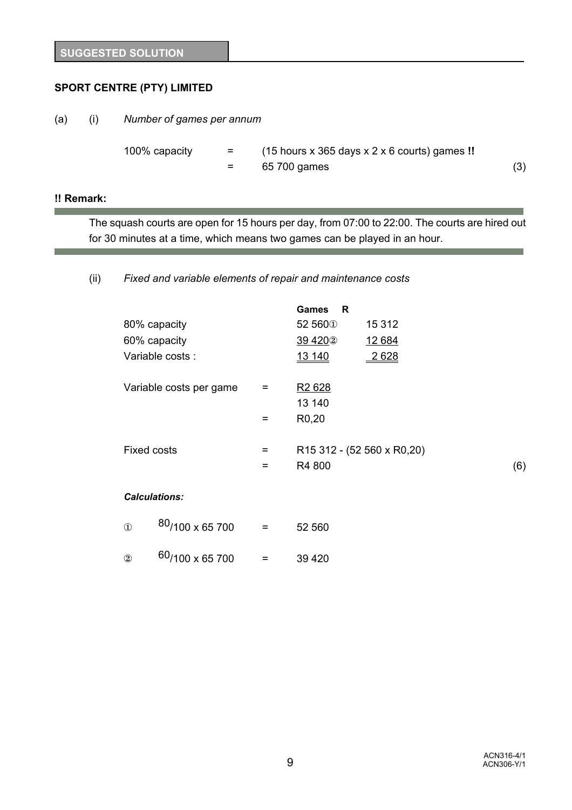## **SPORT CENTRE (PTY) LIMITED**

(a) (i) *Number of games per annum*

100% capacity = (15 hours x 365 days x 2 x 6 courts) games **!!**  $=$  65 700 games (3)

#### **!! Remark:**

The squash courts are open for 15 hours per day, from 07:00 to 22:00. The courts are hired out for 30 minutes at a time, which means two games can be played in an hour.

(ii) *Fixed and variable elements of repair and maintenance costs*

|                         |     | <b>Games</b><br>R   |                                                      |     |
|-------------------------|-----|---------------------|------------------------------------------------------|-----|
| 80% capacity            |     | 52 560 <sup>0</sup> | 15 3 12                                              |     |
| 60% capacity            |     | 39 4 20 2           | 12 684                                               |     |
| Variable costs :        |     | 13 140              | 2628                                                 |     |
| Variable costs per game | $=$ | R <sub>2</sub> 628  |                                                      |     |
|                         |     | 13 140              |                                                      |     |
|                         | $=$ | R <sub>0</sub> ,20  |                                                      |     |
|                         |     |                     |                                                      |     |
| <b>Fixed costs</b>      | $=$ |                     | R <sub>15</sub> 312 - (52 560 x R <sub>0</sub> , 20) |     |
|                         | $=$ | R4 800              |                                                      | (6) |
| <b>Calculations:</b>    |     |                     |                                                      |     |

| $\bigcirc$ | <sup>80</sup> /100 x 65 700 | = | 52 560  |
|------------|-----------------------------|---|---------|
| (2)        | <sup>60</sup> /100 x 65 700 | = | 39 4 20 |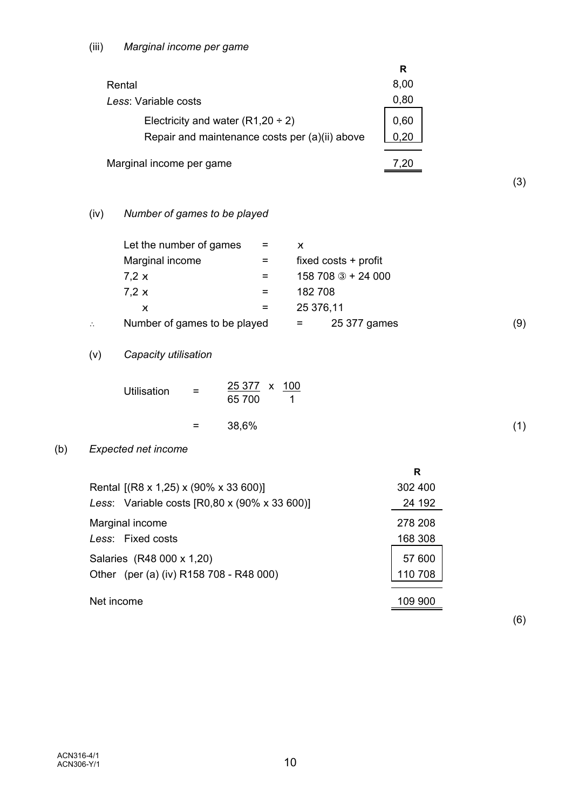|                                                | R    |  |
|------------------------------------------------|------|--|
| Rental                                         | 8,00 |  |
| Less: Variable costs                           | 0,80 |  |
| Electricity and water $(R1,20 \div 2)$         | 0,60 |  |
| Repair and maintenance costs per (a)(ii) above | 0.20 |  |
|                                                |      |  |
| Marginal income per game                       |      |  |

(3)

## (iv) *Number of games to be played*

|                | Let the number of games      | $=$ | χ         |                        |     |
|----------------|------------------------------|-----|-----------|------------------------|-----|
|                | Marginal income              |     |           | fixed $costs + profit$ |     |
|                | 7,2x                         |     |           | 158 708 3 + 24 000     |     |
|                | 7.2x                         | =   | 182 708   |                        |     |
|                | χ                            | $=$ | 25 376,11 |                        |     |
| $\ddot{\cdot}$ | Number of games to be played |     | $=$       | 25 377 games           | (9) |

## (v) *Capacity utilisation*

| Utilisation | = | 25 377 x 100 |  |
|-------------|---|--------------|--|
|             |   | 65 700       |  |
|             |   |              |  |

## $=$  38,6% (1)

## (b) *Expected net income*

|                                               | R       |
|-----------------------------------------------|---------|
| Rental [(R8 x 1,25) x (90% x 33 600)]         | 302 400 |
| Less: Variable costs [R0,80 x (90% x 33 600)] | 24 192  |
| Marginal income                               | 278 208 |
| Less: Fixed costs                             | 168 308 |
| Salaries (R48 000 x 1,20)                     | 57 600  |
| Other (per (a) (iv) R158 708 - R48 000)       | 110 708 |
|                                               |         |
| Net income                                    | 109 900 |

(6)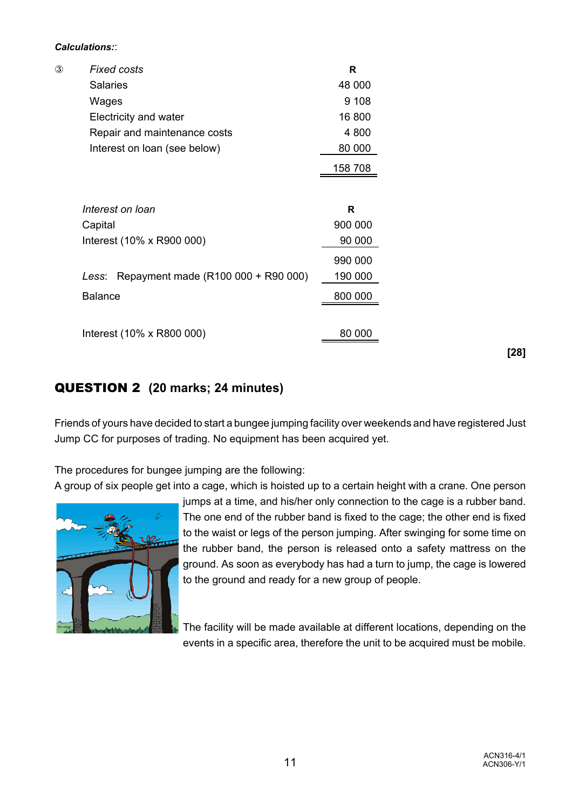#### *Calculations:*:

| $\circled{3}$ | <b>Fixed costs</b>                           | R       |
|---------------|----------------------------------------------|---------|
|               | <b>Salaries</b>                              | 48 000  |
|               | Wages                                        | 9 1 0 8 |
|               | Electricity and water                        | 16 800  |
|               | Repair and maintenance costs                 | 4 800   |
|               | Interest on loan (see below)                 | 80 000  |
|               |                                              | 158 708 |
|               |                                              |         |
|               | Interest on Ioan                             | R       |
|               | Capital                                      | 900 000 |
|               | Interest (10% x R900 000)                    | 90 000  |
|               |                                              | 990 000 |
|               | Repayment made (R100 000 + R90 000)<br>Less: | 190 000 |
|               | <b>Balance</b>                               | 800 000 |
|               |                                              |         |
|               | Interest (10% x R800 000)                    | 80 000  |
|               |                                              |         |

QUESTION 2 **(20 marks; 24 minutes)**

Friends of yours have decided to start a bungee jumping facility over weekends and have registered Just Jump CC for purposes of trading. No equipment has been acquired yet.

The procedures for bungee jumping are the following:

A group of six people get into a cage, which is hoisted up to a certain height with a crane. One person



jumps at a time, and his/her only connection to the cage is a rubber band. The one end of the rubber band is fixed to the cage; the other end is fixed to the waist or legs of the person jumping. After swinging for some time on the rubber band, the person is released onto a safety mattress on the ground. As soon as everybody has had a turn to jump, the cage is lowered to the ground and ready for a new group of people.

The facility will be made available at different locations, depending on the events in a specific area, therefore the unit to be acquired must be mobile.

**[28]**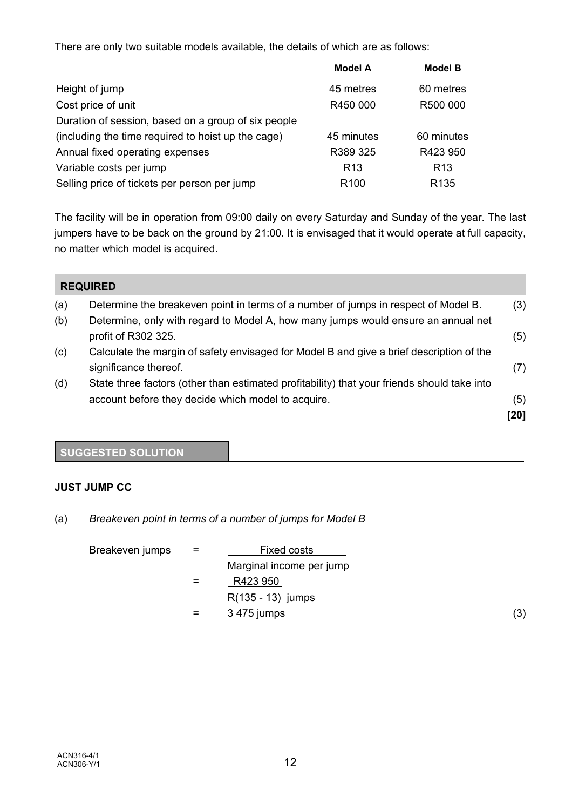There are only two suitable models available, the details of which are as follows:

|                                                     | <b>Model A</b>   | <b>Model B</b>   |
|-----------------------------------------------------|------------------|------------------|
| Height of jump                                      | 45 metres        | 60 metres        |
| Cost price of unit                                  | R450 000         | R500 000         |
| Duration of session, based on a group of six people |                  |                  |
| (including the time required to hoist up the cage)  | 45 minutes       | 60 minutes       |
| Annual fixed operating expenses                     | R389 325         | R423 950         |
| Variable costs per jump                             | R <sub>13</sub>  | R <sub>13</sub>  |
| Selling price of tickets per person per jump        | R <sub>100</sub> | R <sub>135</sub> |

The facility will be in operation from 09:00 daily on every Saturday and Sunday of the year. The last jumpers have to be back on the ground by 21:00. It is envisaged that it would operate at full capacity, no matter which model is acquired.

|     | <b>REQUIRED</b>                                                                                                                                   |      |
|-----|---------------------------------------------------------------------------------------------------------------------------------------------------|------|
| (a) | Determine the breakeven point in terms of a number of jumps in respect of Model B.                                                                | (3)  |
| (b) | Determine, only with regard to Model A, how many jumps would ensure an annual net<br>profit of R302 325.                                          | (5)  |
| (c) | Calculate the margin of safety envisaged for Model B and give a brief description of the<br>significance thereof.                                 | (7)  |
| (d) | State three factors (other than estimated profitability) that your friends should take into<br>account before they decide which model to acquire. | (5)  |
|     |                                                                                                                                                   | [20] |

## **SUGGESTED SOLUTION**

## **JUST JUMP CC**

(a) *Breakeven point in terms of a number of jumps for Model B*

| Breakeven jumps | $=$ | Fixed costs              |     |
|-----------------|-----|--------------------------|-----|
|                 |     | Marginal income per jump |     |
|                 | $=$ | R423 950                 |     |
|                 |     | $R(135 - 13)$ jumps      |     |
|                 | $=$ | 3 475 jumps              | (3) |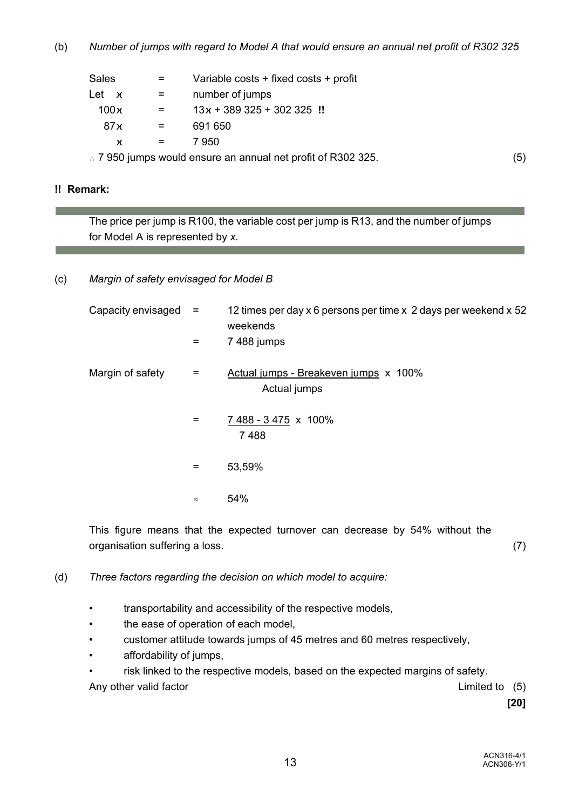(b) *Number of jumps with regard to Model A that would ensure an annual net profit of R302 325*

| Sales         | Variable costs + fixed costs + profit |
|---------------|---------------------------------------|
| Let<br>$\chi$ | number of jumps                       |
| 100x          | $13x + 389325 + 302325$ !!            |
| 87 x          | 691 650                               |
| X             | 7 950                                 |
|               |                                       |

 $\therefore$  7 950 jumps would ensure an annual net profit of R302 325.  $\tag{5}$ 

#### **!! Remark:**

The price per jump is R100, the variable cost per jump is R13, and the number of jumps for Model A is represented by *x*.

### (c) *Margin of safety envisaged for Model B*

| Capacity envisaged | $=$<br>=  | 12 times per day x 6 persons per time x 2 days per weekend x 52<br>weekends<br>7 488 jumps |
|--------------------|-----------|--------------------------------------------------------------------------------------------|
| Margin of safety   | Ξ         | Actual jumps - Breakeven jumps x 100%<br>Actual jumps                                      |
|                    | $=$       | 7 488 - 3 475 x 100%<br>7488                                                               |
|                    | $=$       | 53,59%                                                                                     |
|                    | $\approx$ | 54%                                                                                        |

This figure means that the expected turnover can decrease by 54% without the organisation suffering a loss. (7)

(d) *Three factors regarding the decision on which model to acquire:*

- transportability and accessibility of the respective models,
- the ease of operation of each model,
- customer attitude towards jumps of 45 metres and 60 metres respectively,
- affordability of jumps,
- risk linked to the respective models, based on the expected margins of safety.

Any other valid factor and the contract of the Limited to (5)

**[20]**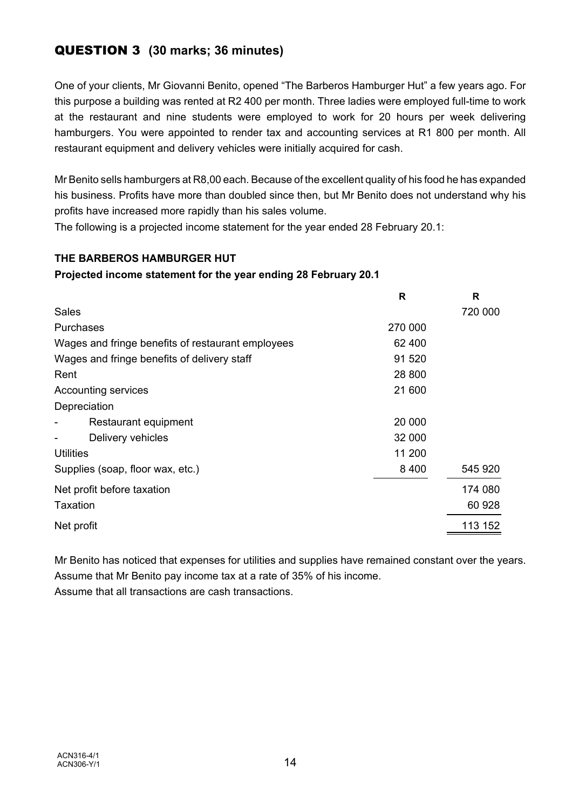## QUESTION 3 **(30 marks; 36 minutes)**

One of your clients, Mr Giovanni Benito, opened "The Barberos Hamburger Hut" a few years ago. For this purpose a building was rented at R2 400 per month. Three ladies were employed full-time to work at the restaurant and nine students were employed to work for 20 hours per week delivering hamburgers. You were appointed to render tax and accounting services at R1 800 per month. All restaurant equipment and delivery vehicles were initially acquired for cash.

Mr Benito sells hamburgers at R8,00 each. Because of the excellent quality of his food he has expanded his business. Profits have more than doubled since then, but Mr Benito does not understand why his profits have increased more rapidly than his sales volume.

The following is a projected income statement for the year ended 28 February 20.1:

## **THE BARBEROS HAMBURGER HUT**

## **Projected income statement for the year ending 28 February 20.1**

|                                                   | R       | R       |
|---------------------------------------------------|---------|---------|
| <b>Sales</b>                                      |         | 720 000 |
| Purchases                                         | 270 000 |         |
| Wages and fringe benefits of restaurant employees | 62 400  |         |
| Wages and fringe benefits of delivery staff       | 91 520  |         |
| Rent                                              | 28 800  |         |
| <b>Accounting services</b>                        | 21 600  |         |
| Depreciation                                      |         |         |
| Restaurant equipment                              | 20 000  |         |
| Delivery vehicles                                 | 32 000  |         |
| <b>Utilities</b>                                  | 11 200  |         |
| Supplies (soap, floor wax, etc.)                  | 8 4 0 0 | 545 920 |
| Net profit before taxation                        |         | 174 080 |
| Taxation                                          |         | 60 928  |
| Net profit                                        |         | 113 152 |

Mr Benito has noticed that expenses for utilities and supplies have remained constant over the years. Assume that Mr Benito pay income tax at a rate of 35% of his income. Assume that all transactions are cash transactions.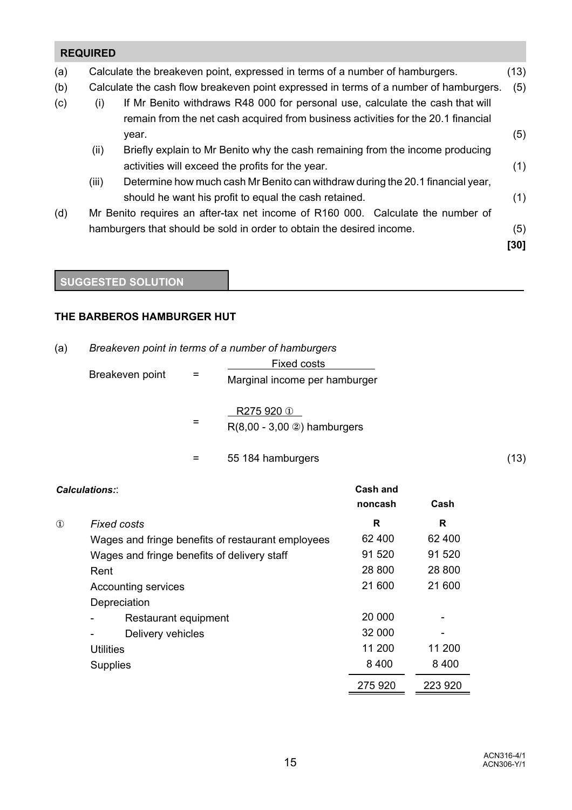## **REQUIRED** (a) Calculate the breakeven point, expressed in terms of a number of hamburgers. (13) (b) Calculate the cash flow breakeven point expressed in terms of a number of hamburgers. (5) (c) (i) If Mr Benito withdraws R48 000 for personal use, calculate the cash that will remain from the net cash acquired from business activities for the 20.1 financial year. (5) (ii) Briefly explain to Mr Benito why the cash remaining from the income producing activities will exceed the profits for the year. (1) (iii) Determine how much cash Mr Benito can withdraw during the 20.1 financial year, should he want his profit to equal the cash retained. (1) (d) Mr Benito requires an after-tax net income of R160 000. Calculate the number of hamburgers that should be sold in order to obtain the desired income. (5) **[30]**

## **SUGGESTED SOLUTION**

## **THE BARBEROS HAMBURGER HUT**

## (a) *Breakeven point in terms of a number of hamburgers*

| Breakeven point | $=$ | <b>Fixed costs</b><br>Marginal income per hamburger |      |
|-----------------|-----|-----------------------------------------------------|------|
|                 | =   | R275 920 ①<br>$R(8,00 - 3,00)$ hamburgers           |      |
|                 | $=$ | 55 184 hamburgers                                   | (13) |

| <b>Calculations::</b> |                      |                                                   | Cash and |         |
|-----------------------|----------------------|---------------------------------------------------|----------|---------|
|                       |                      |                                                   | noncash  | Cash    |
| $\mathbf{D}$          |                      | Fixed costs                                       | R        | R       |
|                       |                      | Wages and fringe benefits of restaurant employees | 62 400   | 62 400  |
|                       |                      | Wages and fringe benefits of delivery staff       | 91 520   | 91 520  |
|                       | Rent                 |                                                   | 28 800   | 28 800  |
|                       | Accounting services  |                                                   | 21 600   | 21 600  |
|                       |                      | Depreciation                                      |          |         |
|                       | Restaurant equipment |                                                   | 20 000   |         |
|                       |                      | Delivery vehicles                                 | 32 000   |         |
|                       | <b>Utilities</b>     |                                                   | 11 200   | 11 200  |
|                       | <b>Supplies</b>      |                                                   | 8 4 0 0  | 8 4 0 0 |
|                       |                      |                                                   | 275 920  | 223 920 |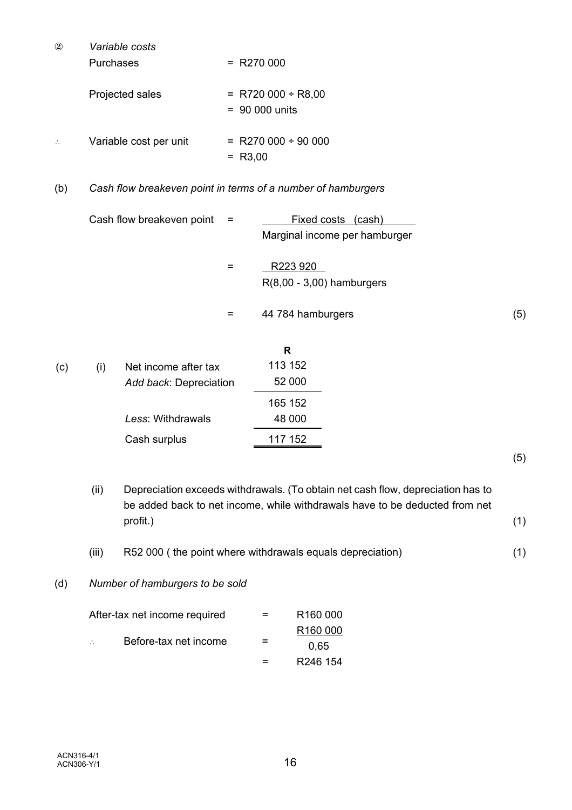| $^\mathrm{\odot}$ | Variable costs         |                            |
|-------------------|------------------------|----------------------------|
|                   | Purchases              | $= R270000$                |
|                   | Projected sales        | $=$ R720 000 ÷ R8,00       |
|                   |                        | $= 90000$ units            |
|                   | Variable cost per unit | $=$ R270 000 $\div$ 90 000 |
|                   |                        | $= R3,00$                  |

## (b) *Cash flow breakeven point in terms of a number of hamburgers*

| Cash flow breakeven point $=$ |     | Fixed costs<br>(cash)<br>Marginal income per hamburger |     |
|-------------------------------|-----|--------------------------------------------------------|-----|
|                               | $=$ | R223 920<br>$R(8,00 - 3,00)$ hamburgers                |     |
|                               | =   | 44 784 hamburgers                                      | (5) |

|     |                        | R       |
|-----|------------------------|---------|
| (i) | Net income after tax   | 113 152 |
|     | Add back: Depreciation | 52 000  |
|     |                        | 165 152 |
|     | Less: Withdrawals      | 48 000  |
|     | Cash surplus           | 117 152 |
|     |                        |         |

(5)

- (ii) Depreciation exceeds withdrawals. (To obtain net cash flow, depreciation has to be added back to net income, while withdrawals have to be deducted from net profit.) (1) (iii) R52 000 ( the point where withdrawals equals depreciation) (1)
- (d) *Number of hamburgers to be sold*

| After-tax net income required |                       | $=$ | R <sub>160</sub> 000 |
|-------------------------------|-----------------------|-----|----------------------|
|                               |                       |     | R <sub>160</sub> 000 |
| $\mathcal{L}_{\mathbf{r}}$    | Before-tax net income | =   | 0.65                 |
|                               |                       | $=$ | R <sub>246</sub> 154 |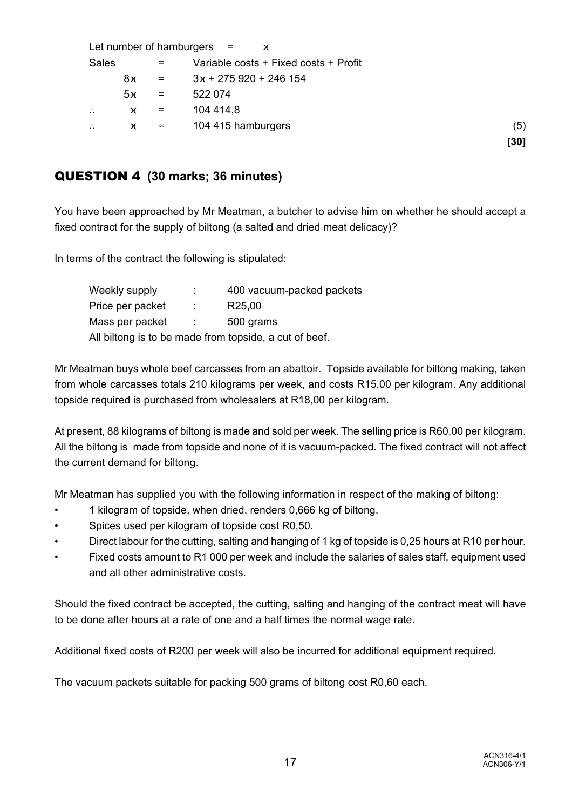|                      |        |                           | Let number of hamburgers $=$ x        |      |
|----------------------|--------|---------------------------|---------------------------------------|------|
| <b>Sales</b>         |        | Ξ.                        | Variable costs + Fixed costs + Profit |      |
|                      | 8χ     | $\mathbf{r} = \mathbf{r}$ | $3x + 275920 + 246154$                |      |
|                      | 5x     | $=$                       | 522 074                               |      |
| $\ddot{\phantom{a}}$ | $\chi$ | $=$                       | 104 414,8                             |      |
| $\therefore$         | $\chi$ | $\approx$                 | 104 415 hamburgers                    | (5)  |
|                      |        |                           |                                       | [30] |

## QUESTION 4 **(30 marks; 36 minutes)**

You have been approached by Mr Meatman, a butcher to advise him on whether he should accept a fixed contract for the supply of biltong (a salted and dried meat delicacy)?

In terms of the contract the following is stipulated:

| Weekly supply                                          | ÷       | 400 vacuum-packed packets |  |  |
|--------------------------------------------------------|---------|---------------------------|--|--|
| Price per packet                                       |         | R <sub>25</sub> ,00       |  |  |
| Mass per packet                                        | i de la | 500 grams                 |  |  |
| All biltong is to be made from topside, a cut of beef. |         |                           |  |  |

Mr Meatman buys whole beef carcasses from an abattoir. Topside available for biltong making, taken from whole carcasses totals 210 kilograms per week, and costs R15,00 per kilogram. Any additional topside required is purchased from wholesalers at R18,00 per kilogram.

At present, 88 kilograms of biltong is made and sold per week. The selling price is R60,00 per kilogram. All the biltong is made from topside and none of it is vacuum-packed. The fixed contract will not affect the current demand for biltong.

Mr Meatman has supplied you with the following information in respect of the making of biltong:

- 1 kilogram of topside, when dried, renders 0,666 kg of biltong.
- Spices used per kilogram of topside cost R0,50.
- Direct labour for the cutting, salting and hanging of 1 kg of topside is 0,25 hours at R10 per hour.
- Fixed costs amount to R1 000 per week and include the salaries of sales staff, equipment used and all other administrative costs.

Should the fixed contract be accepted, the cutting, salting and hanging of the contract meat will have to be done after hours at a rate of one and a half times the normal wage rate.

Additional fixed costs of R200 per week will also be incurred for additional equipment required.

The vacuum packets suitable for packing 500 grams of biltong cost R0,60 each.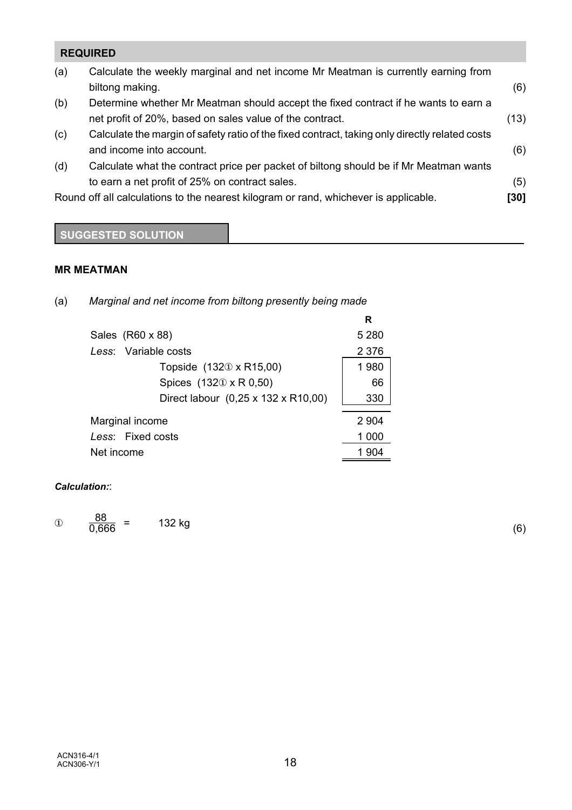## **REQUIRED**

| (a) | Calculate the weekly marginal and net income Mr Meatman is currently earning from              |      |
|-----|------------------------------------------------------------------------------------------------|------|
|     | biltong making.                                                                                | (6)  |
| (b) | Determine whether Mr Meatman should accept the fixed contract if he wants to earn a            |      |
|     | net profit of 20%, based on sales value of the contract.                                       | (13) |
| (c) | Calculate the margin of safety ratio of the fixed contract, taking only directly related costs |      |
|     | and income into account.                                                                       | (6)  |
| (d) | Calculate what the contract price per packet of biltong should be if Mr Meatman wants          |      |
|     | to earn a net profit of 25% on contract sales.                                                 | (5)  |
|     | Round off all calculations to the nearest kilogram or rand, whichever is applicable.           | [30] |
|     |                                                                                                |      |

## **SUGGESTED SOLUTION**

## **MR MEATMAN**

|                                     | R       |
|-------------------------------------|---------|
| Sales (R60 x 88)                    | 5 2 8 0 |
| Less: Variable costs                | 2 3 7 6 |
| Topside (1321) x R15,00)            | 1980    |
| Spices (1320 x R 0,50)              | 66      |
| Direct labour (0,25 x 132 x R10,00) | 330     |
| Marginal income                     | 2 904   |
| Less: Fixed costs                   | 1 000   |
| Net income                          | 904     |

# (a) *Marginal and net income from biltong presently being made*

#### *Calculation:*:

 $\frac{88}{0,666}$  = 132 kg (6)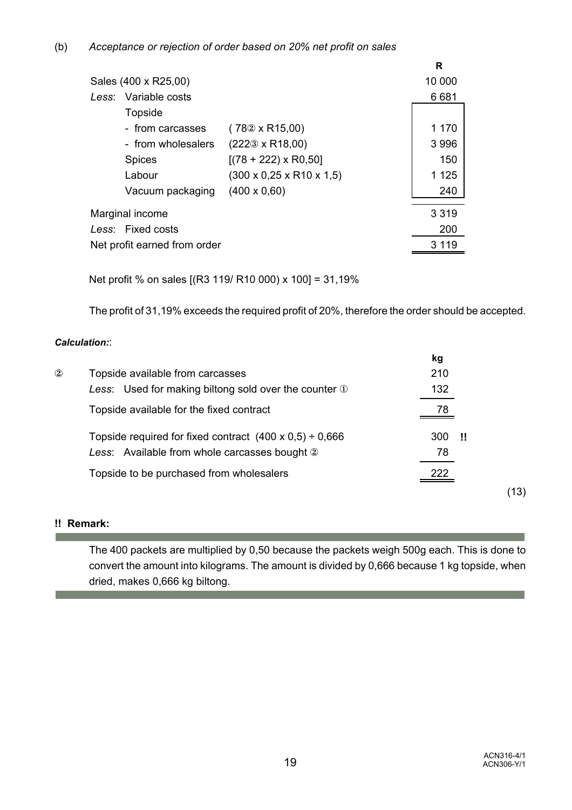|                              |                                           | R       |
|------------------------------|-------------------------------------------|---------|
| Sales (400 x R25,00)         |                                           | 10 000  |
| Less: Variable costs         |                                           | 6681    |
| <b>Topside</b>               |                                           |         |
| - from carcasses             | $(782 \times R15,00)$                     | 1 170   |
| - from wholesalers           | $(222\text{0} \times \text{R}18,00)$      | 3 9 9 6 |
| <b>Spices</b>                | $[(78 + 222) \times R0, 50]$              | 150     |
| Labour                       | $(300 \times 0.25 \times R10 \times 1.5)$ | 1 1 2 5 |
| Vacuum packaging             | $(400 \times 0,60)$                       | 240     |
| Marginal income              |                                           | 3 3 1 9 |
| Less: Fixed costs            |                                           | 200     |
| Net profit earned from order |                                           | 3 1 1 9 |
|                              |                                           |         |

Net profit % on sales [(R3 119/ R10 000) x 100] = 31,19%

The profit of 31,19% exceeds the required profit of 20%, therefore the order should be accepted.

#### *Calculation:*:

|                |                                                                   | kg         |      |
|----------------|-------------------------------------------------------------------|------------|------|
| $^{\circledR}$ | Topside available from carcasses                                  | 210        |      |
|                | Less: Used for making biltong sold over the counter 1             | 132        |      |
|                | Topside available for the fixed contract                          | 78         |      |
|                | Topside required for fixed contract $(400 \times 0.5) \div 0.666$ | 300<br>-11 |      |
|                | Less: Available from whole carcasses bought 2                     | 78         |      |
|                | Topside to be purchased from wholesalers                          | 222        |      |
|                |                                                                   |            | (13) |

## **!! Remark:**

The 400 packets are multiplied by 0,50 because the packets weigh 500g each. This is done to convert the amount into kilograms. The amount is divided by 0,666 because 1 kg topside, when dried, makes 0,666 kg biltong.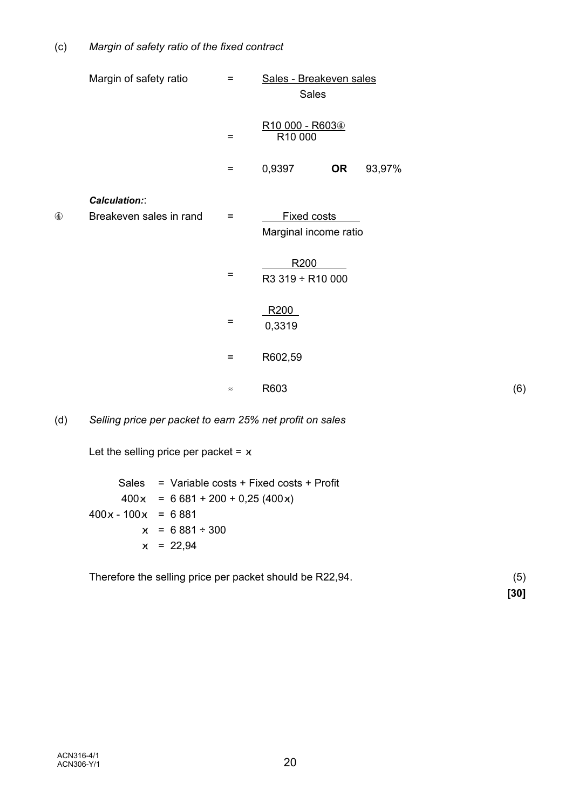|                | Margin of safety ratio                   | $=$                            | Sales - Breakeven sales<br><b>Sales</b> |     |
|----------------|------------------------------------------|--------------------------------|-----------------------------------------|-----|
|                |                                          | $=$                            | R10 000 - R6034<br>R10 000              |     |
|                |                                          | $\equiv$                       | 0,9397<br>93,97%<br><b>OR</b>           |     |
| $^{\circledA}$ | Calculation::<br>Breakeven sales in rand | $\qquad \qquad =\qquad \qquad$ | Fixed costs<br>Marginal income ratio    |     |
|                |                                          | $\equiv$                       | R200<br>R3 319 ÷ R10 000                |     |
|                |                                          | $\equiv$                       | R <sub>200</sub><br>0,3319              |     |
|                |                                          | $\equiv$                       | R602,59                                 |     |
|                |                                          | $\approx$                      | R603                                    | (6) |

(d) *Selling price per packet to earn 25% net profit on sales*

Let the selling price per packet =  $x$ 

 Sales = Variable costs + Fixed costs + Profit  $400x = 6681 + 200 + 0,25(400x)$  $400x - 100x = 6881$  $x = 6881 \div 300$  $x = 22,94$ 

Therefore the selling price per packet should be R22,94. (5)

**[30]**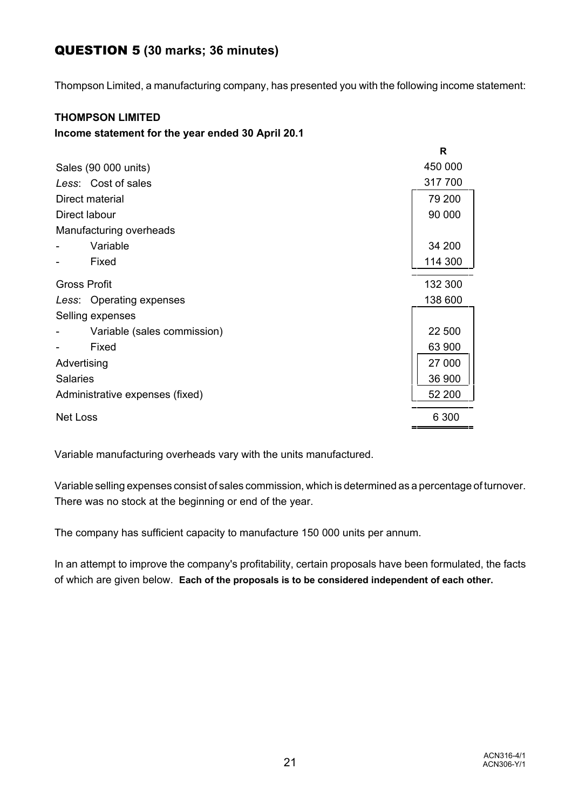## QUESTION 5 **(30 marks; 36 minutes)**

Thompson Limited, a manufacturing company, has presented you with the following income statement:

## **THOMPSON LIMITED**

### **Income statement for the year ended 30 April 20.1**

|                                 | R       |  |  |
|---------------------------------|---------|--|--|
| Sales (90 000 units)            | 450 000 |  |  |
| Less: Cost of sales             | 317 700 |  |  |
| Direct material                 | 79 200  |  |  |
| Direct labour                   | 90 000  |  |  |
| Manufacturing overheads         |         |  |  |
| Variable                        | 34 200  |  |  |
| Fixed                           | 114 300 |  |  |
| <b>Gross Profit</b>             | 132 300 |  |  |
| Less: Operating expenses        | 138 600 |  |  |
| Selling expenses                |         |  |  |
| Variable (sales commission)     | 22 500  |  |  |
| Fixed                           | 63 900  |  |  |
| Advertising                     | 27 000  |  |  |
| <b>Salaries</b>                 |         |  |  |
| Administrative expenses (fixed) |         |  |  |
| <b>Net Loss</b>                 |         |  |  |

Variable manufacturing overheads vary with the units manufactured.

Variable selling expenses consist of sales commission, which is determined as a percentage of turnover. There was no stock at the beginning or end of the year.

The company has sufficient capacity to manufacture 150 000 units per annum.

In an attempt to improve the company's profitability, certain proposals have been formulated, the facts of which are given below. **Each of the proposals is to be considered independent of each other.**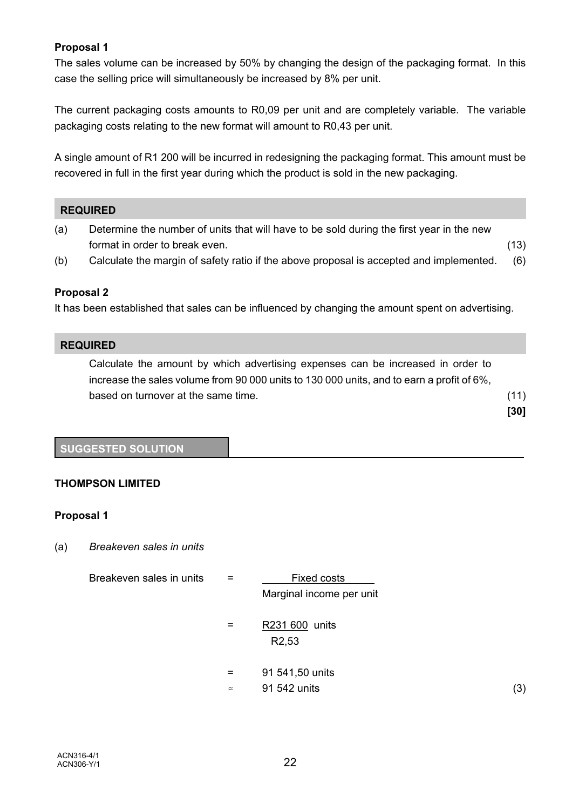## **Proposal 1**

The sales volume can be increased by 50% by changing the design of the packaging format. In this case the selling price will simultaneously be increased by 8% per unit.

The current packaging costs amounts to R0,09 per unit and are completely variable. The variable packaging costs relating to the new format will amount to R0,43 per unit.

A single amount of R1 200 will be incurred in redesigning the packaging format. This amount must be recovered in full in the first year during which the product is sold in the new packaging.

#### **REQUIRED**

- (a) Determine the number of units that will have to be sold during the first year in the new format in order to break even. (13)
- (b) Calculate the margin of safety ratio if the above proposal is accepted and implemented. (6)

#### **Proposal 2**

It has been established that sales can be influenced by changing the amount spent on advertising.

#### **REQUIRED**

Calculate the amount by which advertising expenses can be increased in order to increase the sales volume from 90 000 units to 130 000 units, and to earn a profit of 6%, based on turnover at the same time. (11)

**[30]**

#### **SUGGESTED SOLUTION**

#### **THOMPSON LIMITED**

#### **Proposal 1**

(a) *Breakeven sales in units*

| Breakeven sales in units | $=$       | Fixed costs                          |     |
|--------------------------|-----------|--------------------------------------|-----|
|                          |           | Marginal income per unit             |     |
|                          | $=$       | R231 600 units<br>R <sub>2</sub> ,53 |     |
|                          | $=$       | 91 541,50 units                      |     |
|                          | $\approx$ | 91 542 units                         | (3) |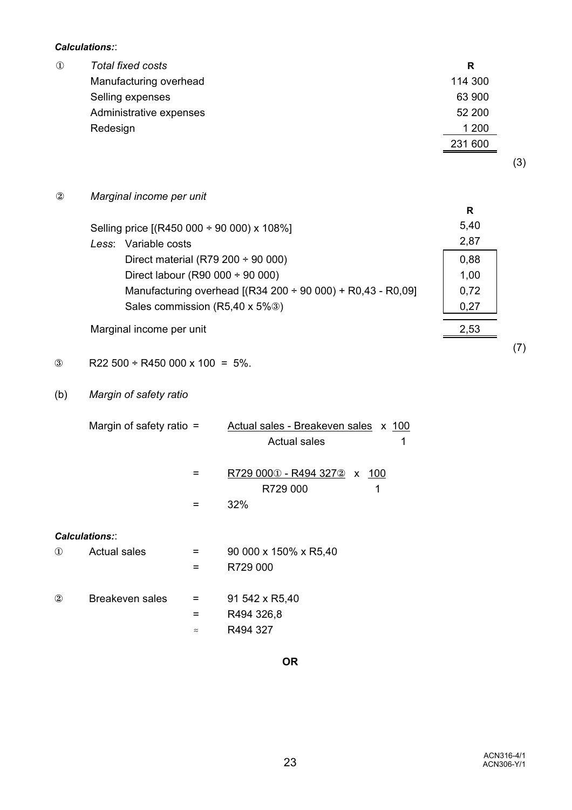*Calculations:*:

| R       |
|---------|
| 114 300 |
| 63 900  |
| 52 200  |
| 1 200   |
| 231 600 |
|         |
|         |

 $\circledR$  *Marginal income per unit* 

| Selling price [(R450 000 ÷ 90 000) x 108%]                  |      |  |
|-------------------------------------------------------------|------|--|
| Less: Variable costs                                        | 2,87 |  |
| Direct material (R79 $200 \div 90 000$ )                    | 0,88 |  |
| Direct labour (R90 000 $\div$ 90 000)                       | 1,00 |  |
| Manufacturing overhead [(R34 200 ÷ 90 000) + R0,43 - R0,09] | 0,72 |  |
| Sales commission (R5,40 x 5%3)                              | በ 27 |  |
|                                                             |      |  |

Marginal income per unit 2,53

- $\textcircled{3}$  R22 500 ÷ R450 000 x 100 = 5%.
- (b) *Margin of safety ratio*

|               | Margin of safety ratio $=$ |   | Actual sales - Breakeven sales x 100<br>Actual sales<br>1  |
|---------------|----------------------------|---|------------------------------------------------------------|
|               |                            |   | R729 0001 - R494 3272<br>100<br>X.<br>R729 000<br>1<br>32% |
|               | <b>Calculations::</b>      |   |                                                            |
| $\circled{1}$ | <b>Actual sales</b>        | = | 90 000 x 150% x R5,40<br>R729 000                          |
| $\circled{2}$ | Breakeven sales            |   | 91 542 x R5,40                                             |

- = R494 326,8
- $\approx$  R494 327

(7)

(3)

**R**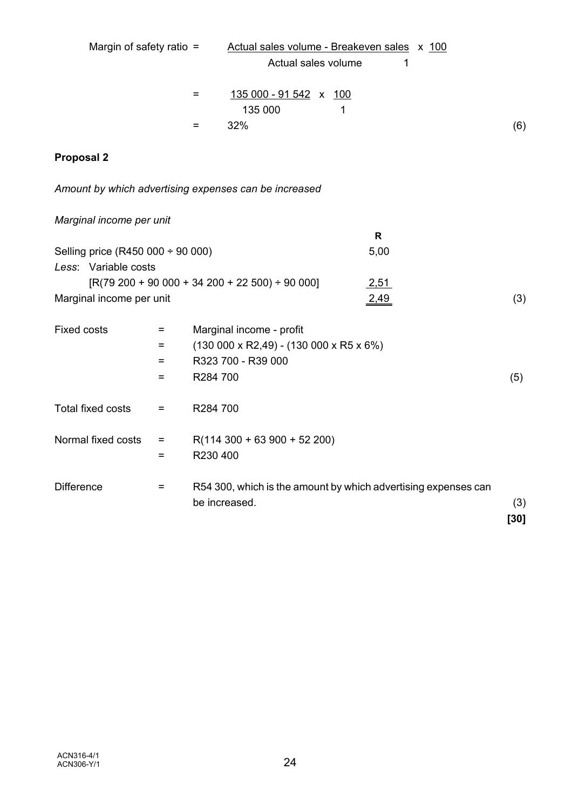| Margin of safety ratio $=$                            |     |               |                          | Actual sales volume - Breakeven sales x 100                  |   |              |                                                                |               |
|-------------------------------------------------------|-----|---------------|--------------------------|--------------------------------------------------------------|---|--------------|----------------------------------------------------------------|---------------|
|                                                       |     |               |                          | Actual sales volume                                          |   |              | 1                                                              |               |
|                                                       |     | =             |                          | 135 000 - 91 542 x 100                                       |   |              |                                                                |               |
|                                                       |     |               | 135 000                  |                                                              | 1 |              |                                                                |               |
|                                                       |     | $=$           | 32%                      |                                                              |   |              |                                                                | (6)           |
| <b>Proposal 2</b>                                     |     |               |                          |                                                              |   |              |                                                                |               |
| Amount by which advertising expenses can be increased |     |               |                          |                                                              |   |              |                                                                |               |
| Marginal income per unit                              |     |               |                          |                                                              |   |              |                                                                |               |
|                                                       |     |               |                          |                                                              |   | $\mathsf{R}$ |                                                                |               |
| Selling price (R450 000 $\div$ 90 000)                |     |               |                          |                                                              |   | 5,00         |                                                                |               |
| Less: Variable costs                                  |     |               |                          |                                                              |   |              |                                                                |               |
| $[R(79 200 + 90 000 + 34 200 + 22 500) \div 90 000]$  |     |               |                          |                                                              |   | 2,51         |                                                                |               |
| Marginal income per unit                              |     |               |                          |                                                              |   | 2,49         |                                                                | (3)           |
| <b>Fixed costs</b>                                    | $=$ |               | Marginal income - profit |                                                              |   |              |                                                                |               |
|                                                       | =   |               |                          | $(130\ 000 \times R2,49)$ - $(130\ 000 \times R5 \times 6%)$ |   |              |                                                                |               |
|                                                       | $=$ |               | R323 700 - R39 000       |                                                              |   |              |                                                                |               |
|                                                       | $=$ | R284 700      |                          |                                                              |   |              |                                                                | (5)           |
| Total fixed costs                                     | $=$ | R284 700      |                          |                                                              |   |              |                                                                |               |
| Normal fixed costs                                    | $=$ |               |                          | $R(114 300 + 63 900 + 52 200)$                               |   |              |                                                                |               |
|                                                       | $=$ | R230 400      |                          |                                                              |   |              |                                                                |               |
| <b>Difference</b>                                     | $=$ | be increased. |                          |                                                              |   |              | R54 300, which is the amount by which advertising expenses can | (3)<br>$[30]$ |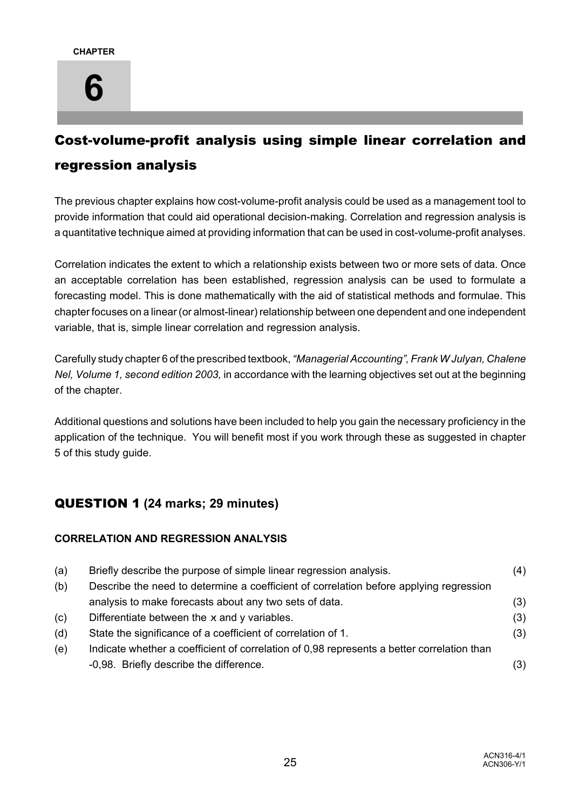## Cost-volume-profit analysis using simple linear correlation and regression analysis

The previous chapter explains how cost-volume-profit analysis could be used as a management tool to provide information that could aid operational decision-making. Correlation and regression analysis is a quantitative technique aimed at providing information that can be used in cost-volume-profit analyses.

Correlation indicates the extent to which a relationship exists between two or more sets of data. Once an acceptable correlation has been established, regression analysis can be used to formulate a forecasting model. This is done mathematically with the aid of statistical methods and formulae. This chapter focuses on a linear (or almost-linear) relationship between one dependent and one independent variable, that is, simple linear correlation and regression analysis.

Carefully study chapter 6 of the prescribed textbook, *"Managerial Accounting", Frank W Julyan, Chalene Nel, Volume 1, second edition 2003,* in accordance with the learning objectives set out at the beginning of the chapter.

Additional questions and solutions have been included to help you gain the necessary proficiency in the application of the technique. You will benefit most if you work through these as suggested in chapter 5 of this study guide.

## QUESTION 1 **(24 marks; 29 minutes)**

## **CORRELATION AND REGRESSION ANALYSIS**

| (a) | Briefly describe the purpose of simple linear regression analysis.                         | (4) |
|-----|--------------------------------------------------------------------------------------------|-----|
| (b) | Describe the need to determine a coefficient of correlation before applying regression     |     |
|     | analysis to make forecasts about any two sets of data.                                     | (3) |
| (c) | Differentiate between the $x$ and $y$ variables.                                           | (3) |
| (d) | State the significance of a coefficient of correlation of 1.                               | (3) |
| (e) | Indicate whether a coefficient of correlation of 0,98 represents a better correlation than |     |
|     | -0,98. Briefly describe the difference.                                                    | (3) |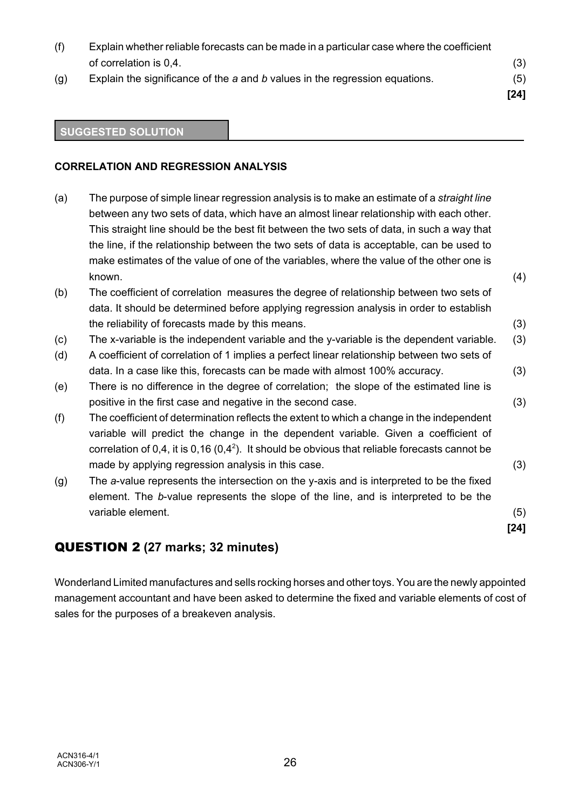(f) Explain whether reliable forecasts can be made in a particular case where the coefficient of correlation is 0,4. (3) (g) Explain the significance of the *a* and *b* values in the regression equations. (5) **[24]**

#### **SUGGESTED SOLUTION**

#### **CORRELATION AND REGRESSION ANALYSIS**

(a) The purpose of simple linear regression analysis is to make an estimate of a *straight line* between any two sets of data, which have an almost linear relationship with each other. This straight line should be the best fit between the two sets of data, in such a way that the line, if the relationship between the two sets of data is acceptable, can be used to make estimates of the value of one of the variables, where the value of the other one is known. (4) (b) The coefficient of correlation measures the degree of relationship between two sets of data. It should be determined before applying regression analysis in order to establish the reliability of forecasts made by this means. (3) (c) The x-variable is the independent variable and the y-variable is the dependent variable. (3) (d) A coefficient of correlation of 1 implies a perfect linear relationship between two sets of data. In a case like this, forecasts can be made with almost 100% accuracy. (3) (e) There is no difference in the degree of correlation; the slope of the estimated line is positive in the first case and negative in the second case. (3) (f) The coefficient of determination reflects the extent to which a change in the independent variable will predict the change in the dependent variable. Given a coefficient of correlation of 0,4, it is 0,16 (0,4<sup>2</sup>). It should be obvious that reliable forecasts cannot be made by applying regression analysis in this case. (3) (g) The *a*-value represents the intersection on the y-axis and is interpreted to be the fixed element. The *b*-value represents the slope of the line, and is interpreted to be the variable element. (5) **[24]**

## QUESTION 2 **(27 marks; 32 minutes)**

Wonderland Limited manufactures and sells rocking horses and other toys. You are the newly appointed management accountant and have been asked to determine the fixed and variable elements of cost of sales for the purposes of a breakeven analysis.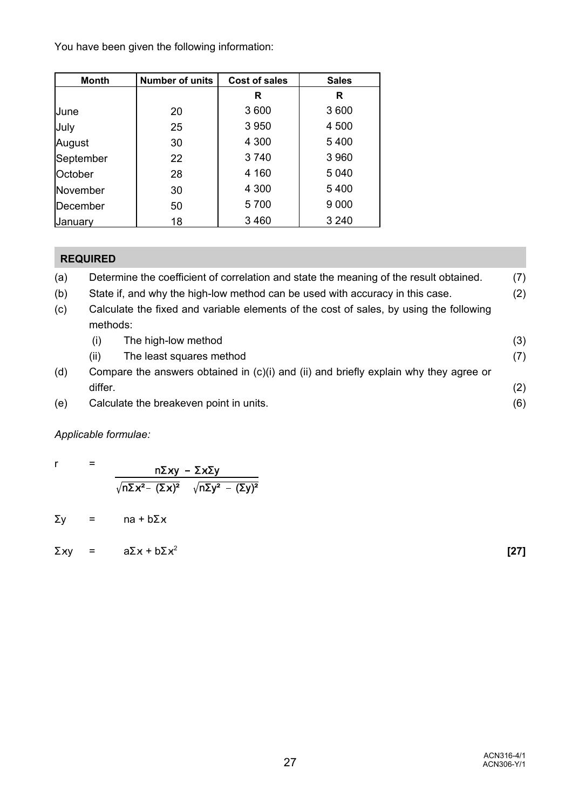You have been given the following information:

| <b>Month</b> | <b>Number of units</b> | Cost of sales | <b>Sales</b> |
|--------------|------------------------|---------------|--------------|
|              |                        | R             | R            |
| June         | 20                     | 3 600         | 3600         |
| July         | 25                     | 3 9 5 0       | 4 500        |
| August       | 30                     | 4 300         | 5400         |
| September    | 22                     | 3740          | 3 9 6 0      |
| October      | 28                     | 4 160         | 5 0 4 0      |
| November     | 30                     | 4 300         | 5400         |
| December     | 50                     | 5700          | 9 0 0 0      |
| Uanuarv      | 18                     | 3 4 6 0       | 3 2 4 0      |

## **REQUIRED**

| (a) | Determine the coefficient of correlation and state the meaning of the result obtained. | (7) |
|-----|----------------------------------------------------------------------------------------|-----|
| (b) | State if, and why the high-low method can be used with accuracy in this case.          | (2) |

(c) Calculate the fixed and variable elements of the cost of sales, by using the following methods:

|     | (i)     | The high-low method                                                                       | (3) |
|-----|---------|-------------------------------------------------------------------------------------------|-----|
|     | (ii)    | The least squares method                                                                  | (7) |
| (d) |         | Compare the answers obtained in $(c)(i)$ and $(ii)$ and briefly explain why they agree or |     |
|     | differ. |                                                                                           | (2) |
| (e) |         | Calculate the breakeven point in units.                                                   | (6) |

## *Applicable formulae:*

|  | $n\Sigma xy - \Sigma x\Sigma y$                                         |
|--|-------------------------------------------------------------------------|
|  | $\sqrt{n\Sigma x^2 - (\Sigma x)^2}$ $\sqrt{n\Sigma y^2 - (\Sigma y)^2}$ |

 $\Sigma y =$  na +  $b\Sigma x$ 

 $\sum xy = a \sum x + b \sum x^2$  [27]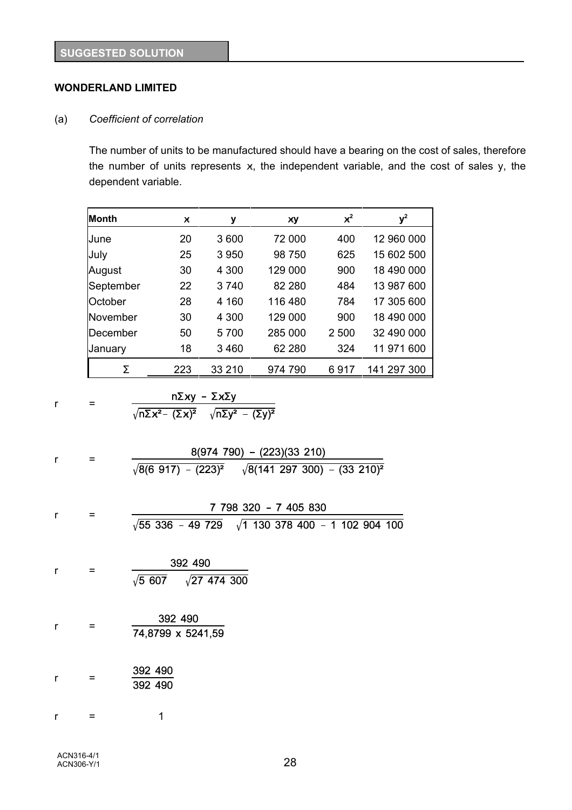## **WONDERLAND LIMITED**

#### (a) *Coefficient of correlation*

The number of units to be manufactured should have a bearing on the cost of sales, therefore the number of units represents  $x$ , the independent variable, and the cost of sales y, the dependent variable.

| Month     | $\boldsymbol{\chi}$ | у       | xу      | $x^2$ | $y^2$       |
|-----------|---------------------|---------|---------|-------|-------------|
| June      | 20                  | 3600    | 72 000  | 400   | 12 960 000  |
| July      | 25                  | 3 9 5 0 | 98 750  | 625   | 15 602 500  |
| August    | 30                  | 4 300   | 129 000 | 900   | 18 490 000  |
| September | 22                  | 3 740   | 82 280  | 484   | 13 987 600  |
| October   | 28                  | 4 160   | 116 480 | 784   | 17 305 600  |
| November  | 30                  | 4 300   | 129 000 | 900   | 18 490 000  |
| December  | 50                  | 5700    | 285 000 | 2 500 | 32 490 000  |
| January   | 18                  | 3460    | 62 280  | 324   | 11 971 600  |
| Σ         | 223                 | 33 210  | 974 790 | 6917  | 141 297 300 |

$$
r = \frac{n\Sigma xy - \Sigma x\Sigma y}{\sqrt{n\Sigma x^2 - (\Sigma x)^2} \sqrt{n\Sigma y^2 - (\Sigma y)^2}}
$$

| r | $=$               | 8(974 790) - (223)(33 210)                                                               |
|---|-------------------|------------------------------------------------------------------------------------------|
|   |                   | $\sqrt{8(6\;917)\; - \; (223)^2}$ $\sqrt{8(141\;297\;300)\; - \; (33\;210)^2}$           |
| r | =                 | 7 798 320 - 7 405 830<br>$\sqrt{55}$ 336 - 49 729 $\sqrt{1}$ 130 378 400 - 1 102 904 100 |
|   |                   |                                                                                          |
| r | $\qquad \qquad =$ | 392 490<br>$\sqrt{5\ 607}$ $\sqrt{27\ 474\ 300}$                                         |
| r | $\equiv$          | 392 490<br>74,8799 x 5241,59                                                             |
| r | $\equiv$          | 392 490<br>392 490                                                                       |
| r | =                 | 1                                                                                        |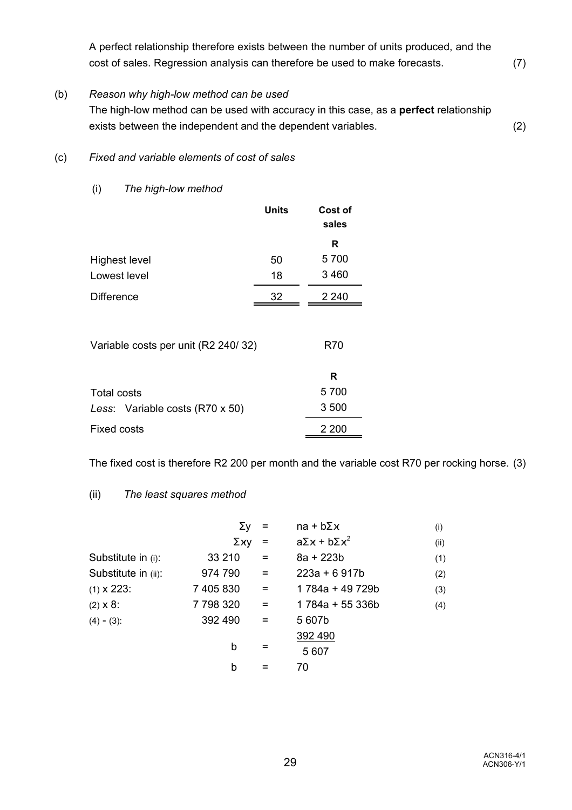A perfect relationship therefore exists between the number of units produced, and the cost of sales. Regression analysis can therefore be used to make forecasts. (7)

#### (b) *Reason why high-low method can be used*

The high-low method can be used with accuracy in this case, as a **perfect** relationship exists between the independent and the dependent variables. (2)

### (c) *Fixed and variable elements of cost of sales*

(i) *The high-low method*

|                      | Units | Cost of<br>sales |
|----------------------|-------|------------------|
|                      |       | R                |
| <b>Highest level</b> | 50    | 5700             |
| Lowest level         | 18    | 3 4 6 0          |
| <b>Difference</b>    | 32    | 2 2 4 0          |

Variable costs per unit (R2 240/ 32)

|                                 | R     |
|---------------------------------|-------|
| Total costs                     | 5 700 |
| Less: Variable costs (R70 x 50) | 3 500 |
| Fixed costs                     | 2 200 |

The fixed cost is therefore R2 200 per month and the variable cost R70 per rocking horse. (3)

R70

## (ii) *The least squares method*

|                     | Σγ        |          | $na + b\Sigma x$          | (i)  |
|---------------------|-----------|----------|---------------------------|------|
|                     | Σχγ       |          | $a\Sigma x + b\Sigma x^2$ | (ii) |
| Substitute in (i):  | 33 210    | $=$      | $8a + 223b$               | (1)  |
| Substitute in (ii): | 974 790   | $\equiv$ | $223a + 6917b$            | (2)  |
| $(1) \times 223$ :  | 7 405 830 | $=$      | 1 784a + 49 729b          | (3)  |
| $(2) \times 8$ :    | 7798320   | $=$      | 1784a + 55 336b           | (4)  |
| $(4) - (3)$ :       | 392 490   | $=$      | 5607b                     |      |
|                     |           |          | 392 490                   |      |
|                     | b         |          | 5 607                     |      |
|                     | b         |          | 70                        |      |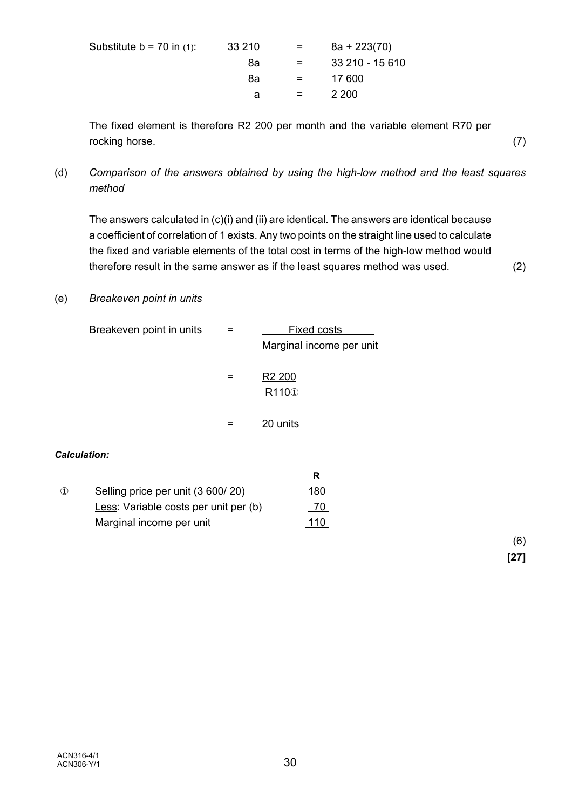| Substitute $b = 70$ in (1): | 33 210 | $=$ $-$ | $8a + 223(70)$  |
|-----------------------------|--------|---------|-----------------|
|                             | 8а     | $=$     | 33 210 - 15 610 |
|                             | 8а     | $=$ $-$ | 17 600          |
|                             | a      | $=$ $-$ | 2 200           |
|                             |        |         |                 |

The fixed element is therefore R2 200 per month and the variable element R70 per rocking horse. (7)

(d) *Comparison of the answers obtained by using the high-low method and the least squares method*

The answers calculated in (c)(i) and (ii) are identical. The answers are identical because a coefficient of correlation of 1 exists. Any two points on the straight line used to calculate the fixed and variable elements of the total cost in terms of the high-low method would therefore result in the same answer as if the least squares method was used. (2)

### (e) *Breakeven point in units*

| Breakeven point in units |   | <b>Fixed costs</b><br>Marginal income per unit |  |
|--------------------------|---|------------------------------------------------|--|
|                          | = | R <sub>2</sub> 200<br>R110 <sub>0</sub>        |  |
|                          |   | 20 units                                       |  |
| <b>Calculation:</b>      |   |                                                |  |

|          |                                       | R   |
|----------|---------------------------------------|-----|
| $\Omega$ | Selling price per unit (3 600/20)     | 180 |
|          | Less: Variable costs per unit per (b) |     |
|          | Marginal income per unit              | 110 |

(6) **[27]**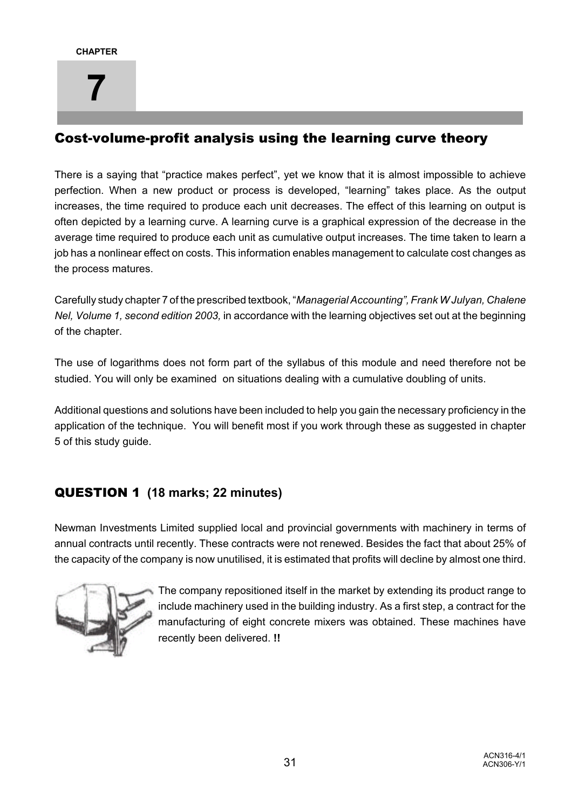## Cost-volume-profit analysis using the learning curve theory

There is a saying that "practice makes perfect", yet we know that it is almost impossible to achieve perfection. When a new product or process is developed, "learning" takes place. As the output increases, the time required to produce each unit decreases. The effect of this learning on output is often depicted by a learning curve. A learning curve is a graphical expression of the decrease in the average time required to produce each unit as cumulative output increases. The time taken to learn a job has a nonlinear effect on costs. This information enables management to calculate cost changes as the process matures.

Carefully study chapter 7 of the prescribed textbook, "*Managerial Accounting", Frank W Julyan, Chalene Nel, Volume 1, second edition 2003,* in accordance with the learning objectives set out at the beginning of the chapter.

The use of logarithms does not form part of the syllabus of this module and need therefore not be studied. You will only be examined on situations dealing with a cumulative doubling of units.

Additional questions and solutions have been included to help you gain the necessary proficiency in the application of the technique. You will benefit most if you work through these as suggested in chapter 5 of this study guide.

## QUESTION 1 **(18 marks; 22 minutes)**

Newman Investments Limited supplied local and provincial governments with machinery in terms of annual contracts until recently. These contracts were not renewed. Besides the fact that about 25% of the capacity of the company is now unutilised, it is estimated that profits will decline by almost one third.



The company repositioned itself in the market by extending its product range to include machinery used in the building industry. As a first step, a contract for the manufacturing of eight concrete mixers was obtained. These machines have recently been delivered. **!!**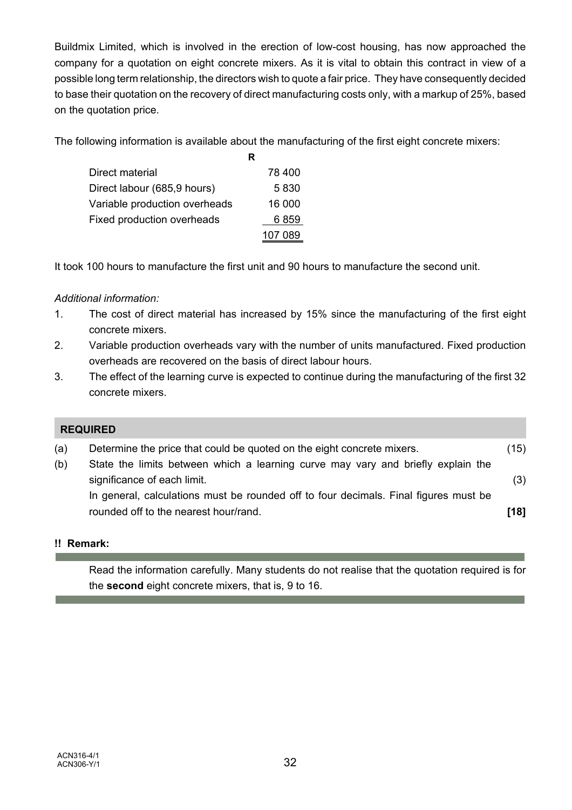Buildmix Limited, which is involved in the erection of low-cost housing, has now approached the company for a quotation on eight concrete mixers. As it is vital to obtain this contract in view of a possible long term relationship, the directors wish to quote a fair price. They have consequently decided to base their quotation on the recovery of direct manufacturing costs only, with a markup of 25%, based on the quotation price.

The following information is available about the manufacturing of the first eight concrete mixers:

|                               | R       |
|-------------------------------|---------|
| Direct material               | 78 400  |
| Direct labour (685,9 hours)   | 5830    |
| Variable production overheads | 16 000  |
| Fixed production overheads    | 6 859   |
|                               | 107 089 |
|                               |         |

It took 100 hours to manufacture the first unit and 90 hours to manufacture the second unit.

## *Additional information:*

- 1. The cost of direct material has increased by 15% since the manufacturing of the first eight concrete mixers.
- 2. Variable production overheads vary with the number of units manufactured. Fixed production overheads are recovered on the basis of direct labour hours.
- 3. The effect of the learning curve is expected to continue during the manufacturing of the first 32 concrete mixers.

|     | <b>REQUIRED</b>                                                                      |      |
|-----|--------------------------------------------------------------------------------------|------|
| (a) | Determine the price that could be quoted on the eight concrete mixers.               | (15) |
| (b) | State the limits between which a learning curve may vary and briefly explain the     |      |
|     | significance of each limit.                                                          | (3)  |
|     | In general, calculations must be rounded off to four decimals. Final figures must be |      |
|     | rounded off to the nearest hour/rand.                                                | [18] |

## **!! Remark:**

Read the information carefully. Many students do not realise that the quotation required is for the **second** eight concrete mixers, that is, 9 to 16.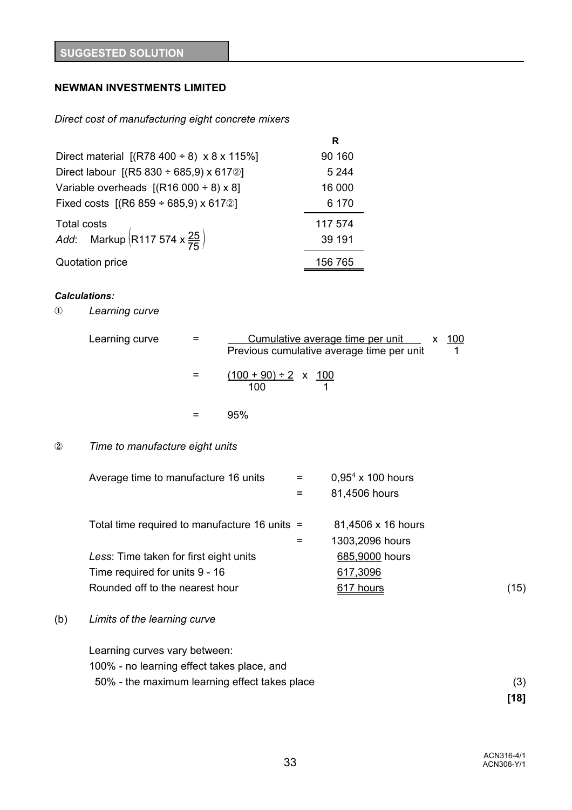### **NEWMAN INVESTMENTS LIMITED**

#### *Direct cost of manufacturing eight concrete mixers*

|                                                              | R       |
|--------------------------------------------------------------|---------|
| Direct material $[(R78 400 \div 8) \times 8 \times 115\%]$   | 90 160  |
| Direct labour $[(R5 830 \div 685, 9) \times 6170]$           | 5 2 4 4 |
| Variable overheads $[(R16 000 \div 8) \times 8]$             | 16 000  |
| Fixed costs $[(R6 859 \div 685, 9) \times 617 \circledcirc]$ | 6 170   |
|                                                              | 117 574 |
| Total costs<br>Add: Markup $(R117 574 x \frac{25}{75})$      | 39 191  |
| Quotation price                                              | 156 765 |

#### *Calculations:*

Î *Learning curve*

| Learning curve | Cumulative average time per unit x<br>100<br>Previous cumulative average time per unit |
|----------------|----------------------------------------------------------------------------------------|
|                | $(100 + 90) \div 2 \times 100$<br>100                                                  |
|                | 95%                                                                                    |

#### 2 **Time to manufacture eight units**

| Average time to manufacture 16 units | $=$ $-$ | $0.95^4 \times 100$ hours |  |
|--------------------------------------|---------|---------------------------|--|
|                                      | $=$ $-$ | 81,4506 hours             |  |
|                                      |         |                           |  |

Total time required to manufacture 16 units = 81,4506 x 16 hours

| $=$ | 1303,2096 hours |      |
|-----|-----------------|------|
|     | 685,9000 hours  |      |
|     | 617,3096        |      |
|     | 617 hours       | (15) |
|     |                 |      |

#### (b) *Limits of the learning curve*

Learning curves vary between: 100% - no learning effect takes place, and

50% - the maximum learning effect takes place (3)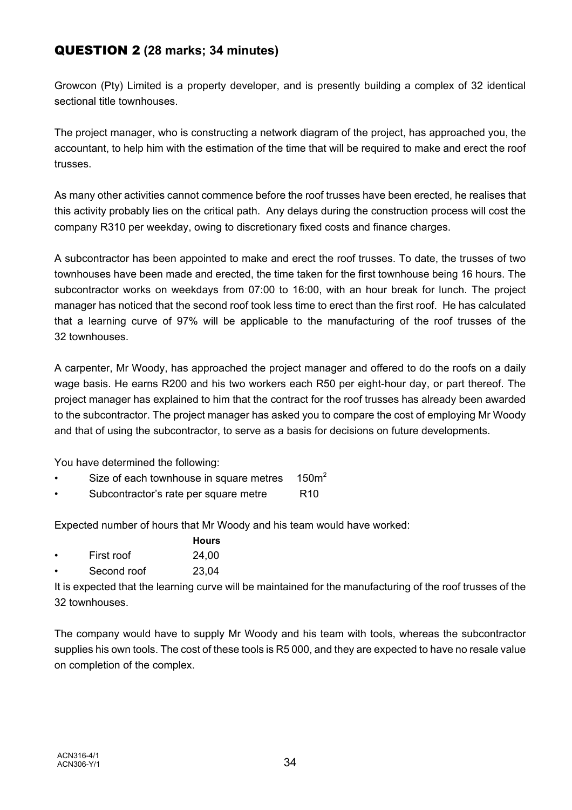## QUESTION 2 **(28 marks; 34 minutes)**

Growcon (Pty) Limited is a property developer, and is presently building a complex of 32 identical sectional title townhouses.

The project manager, who is constructing a network diagram of the project, has approached you, the accountant, to help him with the estimation of the time that will be required to make and erect the roof trusses.

As many other activities cannot commence before the roof trusses have been erected, he realises that this activity probably lies on the critical path. Any delays during the construction process will cost the company R310 per weekday, owing to discretionary fixed costs and finance charges.

A subcontractor has been appointed to make and erect the roof trusses. To date, the trusses of two townhouses have been made and erected, the time taken for the first townhouse being 16 hours. The subcontractor works on weekdays from 07:00 to 16:00, with an hour break for lunch. The project manager has noticed that the second roof took less time to erect than the first roof. He has calculated that a learning curve of 97% will be applicable to the manufacturing of the roof trusses of the 32 townhouses.

A carpenter, Mr Woody, has approached the project manager and offered to do the roofs on a daily wage basis. He earns R200 and his two workers each R50 per eight-hour day, or part thereof. The project manager has explained to him that the contract for the roof trusses has already been awarded to the subcontractor. The project manager has asked you to compare the cost of employing Mr Woody and that of using the subcontractor, to serve as a basis for decisions on future developments.

You have determined the following:

- Size of each townhouse in square metres  $150m^2$
- Subcontractor's rate per square metre R10

Expected number of hours that Mr Woody and his team would have worked:

|            | Hours |
|------------|-------|
| First roof | 0100  |

- First roof 24,00
- Second roof 23,04

It is expected that the learning curve will be maintained for the manufacturing of the roof trusses of the 32 townhouses.

The company would have to supply Mr Woody and his team with tools, whereas the subcontractor supplies his own tools. The cost of these tools is R5 000, and they are expected to have no resale value on completion of the complex.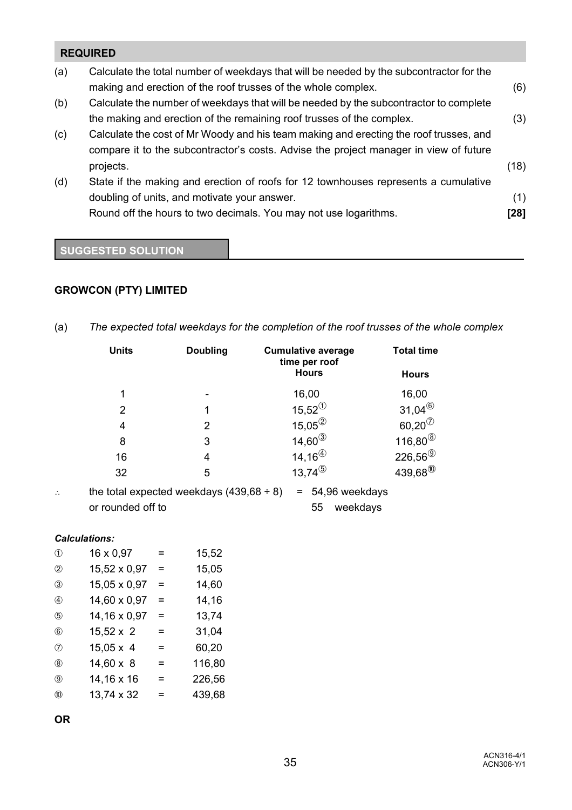# **REQUIRED**

| (a) | Calculate the total number of weekdays that will be needed by the subcontractor for the |      |
|-----|-----------------------------------------------------------------------------------------|------|
|     | making and erection of the roof trusses of the whole complex.                           | (6)  |
| (b) | Calculate the number of weekdays that will be needed by the subcontractor to complete   |      |
|     | the making and erection of the remaining roof trusses of the complex.                   | (3)  |
| (c) | Calculate the cost of Mr Woody and his team making and erecting the roof trusses, and   |      |
|     | compare it to the subcontractor's costs. Advise the project manager in view of future   |      |
|     | projects.                                                                               | (18) |
| (d) | State if the making and erection of roofs for 12 townhouses represents a cumulative     |      |
|     | doubling of units, and motivate your answer.                                            | (1)  |
|     | Round off the hours to two decimals. You may not use logarithms.                        | [28] |
|     |                                                                                         |      |

# **SUGGESTED SOLUTION**

# **GROWCON (PTY) LIMITED**

(a) *The expected total weekdays for the completion of the roof trusses of the whole complex*

|   | <b>Units</b>      | Doubling                                      | <b>Cumulative average</b><br>time per roof | <b>Total time</b>       |
|---|-------------------|-----------------------------------------------|--------------------------------------------|-------------------------|
|   |                   |                                               | <b>Hours</b>                               | <b>Hours</b>            |
|   | 1                 |                                               | 16,00                                      | 16,00                   |
|   | 2                 |                                               | $15,52^{(1)}$                              | $31,04^{\circledR}$     |
|   | 4                 | 2                                             | $15,05^{(2)}$                              | $60,20^{(7)}$           |
|   | 8                 | 3                                             | $14,60^{\circledS}$                        | $116,80^{\circledS}$    |
|   | 16                | 4                                             | $14, 16^{(4)}$                             | $226,56^{\circledcirc}$ |
|   | 32                | 5                                             | $13,74^{(5)}$                              | $439,68^{00}$           |
| ∴ |                   | the total expected weekdays $(439,68 \div 8)$ | 54,96 weekdays<br>$=$                      |                         |
|   | or rounded off to |                                               | 55<br>weekdays                             |                         |

#### *Calculations:*

| $^{\circledR}$ | 16 x 0,97        | =   | 15,52  |
|----------------|------------------|-----|--------|
| $^{\circledR}$ | 15,52 x 0,97     | $=$ | 15,05  |
| $^{\circledR}$ | 15,05 x 0,97     | $=$ | 14,60  |
| $\circled{4}$  | 14,60 x 0,97     | $=$ | 14,16  |
| $\circledS$    | 14,16 x 0,97     | $=$ | 13,74  |
| $\circledcirc$ | $15,52 \times 2$ | =   | 31,04  |
| (7)            | $15,05 \times 4$ | =   | 60,20  |
| (8)            | $14,60 \times 8$ | =   | 116,80 |
| $\circledcirc$ | 14,16 x 16       | =   | 226,56 |
| $^{\circledR}$ | 13,74 x 32       | =   | 439,68 |

**OR**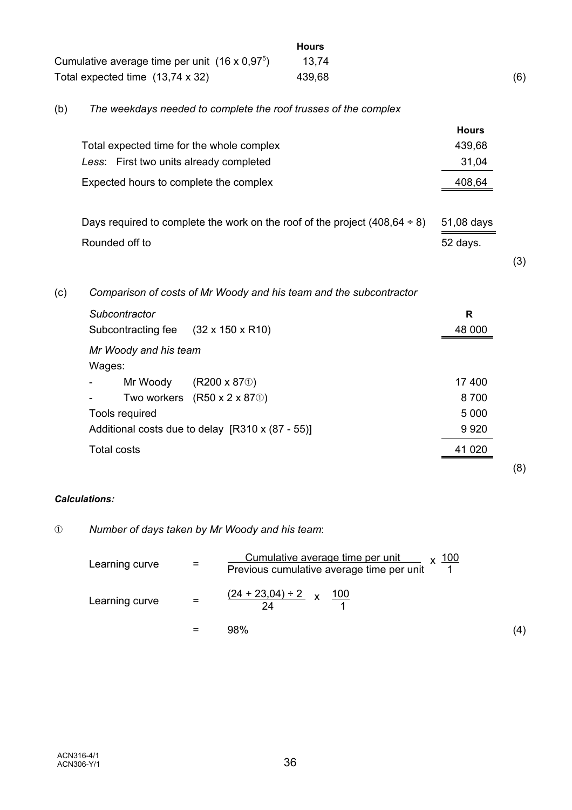|     |                                                                                  | <b>Hours</b> |              |     |
|-----|----------------------------------------------------------------------------------|--------------|--------------|-----|
|     | Cumulative average time per unit $(16 \times 0.97^5)$                            | 13,74        |              |     |
|     | Total expected time $(13,74 \times 32)$                                          | 439,68       |              | (6) |
| (b) | The weekdays needed to complete the roof trusses of the complex                  |              |              |     |
|     |                                                                                  |              | <b>Hours</b> |     |
|     | Total expected time for the whole complex                                        |              | 439,68       |     |
|     | Less: First two units already completed                                          |              | 31,04        |     |
|     | Expected hours to complete the complex                                           |              | 408,64       |     |
|     | Days required to complete the work on the roof of the project $(408, 64 \div 8)$ |              | 51,08 days   |     |
|     | Rounded off to                                                                   |              | 52 days.     |     |
|     |                                                                                  |              |              | (3) |
| (c) | Comparison of costs of Mr Woody and his team and the subcontractor               |              |              |     |
|     | Subcontractor                                                                    |              | R            |     |
|     | $(32 \times 150 \times R10)$<br>Subcontracting fee                               |              | 48 000       |     |

### *Calculations:*

# â *Number of days taken by Mr Woody and his team*:

Additional costs due to delay [R310 x (87 - 55)]

*Mr Woody and his team*

- Mr Woody  $(R200 \times 870)$ - Two workers  $(R50 \times 2 \times 870)$ 

Wages:

Tools required

| Learning curve | =   | Cumulative average time per unit $\times 100$<br>Previous cumulative average time per unit |     |
|----------------|-----|--------------------------------------------------------------------------------------------|-----|
| Learning curve | $=$ | $(24 + 23.04) \div 2$ x 100                                                                |     |
|                |     | 98%                                                                                        | (4) |

Total costs 41 020

(8)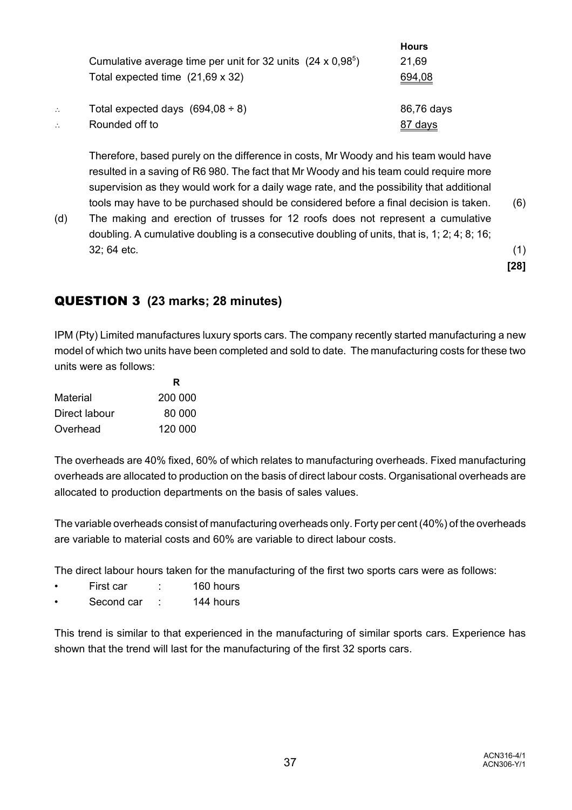|                |                                                                    | <b>Hours</b> |
|----------------|--------------------------------------------------------------------|--------------|
|                | Cumulative average time per unit for 32 units $(24 \times 0.98^5)$ | 21,69        |
|                | Total expected time $(21,69 \times 32)$                            | 694,08       |
| $\ddot{\cdot}$ | Total expected days $(694,08 \div 8)$                              | 86,76 days   |
|                | Rounded off to                                                     | 87 days      |

Therefore, based purely on the difference in costs, Mr Woody and his team would have resulted in a saving of R6 980. The fact that Mr Woody and his team could require more supervision as they would work for a daily wage rate, and the possibility that additional tools may have to be purchased should be considered before a final decision is taken. (6)

(d) The making and erection of trusses for 12 roofs does not represent a cumulative doubling. A cumulative doubling is a consecutive doubling of units, that is, 1; 2; 4; 8; 16; 32; 64 etc. (1)

**[28]**

# QUESTION 3 **(23 marks; 28 minutes)**

IPM (Pty) Limited manufactures luxury sports cars. The company recently started manufacturing a new model of which two units have been completed and sold to date. The manufacturing costs for these two units were as follows:

|               | R       |
|---------------|---------|
| Material      | 200 000 |
| Direct labour | 80.000  |
| Overhead      | 120 000 |

The overheads are 40% fixed, 60% of which relates to manufacturing overheads. Fixed manufacturing overheads are allocated to production on the basis of direct labour costs. Organisational overheads are allocated to production departments on the basis of sales values.

The variable overheads consist of manufacturing overheads only. Forty per cent (40%) of the overheads are variable to material costs and 60% are variable to direct labour costs.

The direct labour hours taken for the manufacturing of the first two sports cars were as follows:

- First car : 160 hours
- Second car : 144 hours

This trend is similar to that experienced in the manufacturing of similar sports cars. Experience has shown that the trend will last for the manufacturing of the first 32 sports cars.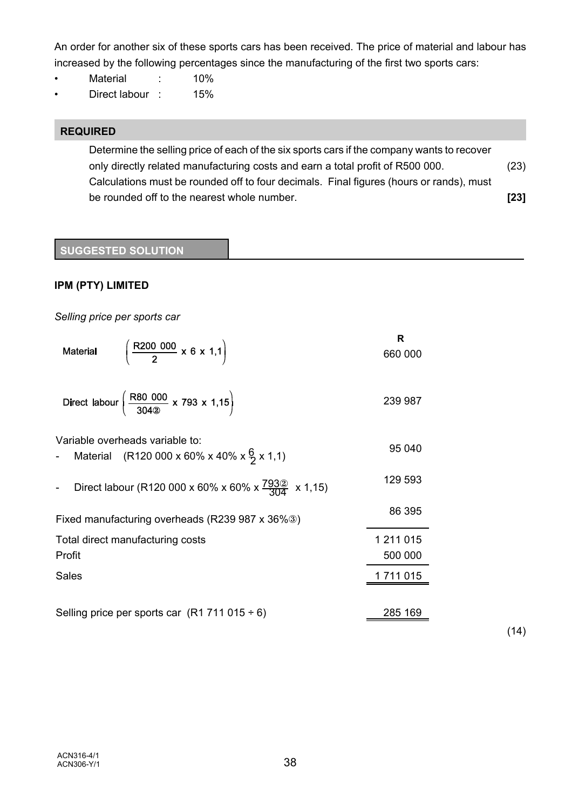An order for another six of these sports cars has been received. The price of material and labour has increased by the following percentages since the manufacturing of the first two sports cars:

- Material : 10%
- Direct labour : 15%

### **REQUIRED**

Determine the selling price of each of the six sports cars if the company wants to recover only directly related manufacturing costs and earn a total profit of R500 000. (23) Calculations must be rounded off to four decimals. Final figures (hours or rands), must be rounded off to the nearest whole number. **[23]**

### **SUGGESTED SOLUTION**

### **IPM (PTY) LIMITED**

*Selling price per sports car*

| $\frac{R200\ 000}{2} \times 6 \times 1,1$<br><b>Material</b>                                  | R<br>660 000 |      |
|-----------------------------------------------------------------------------------------------|--------------|------|
| Direct labour $\left(\frac{\text{R80 000}}{304\text{°}} \times 793 \times 1,15\right)$        | 239 987      |      |
| Variable overheads variable to:<br>Material (R120 000 x 60% x 40% x $\frac{6}{2}$ x 1,1)<br>- | 95 040       |      |
| Direct labour (R120 000 x 60% x 60% x $\frac{793}{304}$ x 1,15)<br>$\overline{\phantom{a}}$   | 129 593      |      |
| Fixed manufacturing overheads (R239 987 x 36%3)                                               | 86 395       |      |
| Total direct manufacturing costs                                                              | 1 211 015    |      |
| Profit                                                                                        | 500 000      |      |
| <b>Sales</b>                                                                                  | 1 711 015    |      |
| Selling price per sports car $(R1 711 015 \div 6)$                                            | 285 169      | (14) |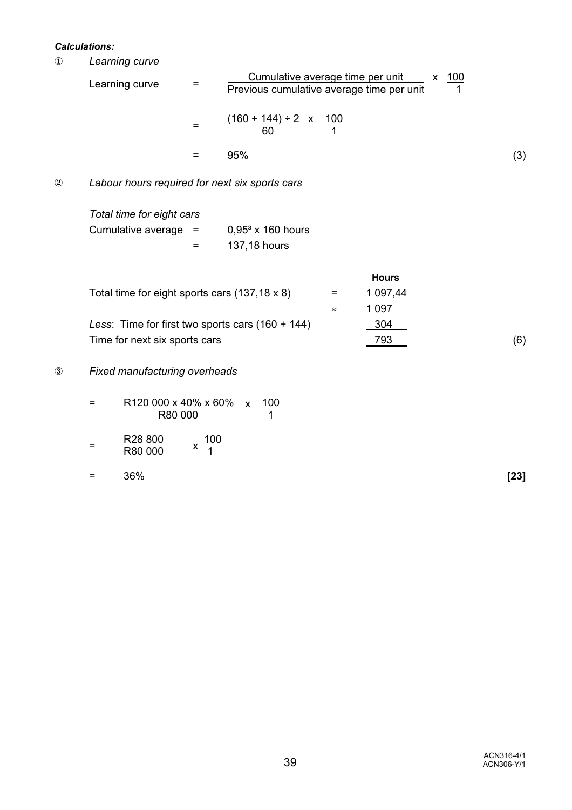#### *Calculations:*

Î *Learning curve*

| Learning curve | Cumulative average time per unit x 100<br>Previous cumulative average time per unit |     |
|----------------|-------------------------------------------------------------------------------------|-----|
|                | $(160 + 144) \div 2$ x<br>-100<br>60                                                |     |
|                | 95%                                                                                 | (3) |

# 2 Labour hours required for next six sports cars

| Total time for eight cars |     |                     |
|---------------------------|-----|---------------------|
| Cumulative average $=$    |     | $0.953$ x 160 hours |
|                           | $=$ | 137,18 hours        |

|                                                       |           | <b>Hours</b> |     |
|-------------------------------------------------------|-----------|--------------|-----|
| Total time for eight sports cars $(137, 18 \times 8)$ | $=$       | 1 097,44     |     |
|                                                       | $\approx$ | 1 097        |     |
| Less: Time for first two sports cars $(160 + 144)$    |           | 304          |     |
| Time for next six sports cars                         |           | 793          | (6) |

### Ð *Fixed manufacturing overheads*

| = | R120 000 x 40% x 60% x | 100 |
|---|------------------------|-----|
|   | R80 000                |     |
|   |                        |     |

- = R28 800 x 10<br>R80 000 x 1  $x \frac{100}{1}$
- = 36% **[23]**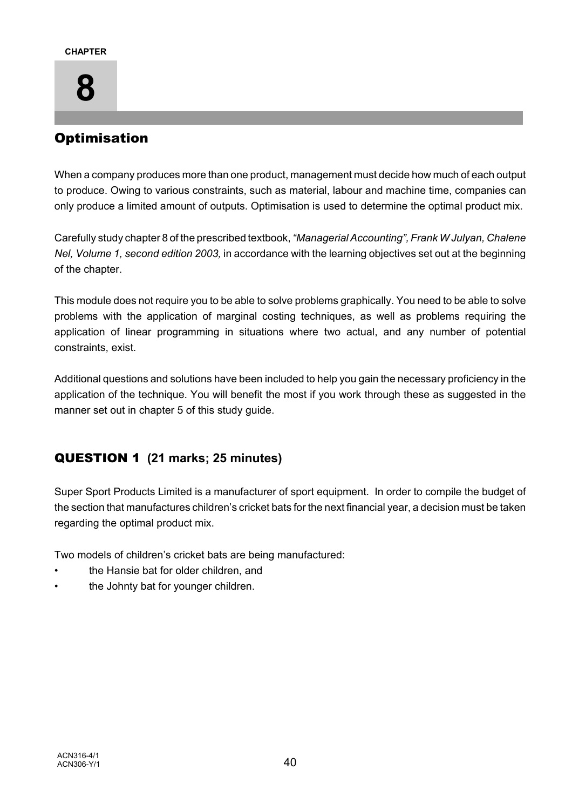

# **Optimisation**

When a company produces more than one product, management must decide how much of each output to produce. Owing to various constraints, such as material, labour and machine time, companies can only produce a limited amount of outputs. Optimisation is used to determine the optimal product mix.

Carefully study chapter 8 of the prescribed textbook, *"Managerial Accounting", Frank W Julyan, Chalene Nel, Volume 1, second edition 2003,* in accordance with the learning objectives set out at the beginning of the chapter.

This module does not require you to be able to solve problems graphically. You need to be able to solve problems with the application of marginal costing techniques, as well as problems requiring the application of linear programming in situations where two actual, and any number of potential constraints, exist.

Additional questions and solutions have been included to help you gain the necessary proficiency in the application of the technique. You will benefit the most if you work through these as suggested in the manner set out in chapter 5 of this study guide.

# QUESTION 1 **(21 marks; 25 minutes)**

Super Sport Products Limited is a manufacturer of sport equipment. In order to compile the budget of the section that manufactures children's cricket bats for the next financial year, a decision must be taken regarding the optimal product mix.

Two models of children's cricket bats are being manufactured:

- the Hansie bat for older children, and
- the Johnty bat for younger children.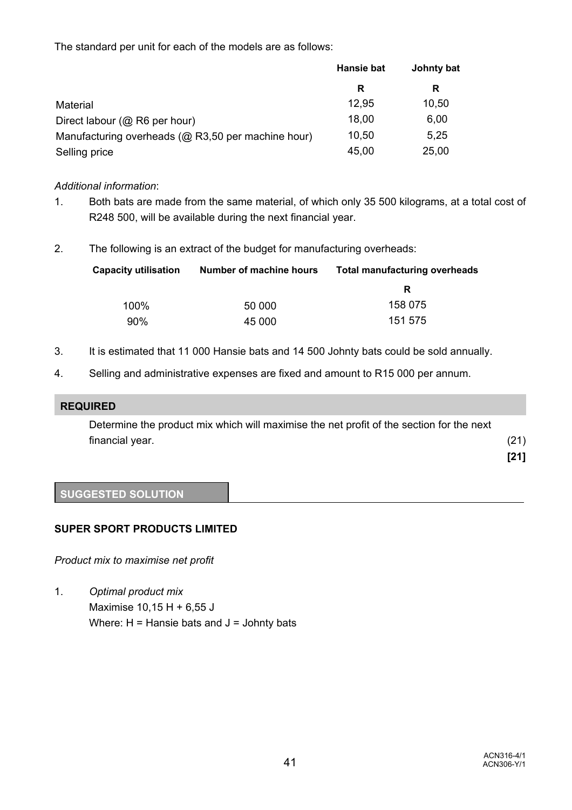The standard per unit for each of the models are as follows:

|                                                    | Hansie bat | Johnty bat |  |
|----------------------------------------------------|------------|------------|--|
|                                                    | R          | R          |  |
| Material                                           | 12,95      | 10,50      |  |
| Direct labour (@ R6 per hour)                      | 18,00      | 6,00       |  |
| Manufacturing overheads (@ R3,50 per machine hour) | 10,50      | 5,25       |  |
| Selling price                                      | 45,00      | 25,00      |  |

### *Additional information*:

- 1. Both bats are made from the same material, of which only 35 500 kilograms, at a total cost of R248 500, will be available during the next financial year.
- 2. The following is an extract of the budget for manufacturing overheads:

| <b>Capacity utilisation</b> | Number of machine hours | <b>Total manufacturing overheads</b> |
|-----------------------------|-------------------------|--------------------------------------|
|                             |                         | R                                    |
| $100\%$                     | 50 000                  | 158 075                              |
| 90%                         | 45 000                  | 151 575                              |

- 3. It is estimated that 11 000 Hansie bats and 14 500 Johnty bats could be sold annually.
- 4. Selling and administrative expenses are fixed and amount to R15 000 per annum.

### **REQUIRED**

Determine the product mix which will maximise the net profit of the section for the next financial year. (21)

**[21]**

# **SUGGESTED SOLUTION**

### **SUPER SPORT PRODUCTS LIMITED**

*Product mix to maximise net profit* 

1. *Optimal product mix* Maximise 10,15 H + 6,55 J Where:  $H =$  Hansie bats and  $J =$  Johnty bats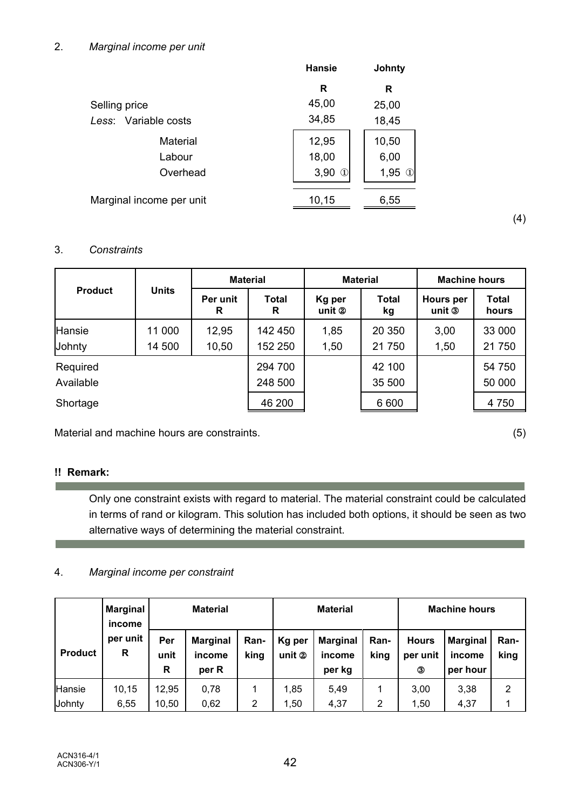|                          | <b>Hansie</b>         | <b>Johnty</b>         |
|--------------------------|-----------------------|-----------------------|
|                          | R                     | R                     |
| Selling price            | 45,00                 | 25,00                 |
| Less: Variable costs     | 34,85                 | 18,45                 |
| Material                 | 12,95                 | 10,50                 |
| Labour                   | 18,00                 | 6,00                  |
| Overhead                 | 3,90<br>$\circled{1}$ | 1,95<br>$\circled{1}$ |
| Marginal income per unit | 10,15                 | 6,55                  |

# 3. *Constraints*

|                         |                  |                | <b>Material</b>    |                  | <b>Material</b>    | <b>Machine hours</b>            |                       |  |
|-------------------------|------------------|----------------|--------------------|------------------|--------------------|---------------------------------|-----------------------|--|
| <b>Product</b>          | <b>Units</b>     | Per unit<br>R  | <b>Total</b><br>R  | Kg per<br>unit 2 | <b>Total</b><br>kg | Hours per<br>unit $\circled{3}$ | <b>Total</b><br>hours |  |
| <b>Hansie</b><br>Johnty | 11 000<br>14 500 | 12,95<br>10,50 | 142 450<br>152 250 | 1,85<br>1,50     | 20 350<br>21750    | 3,00<br>1,50                    | 33 000<br>21 750      |  |
| Required<br>Available   |                  |                | 294 700<br>248 500 |                  | 42 100<br>35 500   |                                 | 54 750<br>50 000      |  |
| Shortage                |                  |                | 46 200             |                  | 6 600              |                                 | 4 7 5 0               |  |

Material and machine hours are constraints. (5)

# **!! Remark:**

**College** 

Only one constraint exists with regard to material. The material constraint could be calculated in terms of rand or kilogram. This solution has included both options, it should be seen as two alternative ways of determining the material constraint.

# 4. *Marginal income per constraint*

|                | <b>Marginal</b><br>income | <b>Material</b><br><b>Material</b> |                                    |                     | <b>Machine hours</b> |                                     |              |                               |                                       |              |
|----------------|---------------------------|------------------------------------|------------------------------------|---------------------|----------------------|-------------------------------------|--------------|-------------------------------|---------------------------------------|--------------|
| <b>Product</b> | per unit<br>R             | Per<br>unit<br>R                   | <b>Marginal</b><br>income<br>per R | <b>Ran-</b><br>king | Kg per<br>unit 2     | <b>Marginal</b><br>income<br>per kg | Ran-<br>king | <b>Hours</b><br>per unit<br>3 | <b>Marginal</b><br>income<br>per hour | Ran-<br>king |
| Hansie         | 10,15                     | 12.95                              | 0,78                               |                     | 1,85                 | 5,49                                |              | 3,00                          | 3,38                                  | 2            |
| Johnty         | 6,55                      | 10,50                              | 0,62                               | 2                   | 1,50                 | 4,37                                | 2            | 1.50                          | 4,37                                  |              |

(4)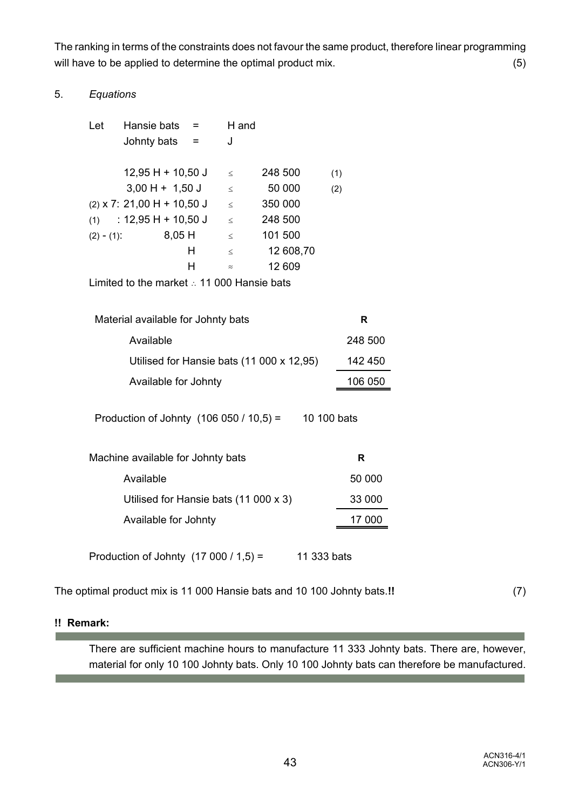The ranking in terms of the constraints does not favour the same product, therefore linear programming will have to be applied to determine the optimal product mix. (5)

### 5. *Equations*

| Let           | Hansie bats                  | $=$ | H and     |           |     |
|---------------|------------------------------|-----|-----------|-----------|-----|
|               | Johnty bats                  | $=$ | J         |           |     |
|               | $12,95$ H + 10,50 J          |     | $\,<$     | 248 500   | (1) |
|               | $3,00$ H + 1,50 J            |     | $\leq$    | 50 000    | (2) |
|               | $(2)$ x 7: 21,00 H + 10,50 J |     | $\,<$     | 350 000   |     |
| (1)           | : 12,95 H + 10,50 J          |     | $\,<$     | 248 500   |     |
| $(2) - (1)$ : | $8,05$ H                     |     | $\,<$     | 101 500   |     |
|               |                              | н   | $\leq$    | 12 608,70 |     |
|               |                              | н   | $\approx$ | 12 609    |     |
|               |                              |     |           |           |     |

Limited to the market  $\therefore$  11 000 Hansie bats

| Material available for Johnty bats                       | R       |
|----------------------------------------------------------|---------|
| Available                                                | 248 500 |
| Utilised for Hansie bats (11 000 x 12,95)                | 142 450 |
| Available for Johnty                                     | 106 050 |
| Production of Johnty $(106 050 / 10,5) =$<br>10 100 bats |         |

| Machine available for Johnty bats     | R      |
|---------------------------------------|--------|
| Available                             | 50 000 |
| Utilised for Hansie bats (11 000 x 3) | 33 000 |
| Available for Johnty                  | 17 000 |
|                                       |        |

Production of Johnty  $(17\ 000/1,5) =$  11 333 bats

The optimal product mix is 11 000 Hansie bats and 10 100 Johnty bats.**!!** (7)

### **!! Remark:**

**Contract** 

**Contract Contract** 

There are sufficient machine hours to manufacture 11 333 Johnty bats. There are, however, material for only 10 100 Johnty bats. Only 10 100 Johnty bats can therefore be manufactured.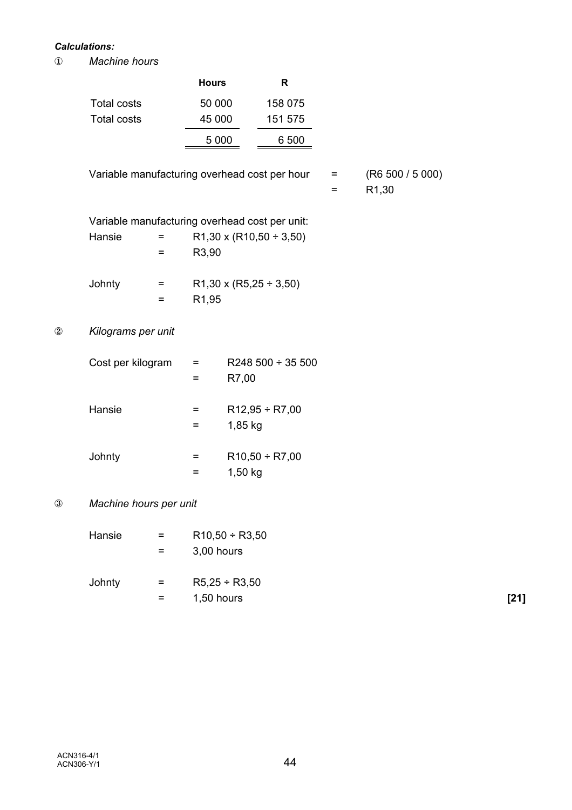### *Calculations:*

Î *Machine hours*

|                |                                                |     | <b>Hours</b>       |                     | R                                 |          |                                        |  |
|----------------|------------------------------------------------|-----|--------------------|---------------------|-----------------------------------|----------|----------------------------------------|--|
|                | <b>Total costs</b>                             |     | 50 000             |                     | 158 075                           |          |                                        |  |
|                | <b>Total costs</b>                             |     | 45 000             |                     | 151 575                           |          |                                        |  |
|                |                                                |     | 5 0 0 0            |                     | 6 500                             |          |                                        |  |
|                | Variable manufacturing overhead cost per hour  |     |                    |                     |                                   | $=$<br>= | (R6 500 / 5 000)<br>R <sub>1</sub> ,30 |  |
|                | Variable manufacturing overhead cost per unit: |     |                    |                     |                                   |          |                                        |  |
|                | Hansie                                         | $=$ |                    |                     | $R1,30 \times (R10,50 \div 3,50)$ |          |                                        |  |
|                |                                                | =   | R3,90              |                     |                                   |          |                                        |  |
|                | Johnty                                         | Ξ.  |                    |                     | R1,30 x (R5,25 $\div$ 3,50)       |          |                                        |  |
|                |                                                | =   | R <sub>1</sub> ,95 |                     |                                   |          |                                        |  |
| $^{\circledR}$ | Kilograms per unit                             |     |                    |                     |                                   |          |                                        |  |
|                | Cost per kilogram                              |     | =                  |                     | R248 500 $\div$ 35 500            |          |                                        |  |
|                |                                                |     | $=$                | R7,00               |                                   |          |                                        |  |
|                | Hansie                                         |     | Ξ                  |                     | $R12,95 \div R7,00$               |          |                                        |  |
|                |                                                |     | Ξ                  | 1,85 kg             |                                   |          |                                        |  |
|                | Johnty                                         |     | Ξ                  |                     | $R10,50 \div R7,00$               |          |                                        |  |
|                |                                                |     | =                  | 1,50 kg             |                                   |          |                                        |  |
| $^\circledR$   | Machine hours per unit                         |     |                    |                     |                                   |          |                                        |  |
|                | Hansie                                         | =   |                    | $R10,50 \div R3,50$ |                                   |          |                                        |  |
|                |                                                | =   | 3,00 hours         |                     |                                   |          |                                        |  |
|                | Johnty                                         | Ξ.  |                    | $R5,25 \div R3,50$  |                                   |          |                                        |  |

= 1,50 hours **[21]**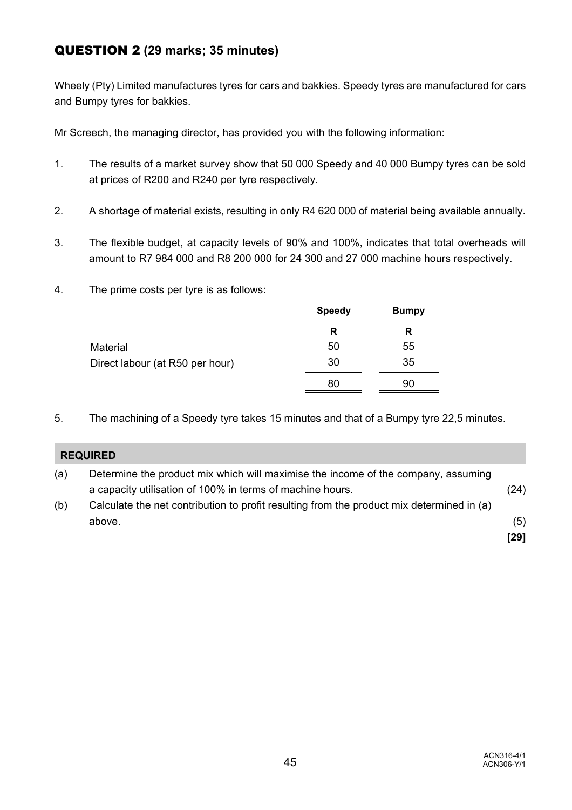# QUESTION 2 **(29 marks; 35 minutes)**

Wheely (Pty) Limited manufactures tyres for cars and bakkies. Speedy tyres are manufactured for cars and Bumpy tyres for bakkies.

Mr Screech, the managing director, has provided you with the following information:

- 1. The results of a market survey show that 50 000 Speedy and 40 000 Bumpy tyres can be sold at prices of R200 and R240 per tyre respectively.
- 2. A shortage of material exists, resulting in only R4 620 000 of material being available annually.
- 3. The flexible budget, at capacity levels of 90% and 100%, indicates that total overheads will amount to R7 984 000 and R8 200 000 for 24 300 and 27 000 machine hours respectively.
- 4. The prime costs per tyre is as follows:

|                                 | <b>Speedy</b> | <b>Bumpy</b> |
|---------------------------------|---------------|--------------|
|                                 | R             | R            |
| Material                        | 50            | 55           |
| Direct labour (at R50 per hour) | 30            | 35           |
|                                 | 80            | 90           |
|                                 |               |              |

5. The machining of a Speedy tyre takes 15 minutes and that of a Bumpy tyre 22,5 minutes.

|     | <b>REQUIRED</b>                                                                                                                                |               |
|-----|------------------------------------------------------------------------------------------------------------------------------------------------|---------------|
| (a) | Determine the product mix which will maximise the income of the company, assuming<br>a capacity utilisation of 100% in terms of machine hours. | (24)          |
| (b) | Calculate the net contribution to profit resulting from the product mix determined in (a)<br>above.                                            | (5)<br>$[29]$ |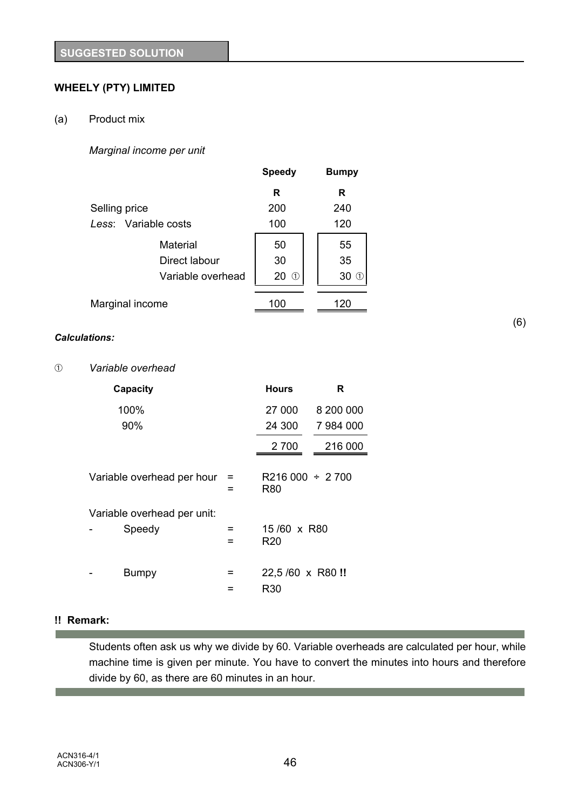# **WHEELY (PTY) LIMITED**

### (a) Product mix

### *Marginal income per unit*

|                      | <b>Speedy</b> | <b>Bumpy</b> |
|----------------------|---------------|--------------|
|                      | R             | R            |
| Selling price        | 200           | 240          |
| Less: Variable costs | 100           | 120          |
| Material             | 50            | 55           |
| Direct labour        | 30            | 35           |
| Variable overhead    | 20<br>(T)     | 30<br>(1)    |
| Marginal income      | 100           | 120          |

### *Calculations:*

#### â *Variable overhead*

| Capacity                              |        | <b>Hours</b>                   | R         |
|---------------------------------------|--------|--------------------------------|-----------|
| 100%                                  |        | 27 000                         | 8 200 000 |
| 90%                                   |        | 24 300                         | 7 984 000 |
|                                       |        | 2 700                          | 216 000   |
| Variable overhead per hour            |        | $R216000 \div 2700$<br>R80     |           |
| Variable overhead per unit:<br>Speedy | =<br>= | 15/60 x R80<br>R <sub>20</sub> |           |
| Bumpy                                 | =      | 22,5/60 x R80!!<br>R30         |           |

# **!! Remark:**

**Contract Contract** 

Students often ask us why we divide by 60. Variable overheads are calculated per hour, while machine time is given per minute. You have to convert the minutes into hours and therefore divide by 60, as there are 60 minutes in an hour.

(6)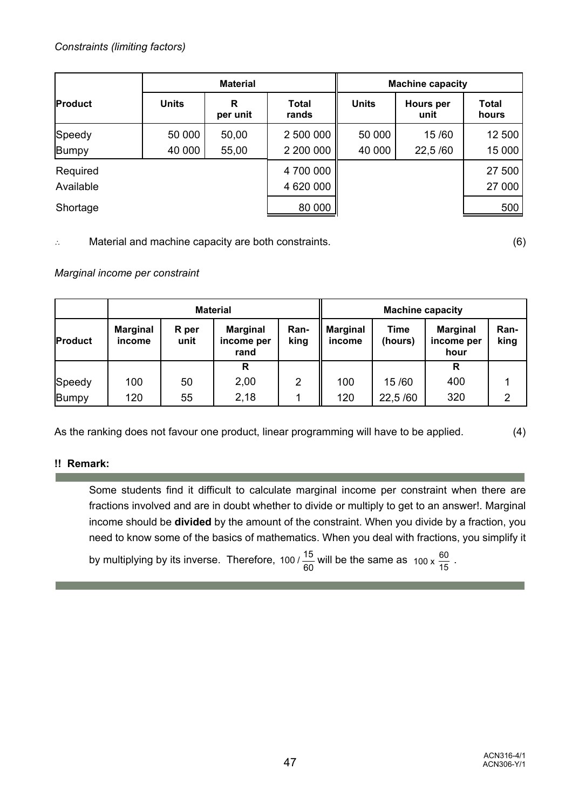|                       | <b>Material</b>  |                |                        | <b>Machine capacity</b> |                   |                       |
|-----------------------|------------------|----------------|------------------------|-------------------------|-------------------|-----------------------|
| Product               | <b>Units</b>     | R<br>per unit  | <b>Total</b><br>rands  | <b>Units</b>            | Hours per<br>unit | <b>Total</b><br>hours |
| Speedy<br>Bumpy       | 50 000<br>40 000 | 50,00<br>55,00 | 2 500 000<br>2 200 000 | 50 000<br>40 000        | 15/60<br>22,5/60  | 12 500<br>15 000      |
| Required<br>Available |                  |                | 4700000<br>4 620 000   |                         |                   | 27 500<br>27 000      |
| Shortage              |                  |                | 80 000                 |                         |                   | 500                   |

 $\therefore$  Material and machine capacity are both constraints.  $(6)$ 

# *Marginal income per constraint*

|                | <b>Material</b>           |               |                                       |              | <b>Machine capacity</b>   |                        |                                       |              |
|----------------|---------------------------|---------------|---------------------------------------|--------------|---------------------------|------------------------|---------------------------------------|--------------|
| <b>Product</b> | <b>Marginal</b><br>income | R per<br>unit | <b>Marginal</b><br>income per<br>rand | Ran-<br>king | <b>Marginal</b><br>income | <b>Time</b><br>(hours) | <b>Marginal</b><br>income per<br>hour | Ran-<br>king |
|                |                           |               | R                                     |              |                           |                        | R                                     |              |
| Speedy         | 100                       | 50            | 2,00                                  | 2            | 100                       | 15/60                  | 400                                   |              |
| Bumpy          | 120                       | 55            | 2,18                                  |              | 120                       | 22,5/60                | 320                                   | 2            |

As the ranking does not favour one product, linear programming will have to be applied. (4)

### **!! Remark:**

Some students find it difficult to calculate marginal income per constraint when there are fractions involved and are in doubt whether to divide or multiply to get to an answer!. Marginal income should be **divided** by the amount of the constraint. When you divide by a fraction, you need to know some of the basics of mathematics. When you deal with fractions, you simplify it

by multiplying by its inverse. Therefore, 100 /  $\frac{15}{60}$  will be the same as  $100 \times \frac{60}{15}$ .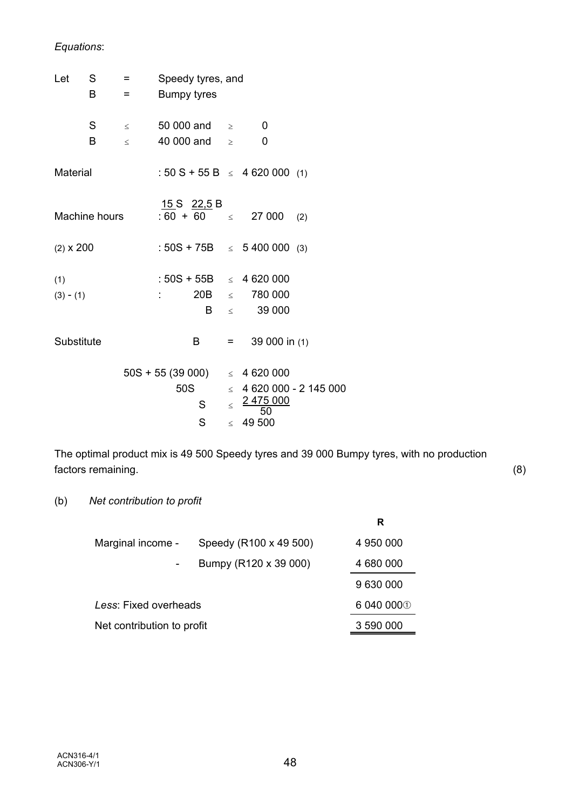# *Equations*:

| Let              | S             | $=$    | Speedy tyres, and  |                          |         |                                    |                              |  |  |
|------------------|---------------|--------|--------------------|--------------------------|---------|------------------------------------|------------------------------|--|--|
|                  | B             | $=$    | <b>Bumpy tyres</b> |                          |         |                                    |                              |  |  |
|                  | S             |        |                    | $\leq$ 50 000 and $\geq$ |         | - 0                                |                              |  |  |
|                  | B             | $\leq$ |                    | 40 000 and $\ge$         |         | 0                                  |                              |  |  |
| Material         |               |        |                    |                          |         | : 50 S + 55 B $\leq$ 4 620 000 (1) |                              |  |  |
|                  | Machine hours |        |                    | <u>15 S 22,5</u> B       |         | $:60 + 60 \leq 27000$              | (2)                          |  |  |
| $(2) \times 200$ |               |        |                    |                          |         | : $50S + 75B \le 5400000$ (3)      |                              |  |  |
| (1)              |               |        |                    |                          |         | : $50S + 55B \leq 4620000$         |                              |  |  |
| $(3) - (1)$      |               |        |                    |                          |         | $20B \quad \leq \quad 780\,000$    |                              |  |  |
|                  |               |        |                    | B                        |         | 39 000<br>$<$ $\qquad$             |                              |  |  |
| Substitute       |               |        |                    | B                        | $=$ $-$ | 39 000 in (1)                      |                              |  |  |
|                  |               |        |                    | $50S + 55(39000)$        |         | $\leq$ 4 620 000                   |                              |  |  |
|                  |               |        | 50S                |                          |         |                                    | $\leq$ 4 620 000 - 2 145 000 |  |  |
|                  |               |        |                    | S.                       | $\leq$  | 2475000<br>50                      |                              |  |  |
|                  |               |        |                    | S                        | $\lt$   | 49 500                             |                              |  |  |

The optimal product mix is 49 500 Speedy tyres and 39 000 Bumpy tyres, with no production factors remaining. (8)

(b) *Net contribution to profit*

|                            |                        | R          |
|----------------------------|------------------------|------------|
| Marginal income -          | Speedy (R100 x 49 500) | 4 950 000  |
|                            | Bumpy (R120 x 39 000)  | 4 680 000  |
|                            |                        | 9 630 000  |
| Less: Fixed overheads      |                        | 6 040 000① |
| Net contribution to profit | 3 590 000              |            |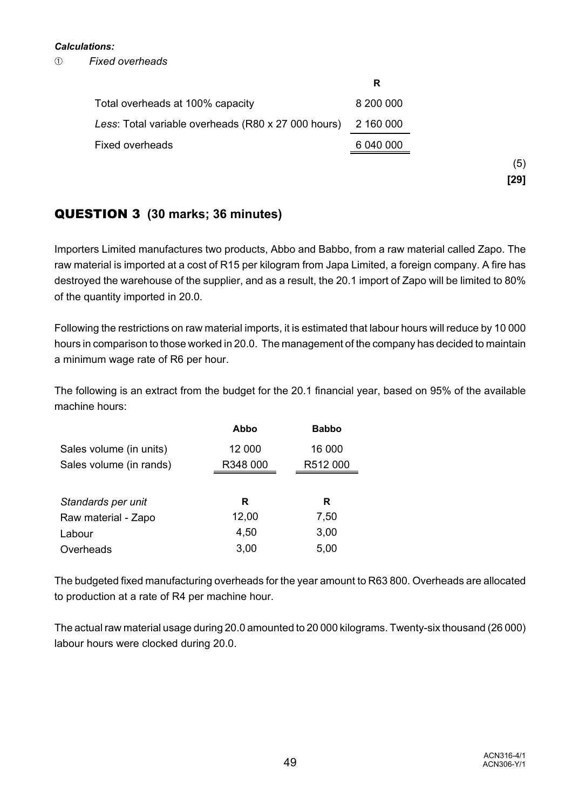### *Calculations:*

â *Fixed overheads*

|                                                     | R         |
|-----------------------------------------------------|-----------|
| Total overheads at 100% capacity                    | 8 200 000 |
| Less: Total variable overheads (R80 x 27 000 hours) | 2 160 000 |
| <b>Fixed overheads</b>                              | 6 040 000 |
|                                                     |           |
|                                                     |           |

# QUESTION 3 **(30 marks; 36 minutes)**

Importers Limited manufactures two products, Abbo and Babbo, from a raw material called Zapo. The raw material is imported at a cost of R15 per kilogram from Japa Limited, a foreign company. A fire has destroyed the warehouse of the supplier, and as a result, the 20.1 import of Zapo will be limited to 80% of the quantity imported in 20.0.

Following the restrictions on raw material imports, it is estimated that labour hours will reduce by 10 000 hours in comparison to those worked in 20.0. The management of the company has decided to maintain a minimum wage rate of R6 per hour.

The following is an extract from the budget for the 20.1 financial year, based on 95% of the available machine hours:

|                         | Abbo     | <b>Babbo</b> |
|-------------------------|----------|--------------|
| Sales volume (in units) | 12 000   | 16 000       |
| Sales volume (in rands) | R348 000 | R512 000     |
|                         |          |              |
| Standards per unit      | R        | R            |
| Raw material - Zapo     | 12,00    | 7,50         |
| Labour                  | 4,50     | 3,00         |
| Overheads               | 3,00     | 5,00         |

The budgeted fixed manufacturing overheads for the year amount to R63 800. Overheads are allocated to production at a rate of R4 per machine hour.

The actual raw material usage during 20.0 amounted to 20 000 kilograms. Twenty-six thousand (26 000) labour hours were clocked during 20.0.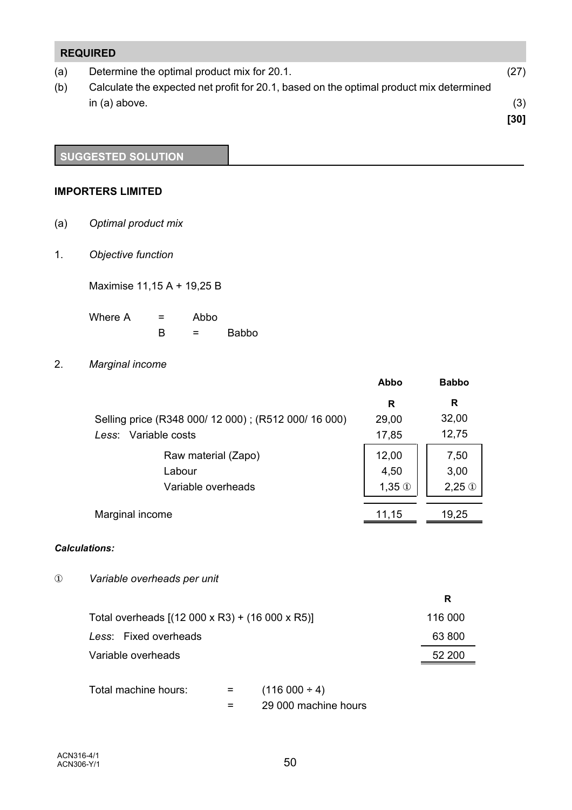# **REQUIRED** (a) Determine the optimal product mix for 20.1. (27) (b) Calculate the expected net profit for 20.1, based on the optimal product mix determined  $\ln(a)$  above. (3) **[30]**

# **SUGGESTED SOLUTION**

### **IMPORTERS LIMITED**

- (a) *Optimal product mix*
- 1. *Objective function*

Maximise 11,15 A + 19,25 B

Where  $A = Abbo$  $B =$ Babbo

2. *Marginal income*

|                                                      | Abbo          | <b>Babbo</b>  |
|------------------------------------------------------|---------------|---------------|
|                                                      | R             | R             |
| Selling price (R348 000/ 12 000); (R512 000/ 16 000) | 29,00         | 32,00         |
| Less: Variable costs                                 | 17,85         | 12,75         |
| Raw material (Zapo)                                  | 12,00         | 7,50          |
| Labour                                               | 4,50          | 3,00          |
| Variable overheads                                   | $1,35 \oplus$ | $2,25 \oplus$ |
| Marginal income                                      | 11,15         | 19,25         |

### *Calculations:*

Î *Variable overheads per unit*

|                                                         | R       |
|---------------------------------------------------------|---------|
| Total overheads $[(12\ 000\ x\ R3) + (16\ 000\ x\ R5)]$ | 116 000 |
| Less: Fixed overheads                                   | 63 800  |
| Variable overheads                                      | 52 200  |

Total machine hours:  $=$  (116 000 ÷ 4) = 29 000 machine hours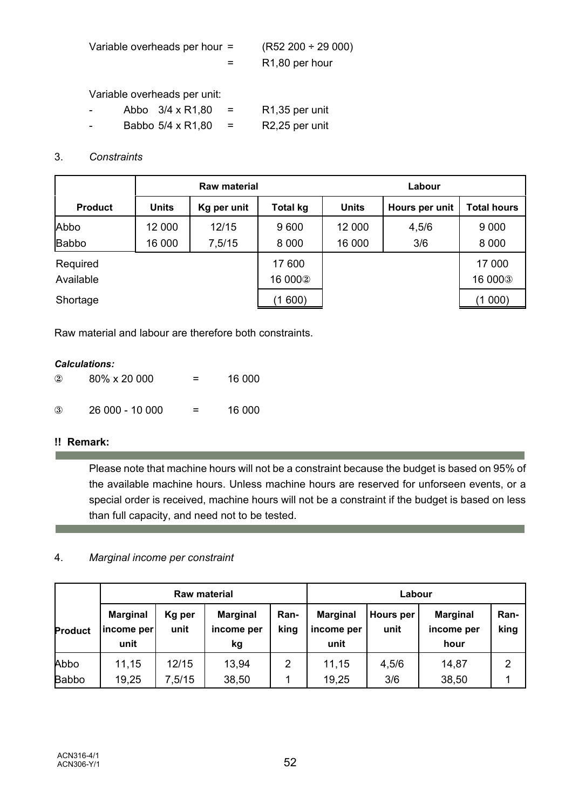| Variable overheads per hour = | $(R52 200 \div 29 000)$     |
|-------------------------------|-----------------------------|
|                               | R <sub>1</sub> ,80 per hour |

Variable overheads per unit:

|  | Abbo 3/4 x R1,80  | $\equiv$ | R <sub>1</sub> ,35 per unit |
|--|-------------------|----------|-----------------------------|
|  | Babbo 5/4 x R1,80 | $\equiv$ | R <sub>2</sub> ,25 per unit |

# 3. *Constraints*

|                | <b>Raw material</b> |             |                 | Labour       |                |                    |
|----------------|---------------------|-------------|-----------------|--------------|----------------|--------------------|
| <b>Product</b> | <b>Units</b>        | Kg per unit | <b>Total kg</b> | <b>Units</b> | Hours per unit | <b>Total hours</b> |
| Abbo           | 12 000              | 12/15       | 9600            | 12 000       | 4,5/6          | 9 0 0 0            |
| Babbo          | 16 000              | 7,5/15      | 8 0 0 0         | 16 000       | 3/6            | 8 0 0 0            |
| Required       |                     |             | 17 600          |              |                | 17 000             |
| Available      |                     |             | 16 0002         |              |                | 16 0003            |
| Shortage       |                     |             | (1600)          |              |                | (1000)             |

Raw material and labour are therefore both constraints.

### *Calculations:*

| $\circled{2}$ | $80\% \times 20000$ | = | 16 000 |
|---------------|---------------------|---|--------|
| $\circled{3}$ | 26 000 - 10 000     | = | 16 000 |

# **!! Remark:**

r.

Please note that machine hours will not be a constraint because the budget is based on 95% of the available machine hours. Unless machine hours are reserved for unforseen events, or a special order is received, machine hours will not be a constraint if the budget is based on less than full capacity, and need not to be tested.

### 4. *Marginal income per constraint*

| <b>Raw material</b> |                                       |                | Labour                              |              |                                       |                          |                                       |                |
|---------------------|---------------------------------------|----------------|-------------------------------------|--------------|---------------------------------------|--------------------------|---------------------------------------|----------------|
| <b>Product</b>      | <b>Marginal</b><br>income per<br>unit | Kg per<br>unit | <b>Marginal</b><br>income per<br>kg | Ran-<br>king | <b>Marginal</b><br>income per<br>unit | <b>Hours</b> per<br>unit | <b>Marginal</b><br>income per<br>hour | Ran-<br>king   |
| Abbo                | 11,15                                 | 12/15          | 13,94                               | 2            | 11,15                                 | 4,5/6                    | 14,87                                 | $\overline{2}$ |
| <b>Babbo</b>        | 19,25                                 | 7,5/15         | 38,50                               |              | 19,25                                 | 3/6                      | 38,50                                 |                |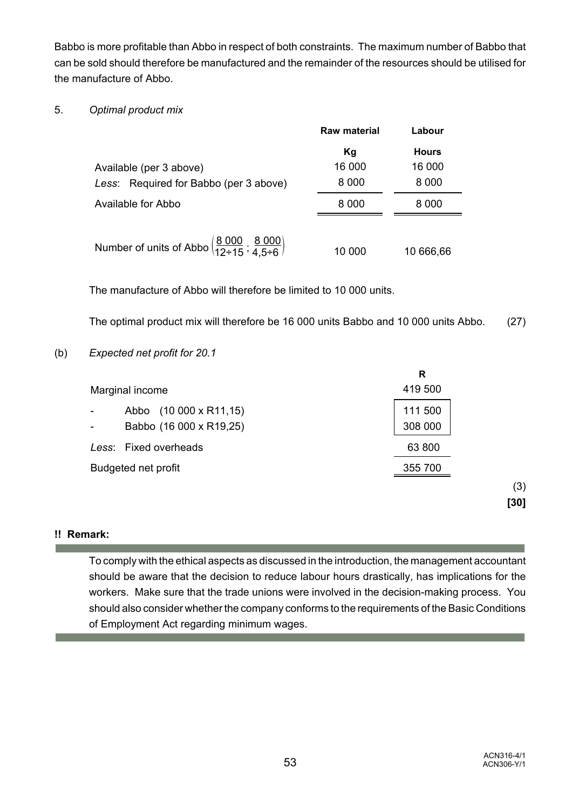Babbo is more profitable than Abbo in respect of both constraints. The maximum number of Babbo that can be sold should therefore be manufactured and the remainder of the resources should be utilised for the manufacture of Abbo.

### 5. *Optimal product mix*

|                                                                                             | <b>Raw material</b> | Labour                 |
|---------------------------------------------------------------------------------------------|---------------------|------------------------|
| Available (per 3 above)                                                                     | Kg<br>16 000        | <b>Hours</b><br>16 000 |
| Less: Required for Babbo (per 3 above)                                                      | 8 0 0 0             | 8 0 0 0                |
| Available for Abbo                                                                          | 8 0 0 0             | 8 000                  |
| Number of units of Abbo $\left(\frac{8\ 000}{12 \div 15}, \frac{8\ 000}{4.5 \div 6}\right)$ | 10 000              | 10 666,66              |

The manufacture of Abbo will therefore be limited to 10 000 units.

The optimal product mix will therefore be 16 000 units Babbo and 10 000 units Abbo. (27)

(b) *Expected net profit for 20.1*

|                                                             | R                  |
|-------------------------------------------------------------|--------------------|
| Marginal income                                             | 419 500            |
| $(10000 \times R11, 15)$<br>Abbo<br>Babbo (16 000 x R19,25) | 111 500<br>308 000 |
| Less: Fixed overheads                                       | 63 800             |
| Budgeted net profit                                         | 355 700            |
|                                                             | (3)                |
|                                                             | [30]               |

### **!! Remark:**

To comply with the ethical aspects as discussed in the introduction, the management accountant should be aware that the decision to reduce labour hours drastically, has implications for the workers. Make sure that the trade unions were involved in the decision-making process. You should also consider whether the company conforms to the requirements of the Basic Conditions of Employment Act regarding minimum wages.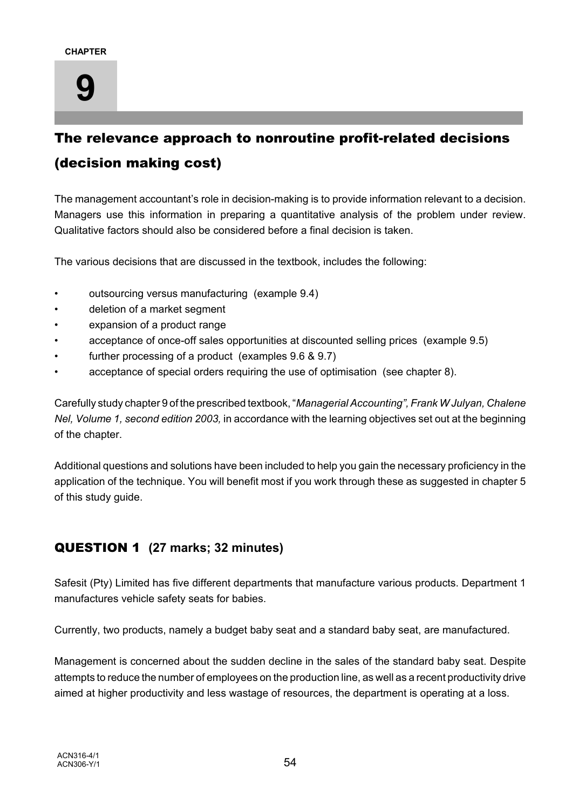

# The relevance approach to nonroutine profit-related decisions (decision making cost)

The management accountant's role in decision-making is to provide information relevant to a decision. Managers use this information in preparing a quantitative analysis of the problem under review. Qualitative factors should also be considered before a final decision is taken.

The various decisions that are discussed in the textbook, includes the following:

- outsourcing versus manufacturing (example 9.4)
- deletion of a market segment
- expansion of a product range
- acceptance of once-off sales opportunities at discounted selling prices (example 9.5)
- further processing of a product (examples 9.6 & 9.7)
- acceptance of special orders requiring the use of optimisation (see chapter 8).

Carefully study chapter 9 of the prescribed textbook, "*Managerial Accounting", Frank W Julyan, Chalene Nel, Volume 1, second edition 2003,* in accordance with the learning objectives set out at the beginning of the chapter.

Additional questions and solutions have been included to help you gain the necessary proficiency in the application of the technique. You will benefit most if you work through these as suggested in chapter 5 of this study guide.

# QUESTION 1 **(27 marks; 32 minutes)**

Safesit (Pty) Limited has five different departments that manufacture various products. Department 1 manufactures vehicle safety seats for babies.

Currently, two products, namely a budget baby seat and a standard baby seat, are manufactured.

Management is concerned about the sudden decline in the sales of the standard baby seat. Despite attempts to reduce the number of employees on the production line, as well as a recent productivity drive aimed at higher productivity and less wastage of resources, the department is operating at a loss.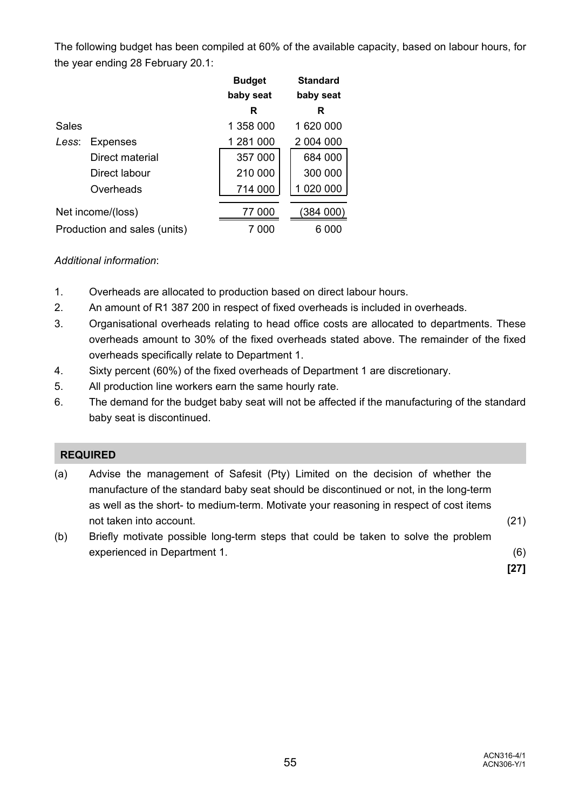The following budget has been compiled at 60% of the available capacity, based on labour hours, for the year ending 28 February 20.1:

|                              |                 | <b>Budget</b> | <b>Standard</b> |
|------------------------------|-----------------|---------------|-----------------|
|                              |                 | baby seat     | baby seat       |
|                              |                 | R             | R               |
| Sales                        |                 | 1 358 000     | 1 620 000       |
| Less:                        | <b>Expenses</b> | 1 281 000     | 2 004 000       |
|                              | Direct material | 357 000       | 684 000         |
|                              | Direct labour   | 210 000       | 300 000         |
|                              | Overheads       | 714 000       | 1 020 000       |
| Net income/(loss)            |                 | 77 000        | (384 000)       |
| Production and sales (units) |                 | 000           | 6.<br>000       |

### *Additional information*:

- 1. Overheads are allocated to production based on direct labour hours.
- 2. An amount of R1 387 200 in respect of fixed overheads is included in overheads.
- 3. Organisational overheads relating to head office costs are allocated to departments. These overheads amount to 30% of the fixed overheads stated above. The remainder of the fixed overheads specifically relate to Department 1.
- 4. Sixty percent (60%) of the fixed overheads of Department 1 are discretionary.
- 5. All production line workers earn the same hourly rate.
- 6. The demand for the budget baby seat will not be affected if the manufacturing of the standard baby seat is discontinued.

### **REQUIRED**

- (a) Advise the management of Safesit (Pty) Limited on the decision of whether the manufacture of the standard baby seat should be discontinued or not, in the long-term as well as the short- to medium-term. Motivate your reasoning in respect of cost items not taken into account. (21)
- (b) Briefly motivate possible long-term steps that could be taken to solve the problem experienced in Department 1. (6)

**[27]**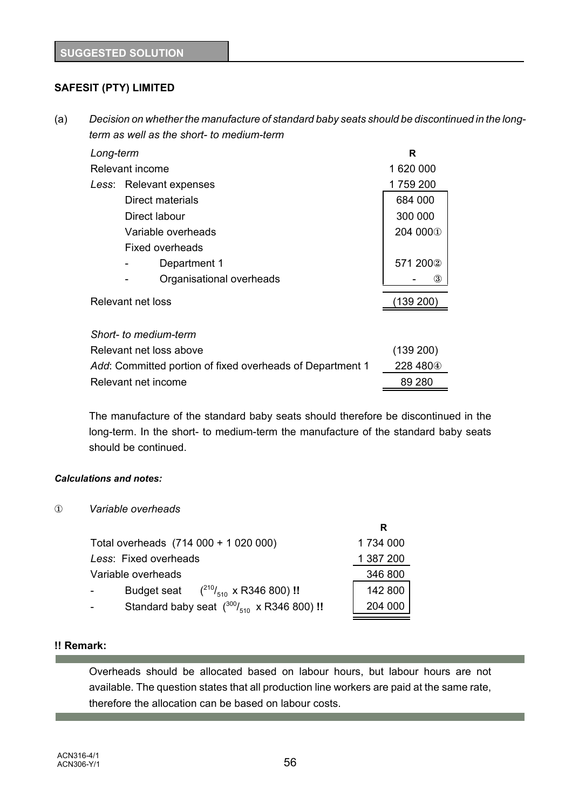# **SAFESIT (PTY) LIMITED**

(a) *Decision on whether the manufacture of standard baby seats should be discontinued in the longterm as well as the short- to medium-term*

| Long-term                                                 | R                        |                      |
|-----------------------------------------------------------|--------------------------|----------------------|
| Relevant income                                           | 1 620 000                |                      |
|                                                           | Less: Relevant expenses  | 1 759 200            |
|                                                           | Direct materials         | 684 000              |
|                                                           | Direct labour            | 300 000              |
|                                                           | Variable overheads       | 204 000 <sup>1</sup> |
|                                                           | Fixed overheads          |                      |
|                                                           | Department 1             | 571 2002             |
|                                                           | Organisational overheads | ③                    |
| Relevant net loss                                         |                          | (139 200)            |
|                                                           |                          |                      |
|                                                           | Short- to medium-term    |                      |
|                                                           | Relevant net loss above  | (139 200)            |
| Add: Committed portion of fixed overheads of Department 1 | 228 480 <sup>4</sup>     |                      |
| Relevant net income                                       | 89 280                   |                      |

The manufacture of the standard baby seats should therefore be discontinued in the long-term. In the short- to medium-term the manufacture of the standard baby seats should be continued.

**R**

### *Calculations and notes:*

Î *Variable overheads*

| Total overheads (714 000 + 1 020 000)                         | 1 734 000 |
|---------------------------------------------------------------|-----------|
| Less: Fixed overheads                                         | 1 387 200 |
| Variable overheads                                            | 346 800   |
| Budget seat $(^{210}/_{510} \times R346800)$ !!<br>$\sim 100$ | 142 800   |
| Standard baby seat $(^{300}/_{510}$ x R346 800) !!            | 204 000   |
|                                                               |           |

### **!! Remark:**

Overheads should be allocated based on labour hours, but labour hours are not available. The question states that all production line workers are paid at the same rate, therefore the allocation can be based on labour costs.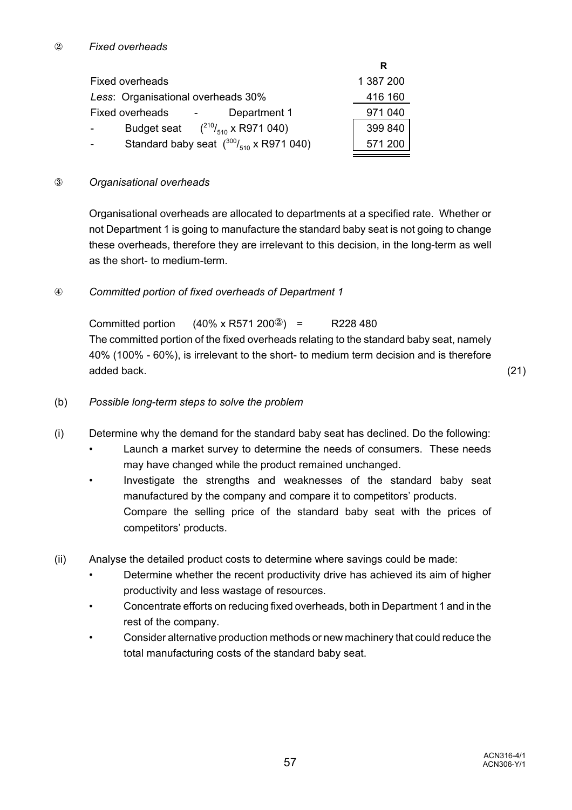|                                                                     | R         |
|---------------------------------------------------------------------|-----------|
| <b>Fixed overheads</b>                                              | 1 387 200 |
| Less: Organisational overheads 30%                                  | 416 160   |
| <b>Fixed overheads</b><br>Department 1                              | 971 040   |
| Budget seat $(^{210}/_{510} \times R971040)$<br>$\blacksquare$      | 399 840   |
| Standard baby seat $\binom{300}{510}$ x R971 040)<br>$\overline{a}$ | 571 200   |

### Ð *Organisational overheads*

Organisational overheads are allocated to departments at a specified rate. Whether or not Department 1 is going to manufacture the standard baby seat is not going to change these overheads, therefore they are irrelevant to this decision, in the long-term as well as the short- to medium-term.

### Ñ *Committed portion of fixed overheads of Department 1*

Committed portion  $(40\% \times R571\,200\%) = R228\,480$ The committed portion of the fixed overheads relating to the standard baby seat, namely 40% (100% - 60%), is irrelevant to the short- to medium term decision and is therefore added back. (21)

- (b) *Possible long-term steps to solve the problem*
- (i) Determine why the demand for the standard baby seat has declined. Do the following:
	- Launch a market survey to determine the needs of consumers. These needs may have changed while the product remained unchanged.
	- Investigate the strengths and weaknesses of the standard baby seat manufactured by the company and compare it to competitors' products. Compare the selling price of the standard baby seat with the prices of competitors' products.
- (ii) Analyse the detailed product costs to determine where savings could be made:
	- Determine whether the recent productivity drive has achieved its aim of higher productivity and less wastage of resources.
	- Concentrate efforts on reducing fixed overheads, both in Department 1 and in the rest of the company.
	- Consider alternative production methods or new machinery that could reduce the total manufacturing costs of the standard baby seat.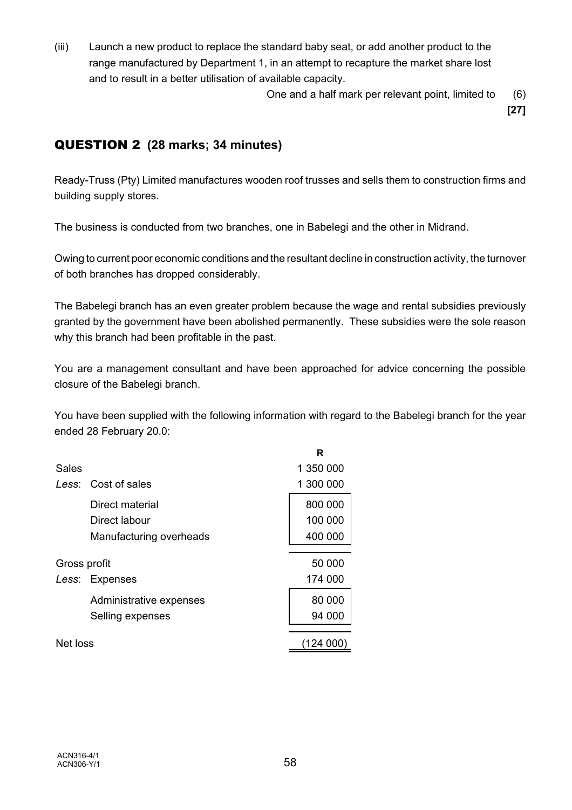(iii) Launch a new product to replace the standard baby seat, or add another product to the range manufactured by Department 1, in an attempt to recapture the market share lost and to result in a better utilisation of available capacity.

One and a half mark per relevant point, limited to (6)

**[27]**

# QUESTION 2 **(28 marks; 34 minutes)**

Ready-Truss (Pty) Limited manufactures wooden roof trusses and sells them to construction firms and building supply stores.

The business is conducted from two branches, one in Babelegi and the other in Midrand.

Owing to current poor economic conditions and the resultant decline in construction activity, the turnover of both branches has dropped considerably.

The Babelegi branch has an even greater problem because the wage and rental subsidies previously granted by the government have been abolished permanently. These subsidies were the sole reason why this branch had been profitable in the past.

You are a management consultant and have been approached for advice concerning the possible closure of the Babelegi branch.

You have been supplied with the following information with regard to the Babelegi branch for the year ended 28 February 20.0:

| 1 350 000 |
|-----------|
| 1 300 000 |
| 800 000   |
| 100 000   |
| 400 000   |
|           |
| 50 000    |
| 174 000   |
| 80 000    |
| 94 000    |
| 124 00    |
|           |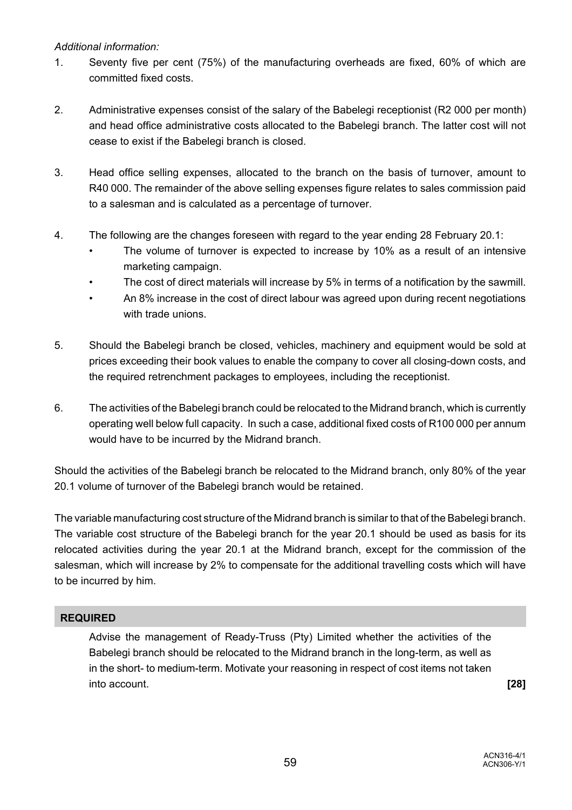### *Additional information:*

- 1. Seventy five per cent (75%) of the manufacturing overheads are fixed, 60% of which are committed fixed costs.
- 2. Administrative expenses consist of the salary of the Babelegi receptionist (R2 000 per month) and head office administrative costs allocated to the Babelegi branch. The latter cost will not cease to exist if the Babelegi branch is closed.
- 3. Head office selling expenses, allocated to the branch on the basis of turnover, amount to R40 000. The remainder of the above selling expenses figure relates to sales commission paid to a salesman and is calculated as a percentage of turnover.
- 4. The following are the changes foreseen with regard to the year ending 28 February 20.1:
	- The volume of turnover is expected to increase by 10% as a result of an intensive marketing campaign.
	- The cost of direct materials will increase by 5% in terms of a notification by the sawmill.
	- An 8% increase in the cost of direct labour was agreed upon during recent negotiations with trade unions.
- 5. Should the Babelegi branch be closed, vehicles, machinery and equipment would be sold at prices exceeding their book values to enable the company to cover all closing-down costs, and the required retrenchment packages to employees, including the receptionist.
- 6. The activities of the Babelegi branch could be relocated to the Midrand branch, which is currently operating well below full capacity. In such a case, additional fixed costs of R100 000 per annum would have to be incurred by the Midrand branch.

Should the activities of the Babelegi branch be relocated to the Midrand branch, only 80% of the year 20.1 volume of turnover of the Babelegi branch would be retained.

The variable manufacturing cost structure of the Midrand branch is similar to that of the Babelegi branch. The variable cost structure of the Babelegi branch for the year 20.1 should be used as basis for its relocated activities during the year 20.1 at the Midrand branch, except for the commission of the salesman, which will increase by 2% to compensate for the additional travelling costs which will have to be incurred by him.

# **REQUIRED**

Advise the management of Ready-Truss (Pty) Limited whether the activities of the Babelegi branch should be relocated to the Midrand branch in the long-term, as well as in the short- to medium-term. Motivate your reasoning in respect of cost items not taken into account. **[28]**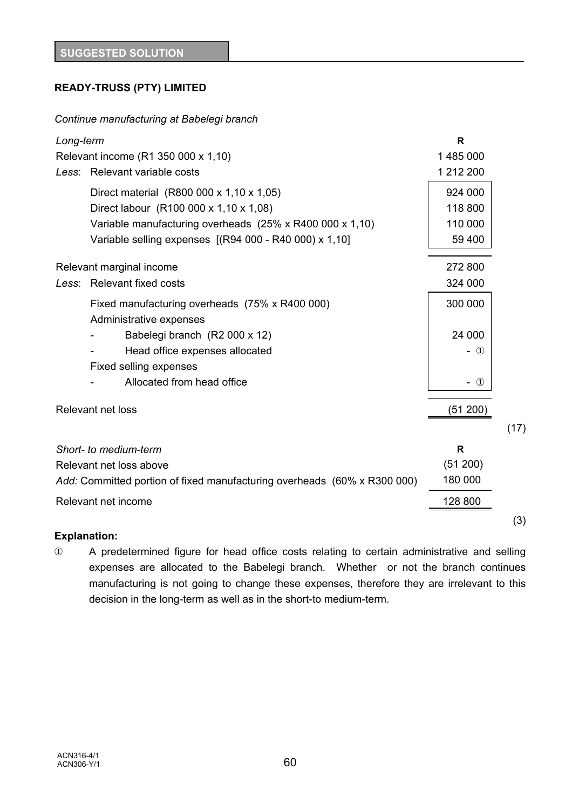# **READY-TRUSS (PTY) LIMITED**

### *Continue manufacturing at Babelegi branch*

| Long-term                                                                 | R             |
|---------------------------------------------------------------------------|---------------|
| Relevant income (R1 350 000 x 1,10)                                       | 1485000       |
| Less: Relevant variable costs                                             | 1 212 200     |
| Direct material (R800 000 x 1,10 x 1,05)                                  | 924 000       |
| Direct labour (R100 000 x 1,10 x 1,08)                                    | 118 800       |
| Variable manufacturing overheads (25% x R400 000 x 1,10)                  | 110 000       |
| Variable selling expenses [(R94 000 - R40 000) x 1,10]                    | 59 400        |
| Relevant marginal income                                                  | 272 800       |
| Less: Relevant fixed costs                                                | 324 000       |
| Fixed manufacturing overheads (75% x R400 000)<br>Administrative expenses | 300 000       |
| Babelegi branch (R2 000 x 12)                                             | 24 000        |
| Head office expenses allocated                                            | $\circled{1}$ |
| Fixed selling expenses                                                    |               |
| Allocated from head office                                                | $-$ ①         |
| <b>Relevant net loss</b>                                                  | (51 200)      |
|                                                                           | (17)          |
| Short- to medium-term                                                     | R             |
| Relevant net loss above                                                   | (51 200)      |
| Add: Committed portion of fixed manufacturing overheads (60% x R300 000)  | 180 000       |
| Relevant net income                                                       | 128 800       |
|                                                                           | (3)           |

### **Explanation:**

Î A predetermined figure for head office costs relating to certain administrative and selling expenses are allocated to the Babelegi branch. Whether or not the branch continues manufacturing is not going to change these expenses, therefore they are irrelevant to this decision in the long-term as well as in the short-to medium-term.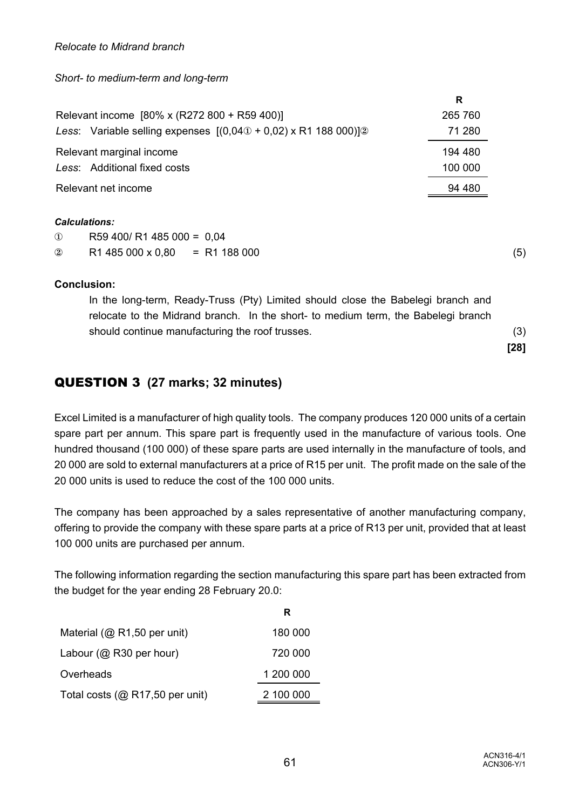*Relocate to Midrand branch*

*Short- to medium-term and long-term*

|                                                                                          | R       |  |
|------------------------------------------------------------------------------------------|---------|--|
| Relevant income [80% x (R272 800 + R59 400)]                                             |         |  |
| Less: Variable selling expenses $[(0,040 + 0,02) \times R1 \, 188 \, 000)]$ <sup>2</sup> | 71 280  |  |
| Relevant marginal income                                                                 |         |  |
| Less: Additional fixed costs                                                             | 100 000 |  |
| Relevant net income                                                                      |         |  |

#### *Calculations:*

| $\circled{1}$ | R59 400/ R1 485 000 = 0,04        |  |
|---------------|-----------------------------------|--|
| $\circled{2}$ | $R1485000 \times 0.80 = R1188000$ |  |

### **Conclusion:**

In the long-term, Ready-Truss (Pty) Limited should close the Babelegi branch and relocate to the Midrand branch. In the short- to medium term, the Babelegi branch should continue manufacturing the roof trusses. (3)

# QUESTION 3 **(27 marks; 32 minutes)**

Excel Limited is a manufacturer of high quality tools. The company produces 120 000 units of a certain spare part per annum. This spare part is frequently used in the manufacture of various tools. One hundred thousand (100 000) of these spare parts are used internally in the manufacture of tools, and 20 000 are sold to external manufacturers at a price of R15 per unit. The profit made on the sale of the 20 000 units is used to reduce the cost of the 100 000 units.

The company has been approached by a sales representative of another manufacturing company, offering to provide the company with these spare parts at a price of R13 per unit, provided that at least 100 000 units are purchased per annum.

The following information regarding the section manufacturing this spare part has been extracted from the budget for the year ending 28 February 20.0:

|                                 | R         |
|---------------------------------|-----------|
| Material ( $@$ R1,50 per unit)  | 180 000   |
| Labour ( $@$ R30 per hour)      | 720 000   |
| Overheads                       | 1 200 000 |
| Total costs (@ R17,50 per unit) | 2 100 000 |

**[28]**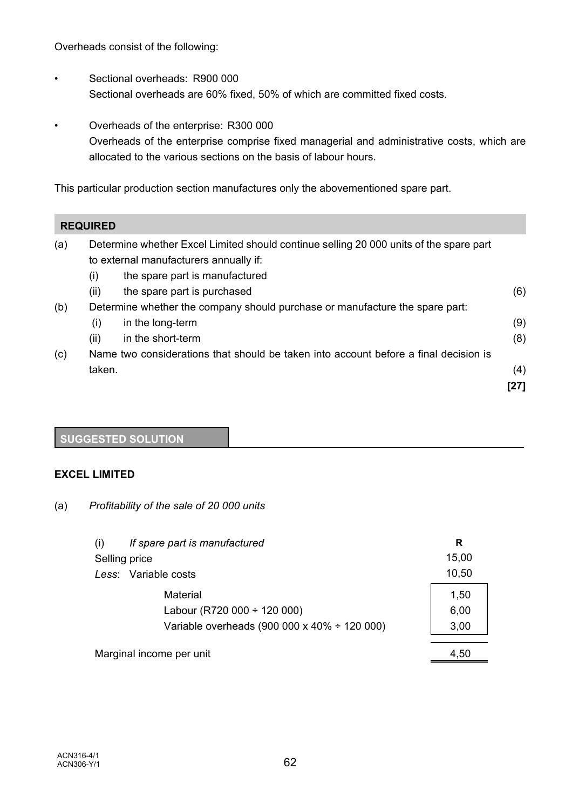Overheads consist of the following:

- Sectional overheads: R900 000 Sectional overheads are 60% fixed, 50% of which are committed fixed costs.
- Overheads of the enterprise: R300 000 Overheads of the enterprise comprise fixed managerial and administrative costs, which are allocated to the various sections on the basis of labour hours.

This particular production section manufactures only the abovementioned spare part.

### **REQUIRED**

| (a)                                                                                 | Determine whether Excel Limited should continue selling 20 000 units of the spare part |                                        |      |
|-------------------------------------------------------------------------------------|----------------------------------------------------------------------------------------|----------------------------------------|------|
|                                                                                     |                                                                                        | to external manufacturers annually if: |      |
|                                                                                     | (i)                                                                                    | the spare part is manufactured         |      |
|                                                                                     | (ii)                                                                                   | the spare part is purchased            | (6)  |
| (b)<br>Determine whether the company should purchase or manufacture the spare part: |                                                                                        |                                        |      |
|                                                                                     | (i)                                                                                    | in the long-term                       | (9)  |
|                                                                                     | (ii)                                                                                   | in the short-term                      | (8)  |
| (c)                                                                                 | Name two considerations that should be taken into account before a final decision is   |                                        |      |
|                                                                                     | taken.                                                                                 |                                        | (4)  |
|                                                                                     |                                                                                        |                                        | [27] |

# **SUGGESTED SOLUTION**

### **EXCEL LIMITED**

(a) *Profitability of the sale of 20 000 units*

| (i)           | If spare part is manufactured                     | R     |
|---------------|---------------------------------------------------|-------|
| Selling price |                                                   | 15,00 |
|               | Less: Variable costs                              | 10,50 |
|               | <b>Material</b>                                   | 1,50  |
|               | Labour (R720 000 $\div$ 120 000)                  | 6,00  |
|               | Variable overheads (900 000 x 40% $\div$ 120 000) | 3,00  |
|               |                                                   |       |
|               | Marginal income per unit                          | 4,50  |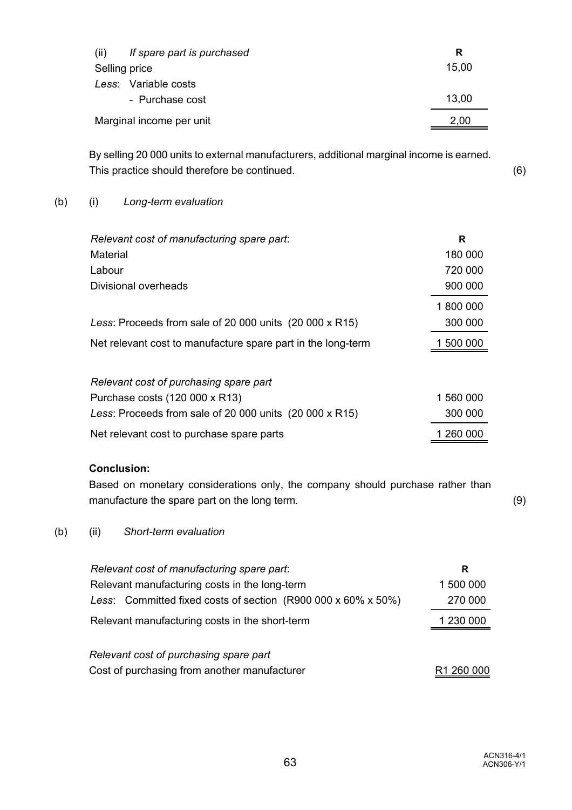| If spare part is purchased<br>(ii) | R     |
|------------------------------------|-------|
| Selling price                      | 15,00 |
| Less: Variable costs               |       |
| - Purchase cost                    | 13,00 |
| Marginal income per unit           | 2,00  |

By selling 20 000 units to external manufacturers, additional marginal income is earned. This practice should therefore be continued. (6)

### (b) (i) *Long-term evaluation*

| Relevant cost of manufacturing spare part:                   | R         |
|--------------------------------------------------------------|-----------|
| Material                                                     | 180 000   |
| Labour                                                       | 720 000   |
| Divisional overheads                                         | 900 000   |
|                                                              | 1800000   |
| Less: Proceeds from sale of 20 000 units $(20 000 x R15)$    | 300 000   |
| Net relevant cost to manufacture spare part in the long-term | 1 500 000 |
|                                                              |           |
| Relevant cost of purchasing spare part                       |           |
| Purchase costs (120 000 x R13)                               | 1 560 000 |
| Less: Proceeds from sale of 20 000 units $(20 000 x R15)$    | 300 000   |

Net relevant cost to purchase spare parts 1 260 000

# **Conclusion:**

Based on monetary considerations only, the company should purchase rather than manufacture the spare part on the long term. (9)

(b) (ii) *Short-term evaluation*

| Relevant cost of manufacturing spare part:                    | R                      |
|---------------------------------------------------------------|------------------------|
| Relevant manufacturing costs in the long-term                 | 1 500 000              |
| Less: Committed fixed costs of section (R900 000 x 60% x 50%) | 270 000                |
| Relevant manufacturing costs in the short-term                | 1 230 000              |
| Relevant cost of purchasing spare part                        |                        |
| Cost of purchasing from another manufacturer                  | R <sub>1</sub> 260 000 |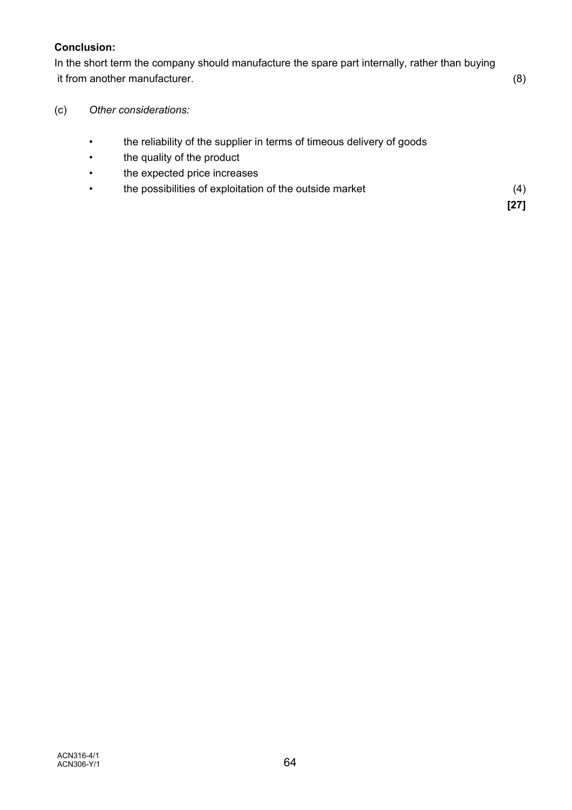### **Conclusion:**

In the short term the company should manufacture the spare part internally, rather than buying it from another manufacturer. (8)

- (c) *Other considerations:*
	- the reliability of the supplier in terms of timeous delivery of goods
	- the quality of the product
	- the expected price increases
	- the possibilities of exploitation of the outside market (4)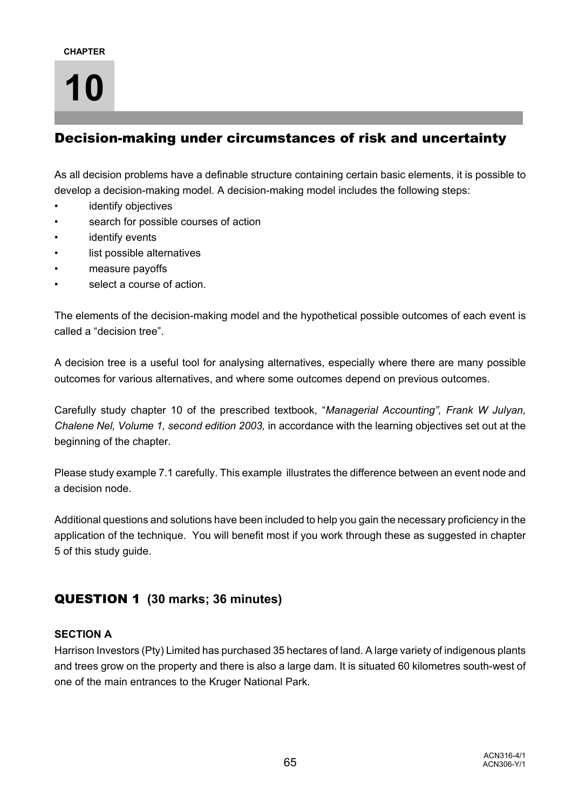# Decision-making under circumstances of risk and uncertainty

As all decision problems have a definable structure containing certain basic elements, it is possible to develop a decision-making model. A decision-making model includes the following steps:

- identify objectives
- search for possible courses of action
- identify events
- list possible alternatives
- measure payoffs
- select a course of action.

The elements of the decision-making model and the hypothetical possible outcomes of each event is called a "decision tree".

A decision tree is a useful tool for analysing alternatives, especially where there are many possible outcomes for various alternatives, and where some outcomes depend on previous outcomes.

Carefully study chapter 10 of the prescribed textbook, "*Managerial Accounting", Frank W Julyan, Chalene Nel, Volume 1, second edition 2003,* in accordance with the learning objectives set out at the beginning of the chapter.

Please study example 7.1 carefully. This example illustrates the difference between an event node and a decision node.

Additional questions and solutions have been included to help you gain the necessary proficiency in the application of the technique. You will benefit most if you work through these as suggested in chapter 5 of this study guide.

# QUESTION 1 **(30 marks; 36 minutes)**

### **SECTION A**

Harrison Investors (Pty) Limited has purchased 35 hectares of land. A large variety of indigenous plants and trees grow on the property and there is also a large dam. It is situated 60 kilometres south-west of one of the main entrances to the Kruger National Park.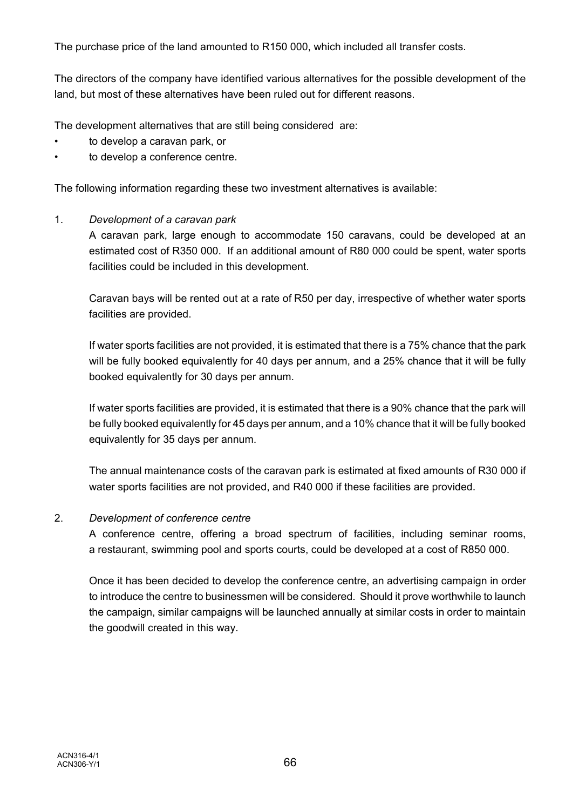The purchase price of the land amounted to R150 000, which included all transfer costs.

The directors of the company have identified various alternatives for the possible development of the land, but most of these alternatives have been ruled out for different reasons.

The development alternatives that are still being considered are:

- to develop a caravan park, or
- to develop a conference centre.

The following information regarding these two investment alternatives is available:

### 1. *Development of a caravan park*

A caravan park, large enough to accommodate 150 caravans, could be developed at an estimated cost of R350 000. If an additional amount of R80 000 could be spent, water sports facilities could be included in this development.

Caravan bays will be rented out at a rate of R50 per day, irrespective of whether water sports facilities are provided.

If water sports facilities are not provided, it is estimated that there is a 75% chance that the park will be fully booked equivalently for 40 days per annum, and a 25% chance that it will be fully booked equivalently for 30 days per annum.

If water sports facilities are provided, it is estimated that there is a 90% chance that the park will be fully booked equivalently for 45 days per annum, and a 10% chance that it will be fully booked equivalently for 35 days per annum.

The annual maintenance costs of the caravan park is estimated at fixed amounts of R30 000 if water sports facilities are not provided, and R40 000 if these facilities are provided.

### 2. *Development of conference centre*

A conference centre, offering a broad spectrum of facilities, including seminar rooms, a restaurant, swimming pool and sports courts, could be developed at a cost of R850 000.

Once it has been decided to develop the conference centre, an advertising campaign in order to introduce the centre to businessmen will be considered. Should it prove worthwhile to launch the campaign, similar campaigns will be launched annually at similar costs in order to maintain the goodwill created in this way.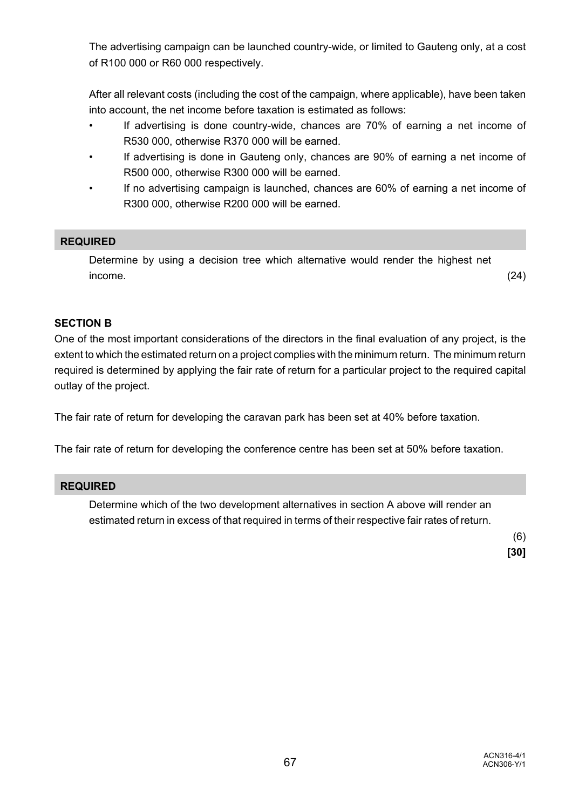The advertising campaign can be launched country-wide, or limited to Gauteng only, at a cost of R100 000 or R60 000 respectively.

After all relevant costs (including the cost of the campaign, where applicable), have been taken into account, the net income before taxation is estimated as follows:

- If advertising is done country-wide, chances are 70% of earning a net income of R530 000, otherwise R370 000 will be earned.
- If advertising is done in Gauteng only, chances are 90% of earning a net income of R500 000, otherwise R300 000 will be earned.
- If no advertising campaign is launched, chances are 60% of earning a net income of R300 000, otherwise R200 000 will be earned.

### **REQUIRED**

Determine by using a decision tree which alternative would render the highest net  $i$ ncome.  $(24)$ 

### **SECTION B**

One of the most important considerations of the directors in the final evaluation of any project, is the extent to which the estimated return on a project complies with the minimum return. The minimum return required is determined by applying the fair rate of return for a particular project to the required capital outlay of the project.

The fair rate of return for developing the caravan park has been set at 40% before taxation.

The fair rate of return for developing the conference centre has been set at 50% before taxation.

### **REQUIRED**

Determine which of the two development alternatives in section A above will render an estimated return in excess of that required in terms of their respective fair rates of return.

> (6) **[30]**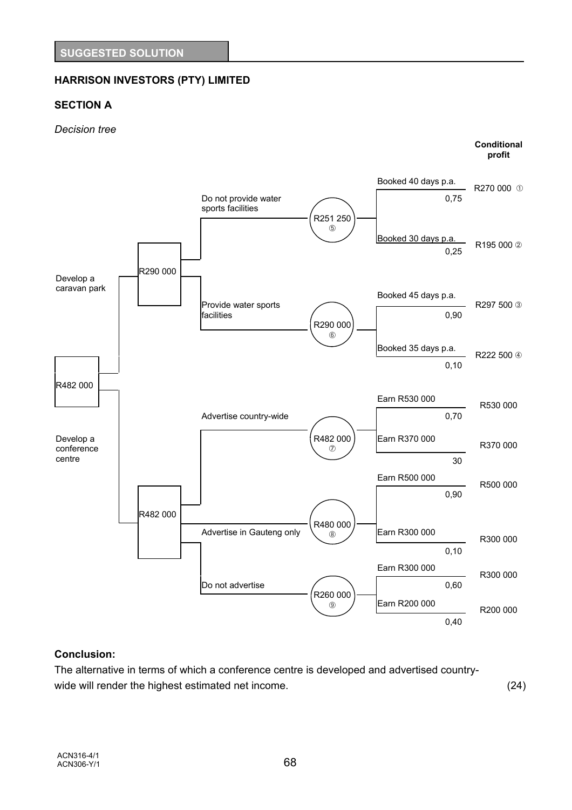# **HARRISON INVESTORS (PTY) LIMITED**

### **SECTION A**

#### *Decision tree*



### **Conclusion:**

The alternative in terms of which a conference centre is developed and advertised countrywide will render the highest estimated net income. (24)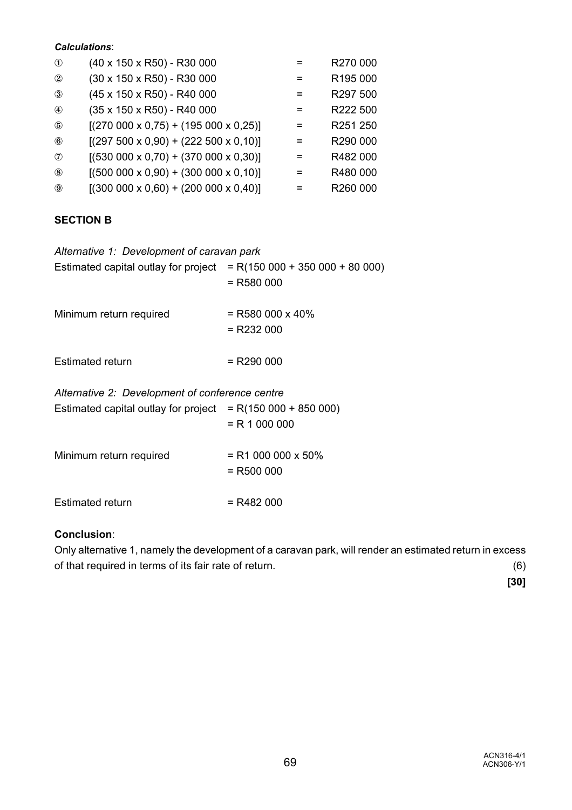### *Calculations*:

| $\circled{1}$  | (40 x 150 x R50) - R30 000                        |     | R270 000 |
|----------------|---------------------------------------------------|-----|----------|
| $^{\circledR}$ | (30 x 150 x R50) - R30 000                        |     | R195 000 |
| $\circled{3}$  | (45 x 150 x R50) - R40 000                        | $=$ | R297 500 |
| $^{\circledA}$ | (35 x 150 x R50) - R40 000                        |     | R222 500 |
| $\circledS$    | $[(270\ 000\ x\ 0.75) + (195\ 000\ x\ 0.25)]$     |     | R251 250 |
| $^{\circledR}$ | $[(297 500 \times 0.90) + (222 500 \times 0.10)]$ | =   | R290 000 |
| $\mathcal{L}$  | $[(530\ 000\ x\ 0,70) + (370\ 000\ x\ 0,30)]$     |     | R482 000 |
| $\circledS$    | $[(500 000 x 0, 90) + (300 000 x 0, 10)]$         |     | R480 000 |
| $\circled{9}$  | $[(300 000 x 0,60) + (200 000 x 0,40)]$           |     | R260 000 |

### **SECTION B**

| Alternative 1: Development of caravan park<br>Estimated capital outlay for project $= R(150000 + 350000 + 80000)$ | $=$ R580 000                         |
|-------------------------------------------------------------------------------------------------------------------|--------------------------------------|
| Minimum return required                                                                                           | $=$ R580 000 x 40%<br>$=$ R232 000   |
| Estimated return                                                                                                  | $=$ R290 000                         |
| Alternative 2: Development of conference centre<br>Estimated capital outlay for project $= R(150000 + 850000)$    | $= R 1 000 000$                      |
| Minimum return required                                                                                           | $=$ R1 000 000 x 50%<br>$=$ R500 000 |
| Estimated return                                                                                                  | = R482 000                           |

### **Conclusion**:

Only alternative 1, namely the development of a caravan park, will render an estimated return in excess of that required in terms of its fair rate of return. (6)

**[30]**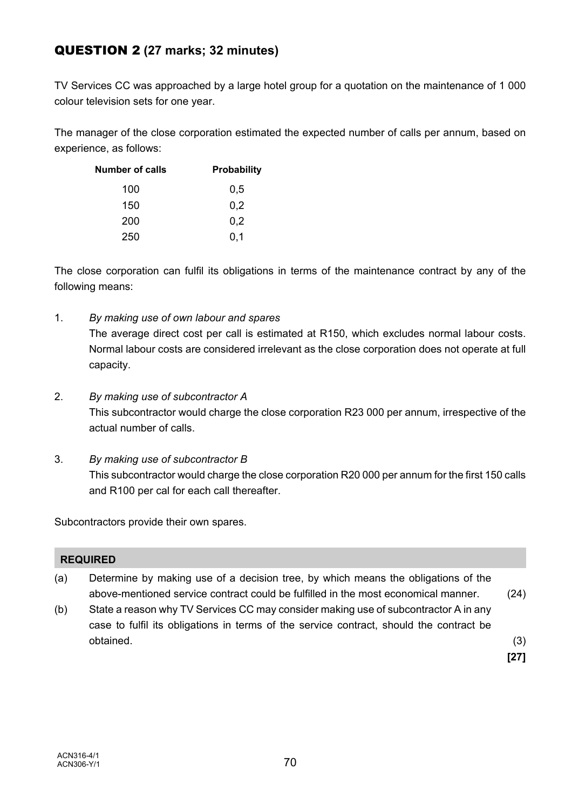# QUESTION 2 **(27 marks; 32 minutes)**

TV Services CC was approached by a large hotel group for a quotation on the maintenance of 1 000 colour television sets for one year.

The manager of the close corporation estimated the expected number of calls per annum, based on experience, as follows:

| <b>Number of calls</b> | <b>Probability</b> |
|------------------------|--------------------|
| 100                    | 0,5                |
| 150                    | 0,2                |
| 200                    | 0,2                |
| 250                    | 0,1                |

The close corporation can fulfil its obligations in terms of the maintenance contract by any of the following means:

- 1. *By making use of own labour and spares* The average direct cost per call is estimated at R150, which excludes normal labour costs. Normal labour costs are considered irrelevant as the close corporation does not operate at full capacity.
- 2. *By making use of subcontractor A* This subcontractor would charge the close corporation R23 000 per annum, irrespective of the actual number of calls.
- 3. *By making use of subcontractor B* This subcontractor would charge the close corporation R20 000 per annum for the first 150 calls and R100 per cal for each call thereafter.

Subcontractors provide their own spares.

### **REQUIRED**

- (a) Determine by making use of a decision tree, by which means the obligations of the above-mentioned service contract could be fulfilled in the most economical manner. (24)
- (b) State a reason why TV Services CC may consider making use of subcontractor A in any case to fulfil its obligations in terms of the service contract, should the contract be obtained. (3)

**[27]**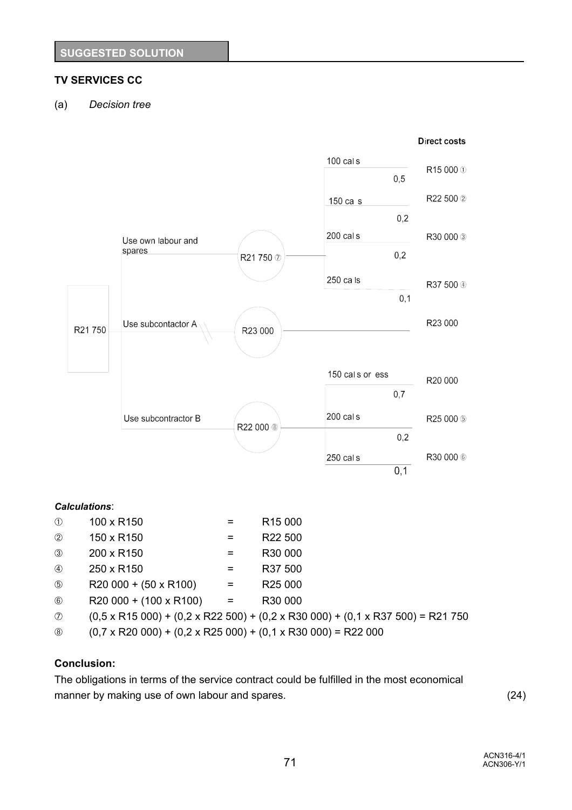# **TV SERVICES CC**

(a) *Decision tree*



 $\circ$  R20 000 + (100 x R100) = R30 000

# $\textcircled{0}$  (0,5 x R15 000) + (0,2 x R22 500) + (0,2 x R30 000) + (0,1 x R37 500) = R21 750

é (0,7 x R20 000) + (0,2 x R25 000) + (0,1 x R30 000) = R22 000

## **Conclusion:**

The obligations in terms of the service contract could be fulfilled in the most economical manner by making use of own labour and spares. (24)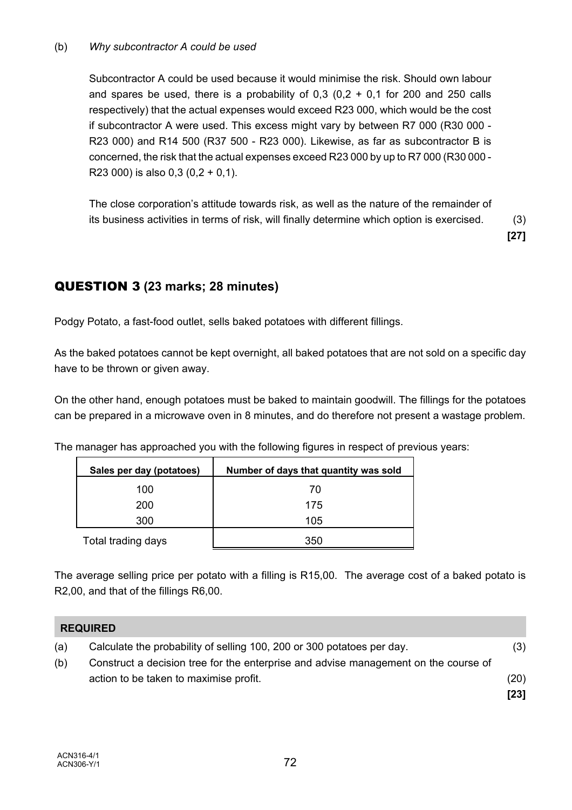### (b) *Why subcontractor A could be used*

Subcontractor A could be used because it would minimise the risk. Should own labour and spares be used, there is a probability of  $0.3$   $(0.2 + 0.1)$  for 200 and 250 calls respectively) that the actual expenses would exceed R23 000, which would be the cost if subcontractor A were used. This excess might vary by between R7 000 (R30 000 - R23 000) and R14 500 (R37 500 - R23 000). Likewise, as far as subcontractor B is concerned, the risk that the actual expenses exceed R23 000 by up to R7 000 (R30 000 - R23 000) is also  $0.3$  ( $0.2 + 0.1$ ).

The close corporation's attitude towards risk, as well as the nature of the remainder of its business activities in terms of risk, will finally determine which option is exercised. (3)

**[27]**

# QUESTION 3 **(23 marks; 28 minutes)**

Podgy Potato, a fast-food outlet, sells baked potatoes with different fillings.

As the baked potatoes cannot be kept overnight, all baked potatoes that are not sold on a specific day have to be thrown or given away.

On the other hand, enough potatoes must be baked to maintain goodwill. The fillings for the potatoes can be prepared in a microwave oven in 8 minutes, and do therefore not present a wastage problem.

The manager has approached you with the following figures in respect of previous years:

| Sales per day (potatoes) | Number of days that quantity was sold |
|--------------------------|---------------------------------------|
| 100                      | 70                                    |
| 200                      | 175                                   |
| 300                      | 105                                   |
| Total trading days       | 350                                   |

The average selling price per potato with a filling is R15,00. The average cost of a baked potato is R2,00, and that of the fillings R6,00.

|     | <b>REQUIRED</b>                                                                     |        |
|-----|-------------------------------------------------------------------------------------|--------|
| (a) | Calculate the probability of selling 100, 200 or 300 potatoes per day.              | (3)    |
| (b) | Construct a decision tree for the enterprise and advise management on the course of |        |
|     | action to be taken to maximise profit.                                              | (20)   |
|     |                                                                                     | $[23]$ |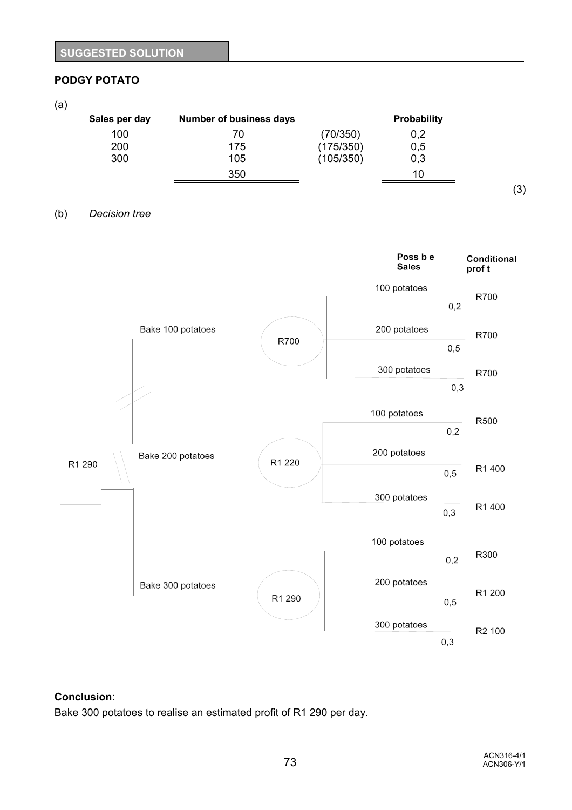## **PODGY POTATO**

#### (a)

| Sales per day | <b>Number of business days</b> |           | <b>Probability</b> |  |
|---------------|--------------------------------|-----------|--------------------|--|
| 100           | 70                             | (70/350)  | 0,2                |  |
| 200           | 175                            | (175/350) | 0,5                |  |
| 300           | 105                            | (105/350) | 0.3                |  |
|               | 350                            |           | 10                 |  |

### (b) *Decision tree*



### **Conclusion**:

Bake 300 potatoes to realise an estimated profit of R1 290 per day.

(3)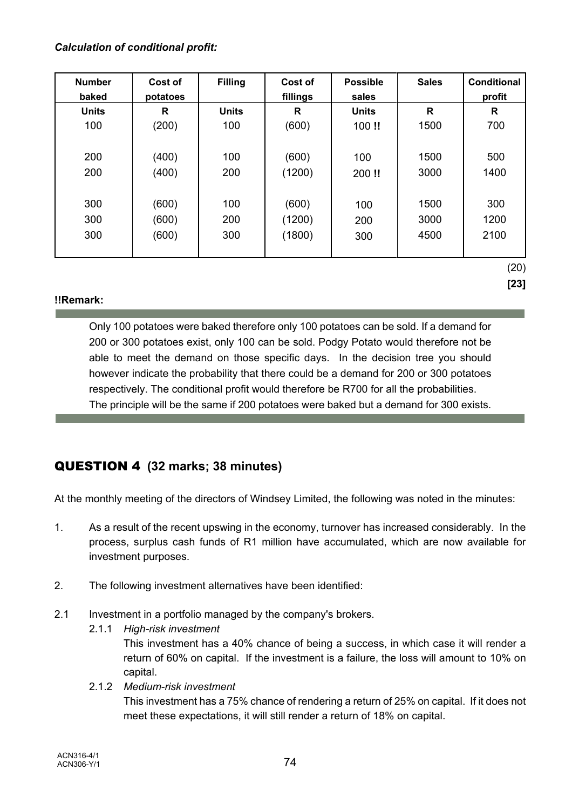## *Calculation of conditional profit:*

| <b>Number</b><br>baked | Cost of<br>potatoes | <b>Filling</b> | Cost of<br>fillings | <b>Possible</b><br>sales | <b>Sales</b> | <b>Conditional</b><br>profit |
|------------------------|---------------------|----------------|---------------------|--------------------------|--------------|------------------------------|
| <b>Units</b>           | R                   | <b>Units</b>   | R                   | <b>Units</b>             | R            | R                            |
| 100                    | (200)               | 100            | (600)               | 100!!                    | 1500         | 700                          |
|                        |                     |                |                     |                          |              |                              |
| 200                    | (400)               | 100            | (600)               | 100                      | 1500         | 500                          |
| 200                    | (400)               | 200            | (1200)              | 200!!                    | 3000         | 1400                         |
|                        |                     |                |                     |                          |              |                              |
| 300                    | (600)               | 100            | (600)               | 100                      | 1500         | 300                          |
| 300                    | (600)               | 200            | (1200)              | 200                      | 3000         | 1200                         |
| 300                    | (600)               | 300            | (1800)              | 300                      | 4500         | 2100                         |
|                        |                     |                |                     |                          |              |                              |
|                        |                     |                |                     |                          |              | (20)                         |

**[23]**

# **!!Remark:**

Only 100 potatoes were baked therefore only 100 potatoes can be sold. If a demand for 200 or 300 potatoes exist, only 100 can be sold. Podgy Potato would therefore not be able to meet the demand on those specific days. In the decision tree you should however indicate the probability that there could be a demand for 200 or 300 potatoes respectively. The conditional profit would therefore be R700 for all the probabilities. The principle will be the same if 200 potatoes were baked but a demand for 300 exists.

# QUESTION 4 **(32 marks; 38 minutes)**

At the monthly meeting of the directors of Windsey Limited, the following was noted in the minutes:

- 1. As a result of the recent upswing in the economy, turnover has increased considerably. In the process, surplus cash funds of R1 million have accumulated, which are now available for investment purposes.
- 2. The following investment alternatives have been identified:
- 2.1 Investment in a portfolio managed by the company's brokers.
	- 2.1.1 *High-risk investment*

This investment has a 40% chance of being a success, in which case it will render a return of 60% on capital. If the investment is a failure, the loss will amount to 10% on capital.

2.1.2 *Medium-risk investment* This investment has a 75% chance of rendering a return of 25% on capital. If it does not meet these expectations, it will still render a return of 18% on capital.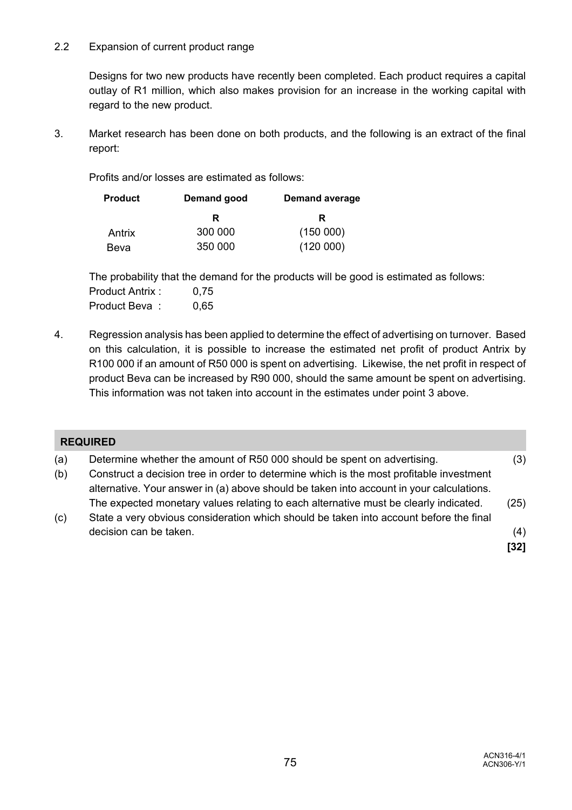### 2.2 Expansion of current product range

Designs for two new products have recently been completed. Each product requires a capital outlay of R1 million, which also makes provision for an increase in the working capital with regard to the new product.

3. Market research has been done on both products, and the following is an extract of the final report:

Profits and/or losses are estimated as follows:

| <b>Product</b> | Demand good | <b>Demand average</b> |
|----------------|-------------|-----------------------|
|                | R           | R                     |
| Antrix         | 300 000     | (150000)              |
| Beva           | 350 000     | (120000)              |

The probability that the demand for the products will be good is estimated as follows: Product Antrix : 0,75 Product Beva: 0,65

4. Regression analysis has been applied to determine the effect of advertising on turnover. Based on this calculation, it is possible to increase the estimated net profit of product Antrix by R100 000 if an amount of R50 000 is spent on advertising. Likewise, the net profit in respect of product Beva can be increased by R90 000, should the same amount be spent on advertising. This information was not taken into account in the estimates under point 3 above.

|            | <b>REQUIRED</b>                                                                                                                                                                                                                                                |        |
|------------|----------------------------------------------------------------------------------------------------------------------------------------------------------------------------------------------------------------------------------------------------------------|--------|
| (a)<br>(b) | Determine whether the amount of R50 000 should be spent on advertising.<br>Construct a decision tree in order to determine which is the most profitable investment<br>alternative. Your answer in (a) above should be taken into account in your calculations. | (3)    |
| (c)        | The expected monetary values relating to each alternative must be clearly indicated.<br>State a very obvious consideration which should be taken into account before the final                                                                                 | (25)   |
|            | decision can be taken.                                                                                                                                                                                                                                         | (4)    |
|            |                                                                                                                                                                                                                                                                | $[32]$ |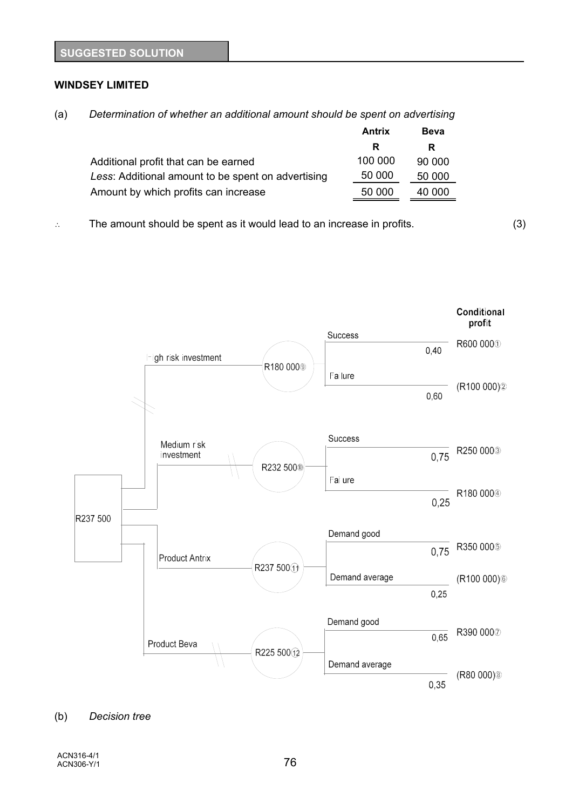#### **WINDSEY LIMITED**

| (a) | Determination of whether an additional amount should be spent on advertising |  |
|-----|------------------------------------------------------------------------------|--|
|     |                                                                              |  |

|                                                    | Antrix  | <b>Beva</b> |
|----------------------------------------------------|---------|-------------|
|                                                    | R       | R           |
| Additional profit that can be earned               | 100 000 | 90 000      |
| Less: Additional amount to be spent on advertising | 50 000  | 50 000      |
| Amount by which profits can increase               | 50 000  | 40 000      |

 $\therefore$  The amount should be spent as it would lead to an increase in profits.  $(3)$ 



#### (b) *Decision tree*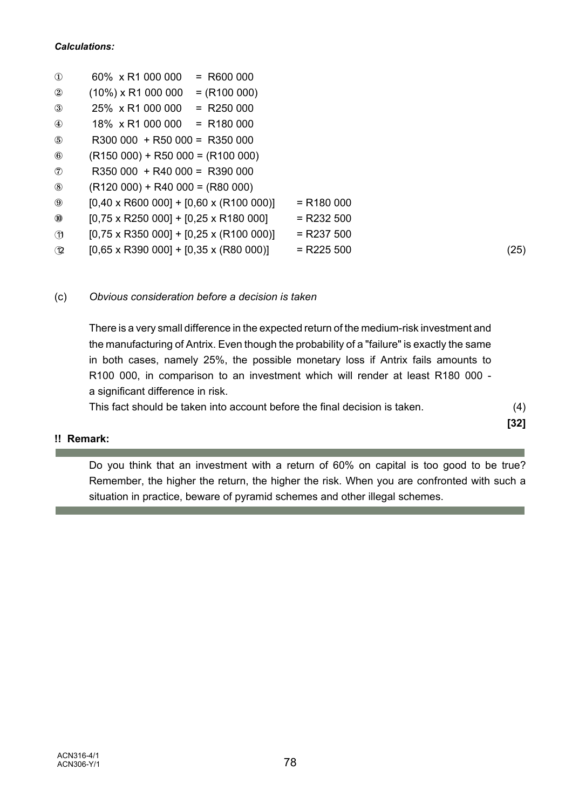| $\mathbf{D}$   | 60% x R1 000 000<br>$= R600000$                       |              |      |
|----------------|-------------------------------------------------------|--------------|------|
| $^{\circledR}$ | $(10\%)$ x R1 000 000<br>$= (R100 000)$               |              |      |
| $\circled{3}$  | $= R250000$<br>25% x R1 000 000                       |              |      |
| $^{\circledR}$ | $18\% \times R1000000 = R180000$                      |              |      |
| $\circledS$    | $R300000 + R5000 = R350000$                           |              |      |
| $\circledast$  | $(R150 000) + R50 000 = (R100 000)$                   |              |      |
| $^{\circledR}$ | $R350000 + R40000 = R390000$                          |              |      |
| $\circledS$    | $(R120 000) + R40 000 = (R80 000)$                    |              |      |
| $\circledS$    | $[0,40 \times R600000] + [0,60 \times (R100000)]$     | $= R180000$  |      |
| $^{\circledR}$ | $[0,75 \times R250\ 000] + [0,25 \times R180\ 000]$   | $=$ R232 500 |      |
| $\mathcal{D}$  | $[0,75 \times R350\ 000] + [0,25 \times (R100\ 000)]$ | $=$ R237 500 |      |
| $\bigcirc$     | $[0,65 \times R390\ 000] + [0,35 \times (R80\ 000)]$  | $=$ R225 500 | (25) |

(c) *Obvious consideration before a decision is taken*

There is a very small difference in the expected return of the medium-risk investment and the manufacturing of Antrix. Even though the probability of a "failure" is exactly the same in both cases, namely 25%, the possible monetary loss if Antrix fails amounts to R100 000, in comparison to an investment which will render at least R180 000 a significant difference in risk.

This fact should be taken into account before the final decision is taken. (4)

**[32]**

# **!! Remark:**

Do you think that an investment with a return of 60% on capital is too good to be true? Remember, the higher the return, the higher the risk. When you are confronted with such a situation in practice, beware of pyramid schemes and other illegal schemes.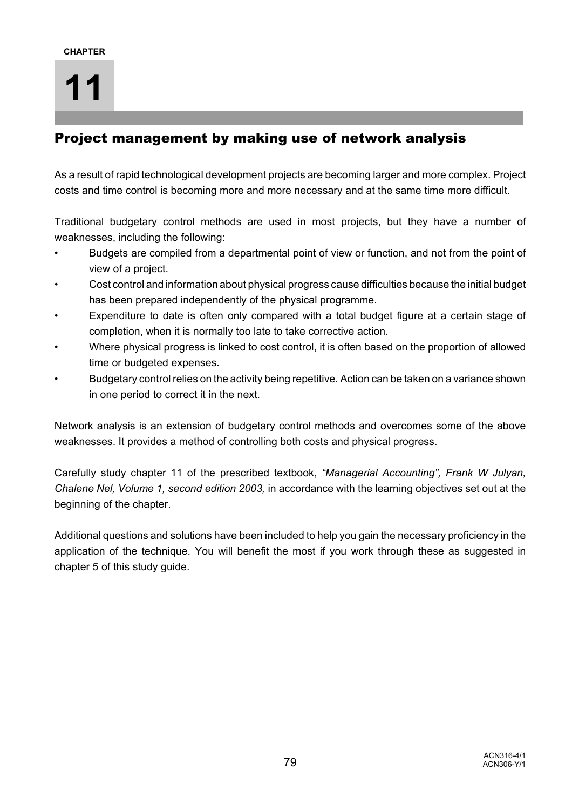# Project management by making use of network analysis

As a result of rapid technological development projects are becoming larger and more complex. Project costs and time control is becoming more and more necessary and at the same time more difficult.

Traditional budgetary control methods are used in most projects, but they have a number of weaknesses, including the following:

- Budgets are compiled from a departmental point of view or function, and not from the point of view of a project.
- Cost control and information about physical progress cause difficulties because the initial budget has been prepared independently of the physical programme.
- Expenditure to date is often only compared with a total budget figure at a certain stage of completion, when it is normally too late to take corrective action.
- Where physical progress is linked to cost control, it is often based on the proportion of allowed time or budgeted expenses.
- Budgetary control relies on the activity being repetitive. Action can be taken on a variance shown in one period to correct it in the next.

Network analysis is an extension of budgetary control methods and overcomes some of the above weaknesses. It provides a method of controlling both costs and physical progress.

Carefully study chapter 11 of the prescribed textbook, *"Managerial Accounting", Frank W Julyan, Chalene Nel, Volume 1, second edition 2003,* in accordance with the learning objectives set out at the beginning of the chapter.

Additional questions and solutions have been included to help you gain the necessary proficiency in the application of the technique. You will benefit the most if you work through these as suggested in chapter 5 of this study guide.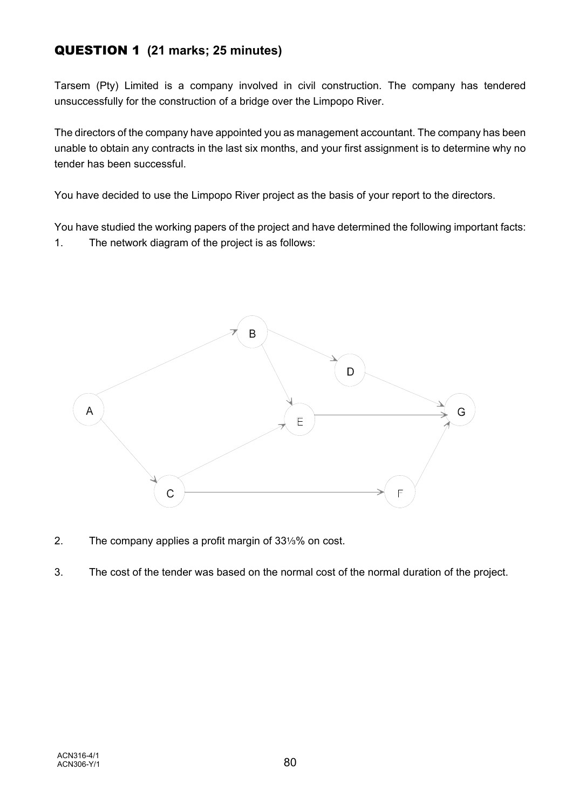# QUESTION 1 **(21 marks; 25 minutes)**

Tarsem (Pty) Limited is a company involved in civil construction. The company has tendered unsuccessfully for the construction of a bridge over the Limpopo River.

The directors of the company have appointed you as management accountant. The company has been unable to obtain any contracts in the last six months, and your first assignment is to determine why no tender has been successful.

You have decided to use the Limpopo River project as the basis of your report to the directors.

You have studied the working papers of the project and have determined the following important facts: 1. The network diagram of the project is as follows:



- 2. The company applies a profit margin of  $33\frac{1}{3}\%$  on cost.
- 3. The cost of the tender was based on the normal cost of the normal duration of the project.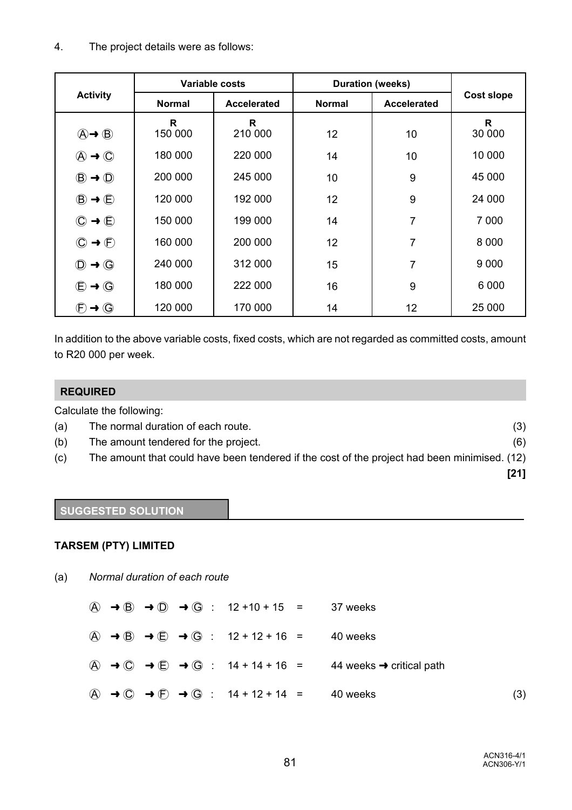# 4. The project details were as follows:

|                                                    |               | Variable costs |               | <b>Duration (weeks)</b> |                   |
|----------------------------------------------------|---------------|----------------|---------------|-------------------------|-------------------|
| <b>Activity</b>                                    | <b>Normal</b> | Accelerated    | <b>Normal</b> | <b>Accelerated</b>      | <b>Cost slope</b> |
| $\textcircled{A} \rightarrow \textcircled{B}$      | R<br>150 000  | R<br>210 000   | 12            | 10                      | R<br>30 000       |
| $\textcircled{A} \rightarrow \textcircled{C}$      | 180 000       | 220 000        | 14            | 10                      | 10 000            |
| $\circled{B} \rightarrow \circled{D}$              | 200 000       | 245 000        | 10            | 9                       | 45 000            |
| $\circled{B} \rightarrow \circled{E}$              | 120 000       | 192 000        | 12            | 9                       | 24 000            |
| $\circledcirc \rightarrow \circledcirc$            | 150 000       | 199 000        | 14            | 7                       | 7 0 0 0           |
| $\rightarrow$ $\left(\mathsf{F}\right)$<br>$\odot$ | 160 000       | 200 000        | 12            | 7                       | 8 0 0 0           |
| $\circled{0}$ $\rightarrow$ $\circled{0}$          | 240 000       | 312 000        | 15            | 7                       | 9 0 0 0           |
| $\bigoplus \rightarrow \bigoplus$                  | 180 000       | 222 000        | 16            | 9                       | 6 0 0 0           |
| $\rightarrow$ G<br>$\left(\mathsf{F}\right)$       | 120 000       | 170 000        | 14            | 12                      | 25 000            |

In addition to the above variable costs, fixed costs, which are not regarded as committed costs, amount to R20 000 per week.

## **REQUIRED**

Calculate the following:

- (a) The normal duration of each route. (3)
- (b) The amount tendered for the project. (6)
- (c) The amount that could have been tendered if the cost of the project had been minimised. (12)
	- **[21]**

# **SUGGESTED SOLUTION**

## **TARSEM (PTY) LIMITED**

(a) *Normal duration of each route*

|  |  | $\overline{A}$ $\rightarrow$ $\overline{B}$ $\rightarrow$ $\overline{D}$ $\rightarrow$ $\overline{G}$ : 12+10+15 = 37 weeks |                                                                                                                                                             |     |
|--|--|-----------------------------------------------------------------------------------------------------------------------------|-------------------------------------------------------------------------------------------------------------------------------------------------------------|-----|
|  |  | $\overline{A}$ $\rightarrow$ $\overline{B}$ $\rightarrow$ $\overline{C}$ $\rightarrow$ $\overline{G}$ : 12 + 12 + 16 =      | 40 weeks                                                                                                                                                    |     |
|  |  |                                                                                                                             | $\overline{A}$ $\rightarrow$ $\overline{C}$ $\rightarrow$ $\overline{C}$ $\rightarrow$ $\overline{G}$ : 14 + 14 + 16 = 44 weeks $\rightarrow$ critical path |     |
|  |  | $\overline{A}$ $\rightarrow$ $\overline{C}$ $\rightarrow$ $\overline{F}$ $\rightarrow$ $\overline{G}$ : 14 + 12 + 14 =      | 40 weeks                                                                                                                                                    | (3) |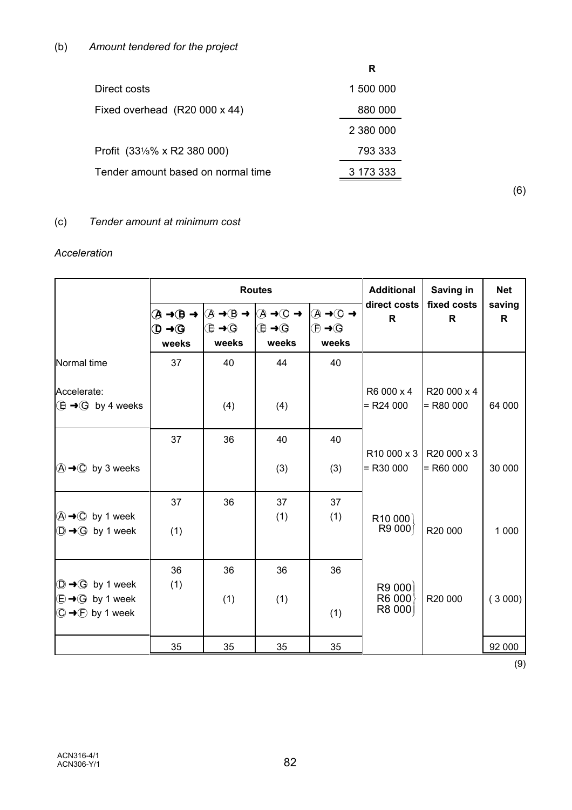|                                    | R         |
|------------------------------------|-----------|
| Direct costs                       | 1 500 000 |
| Fixed overhead (R20 000 x 44)      | 880 000   |
|                                    | 2 380 000 |
| Profit (331/3% x R2 380 000)       | 793 333   |
| Tender amount based on normal time | 3 173 333 |

(6)

# (c) *Tender amount at minimum cost*

## *Acceleration*

|                                                                                                                    |                                              |                                            | <b>Routes</b>                                                                                                                                                                                                           | <b>Additional</b>                                                         | Saving in                 | <b>Net</b>                 |                        |
|--------------------------------------------------------------------------------------------------------------------|----------------------------------------------|--------------------------------------------|-------------------------------------------------------------------------------------------------------------------------------------------------------------------------------------------------------------------------|---------------------------------------------------------------------------|---------------------------|----------------------------|------------------------|
|                                                                                                                    | $\mathbf{O} \rightarrow \mathbf{G}$<br>weeks | $\bigoplus \rightarrow \bigoplus$<br>weeks | $\textcircled{A} \rightarrow \textcircled{B} \rightarrow \textcircled{A} \rightarrow \textcircled{B} \rightarrow \textcircled{A} \rightarrow \textcircled{C} \rightarrow$<br>$\bigoplus \rightarrow \bigoplus$<br>weeks | $\circledA \rightarrow \circledA$<br>$\oplus \rightarrow \oplus$<br>weeks | direct costs<br>R         | fixed costs<br>R           | saving<br>$\mathsf{R}$ |
| Normal time                                                                                                        | 37                                           | 40                                         | 44                                                                                                                                                                                                                      | 40                                                                        |                           |                            |                        |
| Accelerate:<br>$\bigoplus \rightarrow \bigoplus$ by 4 weeks                                                        |                                              | (4)                                        | (4)                                                                                                                                                                                                                     |                                                                           | R6 000 x 4<br>$=$ R24 000 | R20 000 x 4<br>$=$ R80 000 | 64 000                 |
|                                                                                                                    | 37                                           | 36                                         | 40                                                                                                                                                                                                                      | 40                                                                        |                           | R10 000 x 3 R20 000 x 3    |                        |
| $\textcircled{A} \rightarrow \textcircled{C}$ by 3 weeks                                                           |                                              |                                            | (3)                                                                                                                                                                                                                     | (3)                                                                       | $=$ R <sub>30</sub> 000   | $=$ R60 000                | 30 000                 |
| $\textcircled{A} \rightarrow \textcircled{C}$ by 1 week<br>$\textcircled{D} \rightarrow \textcircled{G}$ by 1 week | 37<br>(1)                                    | 36                                         | 37<br>(1)                                                                                                                                                                                                               | 37<br>(1)                                                                 | R10000<br>R9000           | R20 000                    | 1 0 0 0                |
|                                                                                                                    |                                              |                                            |                                                                                                                                                                                                                         |                                                                           |                           |                            |                        |
| $\textcircled{1} \rightarrow \textcircled{G}$ by 1 week<br>$\textcircled{f} \rightarrow \textcircled{g}$ by 1 week | 36<br>(1)                                    | 36<br>(1)                                  | 36<br>(1)                                                                                                                                                                                                               | 36                                                                        | R9 000<br>R6000           | R20 000                    | (3000)                 |
| $\textcircled{C} \rightarrow \textcircled{F}$ by 1 week                                                            |                                              |                                            |                                                                                                                                                                                                                         | (1)                                                                       | R8 000                    |                            |                        |
|                                                                                                                    | 35                                           | 35                                         | 35                                                                                                                                                                                                                      | 35                                                                        |                           |                            | 92 000                 |

(9)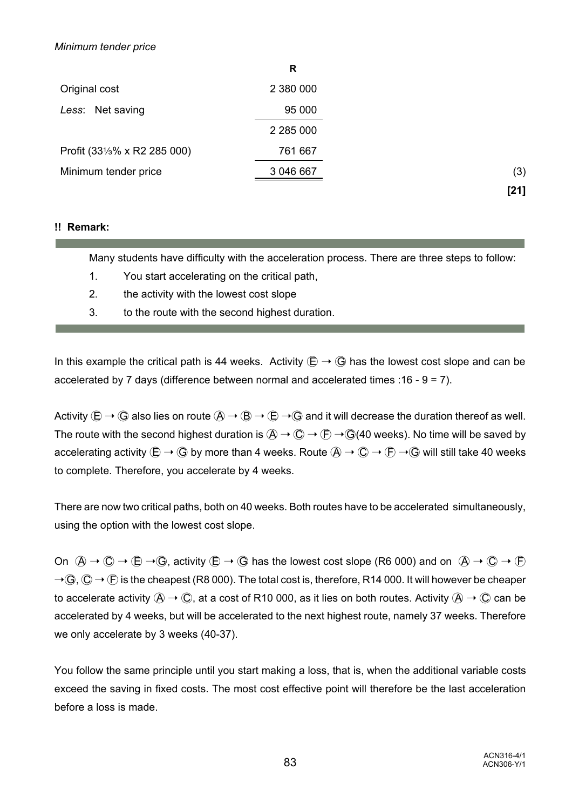### *Minimum tender price*

|                              | R             |
|------------------------------|---------------|
| Original cost                | 2 380 000     |
| Less: Net saving             | 95 000        |
|                              | 2 2 8 5 0 0 0 |
| Profit (331/3% x R2 285 000) | 761 667       |
| Minimum tender price         | 3 046 667     |
|                              |               |

**!! Remark:**

Many students have difficulty with the acceleration process. There are three steps to follow:

- 1. You start accelerating on the critical path,
- 2. the activity with the lowest cost slope
- 3. to the route with the second highest duration.

In this example the critical path is 44 weeks. Activity  $\mathbb{E} \to \mathbb{G}$  has the lowest cost slope and can be accelerated by 7 days (difference between normal and accelerated times :16 - 9 = 7).

Activity  $\overline{E} \to \overline{G}$  also lies on route  $\overline{A} \to \overline{B} \to \overline{E} \to \overline{G}$  and it will decrease the duration thereof as well. The route with the second highest duration is  $\overline{A} \to \overline{C} \to \overline{F} \to \overline{G}(40$  weeks). No time will be saved by accelerating activity  $\textcircled{E} \to \textcircled{G}$  by more than 4 weeks. Route  $\textcircled{A} \to \textcircled{C} \to \textcircled{F} \to \textcircled{G}$  will still take 40 weeks to complete. Therefore, you accelerate by 4 weeks.

There are now two critical paths, both on 40 weeks. Both routes have to be accelerated simultaneously, using the option with the lowest cost slope.

On  $\overline{(A \rightarrow C \rightarrow E \rightarrow G)}$ , activity  $\overline{(E \rightarrow G)}$  has the lowest cost slope (R6 000) and on  $\overline{(A \rightarrow C \rightarrow F)}$  $\rightarrow$  G,  $\odot$   $\rightarrow$   $\odot$  is the cheapest (R8 000). The total cost is, therefore, R14 000. It will however be cheaper to accelerate activity  $\hat{A} \to \hat{C}$ , at a cost of R10 000, as it lies on both routes. Activity  $\hat{A} \to \hat{C}$  can be accelerated by 4 weeks, but will be accelerated to the next highest route, namely 37 weeks. Therefore we only accelerate by 3 weeks (40-37).

You follow the same principle until you start making a loss, that is, when the additional variable costs exceed the saving in fixed costs. The most cost effective point will therefore be the last acceleration before a loss is made.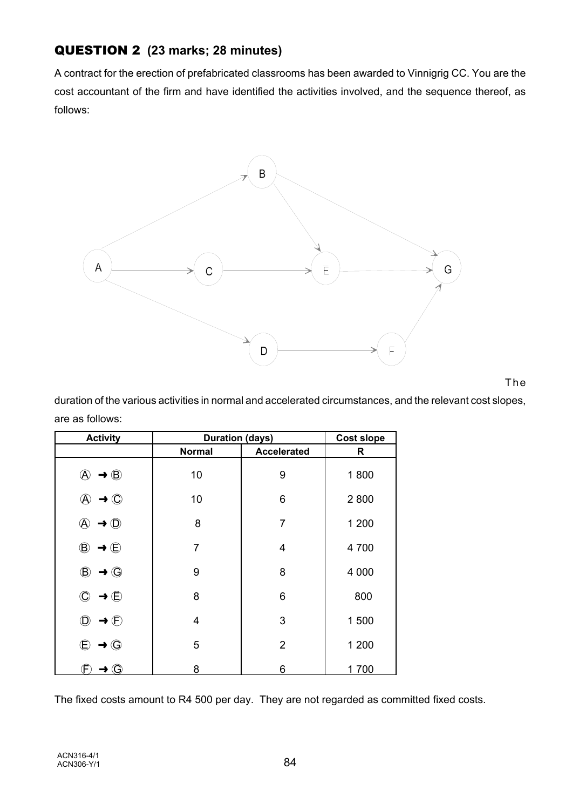# QUESTION 2 **(23 marks; 28 minutes)**

A contract for the erection of prefabricated classrooms has been awarded to Vinnigrig CC. You are the cost accountant of the firm and have identified the activities involved, and the sequence thereof, as follows:



#### The

duration of the various activities in normal and accelerated circumstances, and the relevant cost slopes, are as follows:

| <b>Activity</b>                         | <b>Duration (days)</b> | <b>Cost slope</b>  |         |
|-----------------------------------------|------------------------|--------------------|---------|
|                                         | <b>Normal</b>          | <b>Accelerated</b> | R       |
| $\circledA \rightarrow \circledB$       | 10                     | 9                  | 1800    |
| $\rightarrow$ $\odot$<br>$\mathfrak{P}$ | 10                     | 6                  | 2800    |
| $\circled{0}$<br>A<br>→                 | 8                      | 7                  | 1 200   |
| $^\circledR$<br>$\rightarrow \oplus$    | 7                      | 4                  | 4 700   |
| $\rightarrow$ $\odot$<br>$^\circledR$   | 9                      | 8                  | 4 0 0 0 |
| $\rightarrow \oplus$<br>$\mathbb{C}$    | 8                      | 6                  | 800     |
| $\rightarrow$ $\oplus$<br>$\circled{D}$ | 4                      | 3                  | 1500    |
| $\bigoplus$<br>$\rightarrow$ $\odot$    | 5                      | $\overline{2}$     | 1 200   |
| $\rightarrow$ $\odot$                   | 8                      | 6                  | 1700    |

The fixed costs amount to R4 500 per day. They are not regarded as committed fixed costs.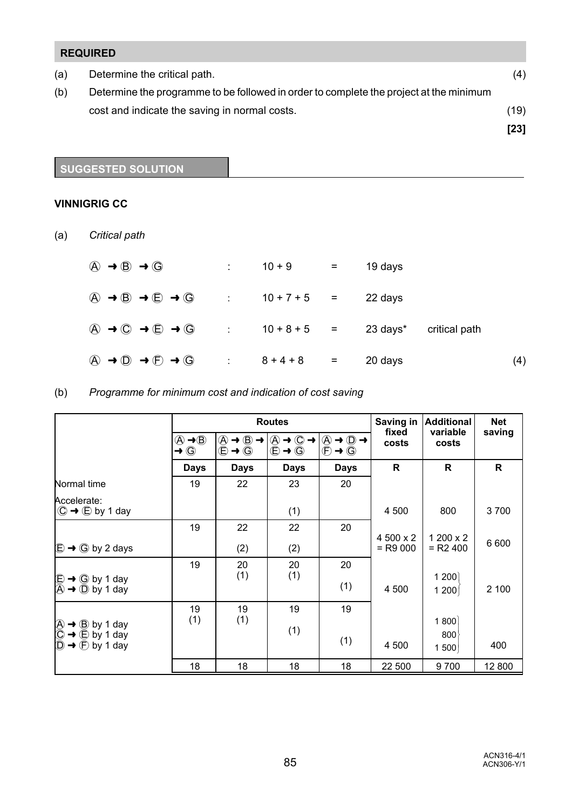|     | <b>REQUIRED</b>                                                                        |      |
|-----|----------------------------------------------------------------------------------------|------|
| (a) | Determine the critical path.                                                           | (4)  |
| (b) | Determine the programme to be followed in order to complete the project at the minimum |      |
|     | cost and indicate the saving in normal costs.                                          | (19) |
|     |                                                                                        | [23] |

**SUGGESTED SOLUTION**

### **VINNIGRIG CC**

(a) *Critical path*

| $\textcircled{A} \rightarrow \textcircled{B} \rightarrow \textcircled{G}$ |                                                                                                                  |                          | $10 + 9$ =    | 19 days  |               |     |
|---------------------------------------------------------------------------|------------------------------------------------------------------------------------------------------------------|--------------------------|---------------|----------|---------------|-----|
|                                                                           | $\textcircled{A} \rightarrow \textcircled{B} \rightarrow \textcircled{E} \rightarrow \textcircled{G}$ : 10+7+5 = |                          |               | 22 days  |               |     |
|                                                                           | $\textcircled{A} \rightarrow \textcircled{C} \rightarrow \textcircled{E} \rightarrow \textcircled{G}$ : 10+8+5 = |                          |               | 23 days* | critical path |     |
|                                                                           | $\textcircled{A} \rightarrow \textcircled{D} \rightarrow \textcircled{F} \rightarrow \textcircled{G}$            | $\sim 10^{11}$ m $^{-1}$ | $8 + 4 + 8 =$ | 20 days  |               | (4) |

# (b) *Programme for minimum cost and indication of cost saving*

|                                                                                                                                                                                                                              |                                                                        |                                                                                                                      | <b>Routes</b>                           | Saving in                                                                                                                                                    | <b>Additional</b>       | <b>Net</b>              |              |
|------------------------------------------------------------------------------------------------------------------------------------------------------------------------------------------------------------------------------|------------------------------------------------------------------------|----------------------------------------------------------------------------------------------------------------------|-----------------------------------------|--------------------------------------------------------------------------------------------------------------------------------------------------------------|-------------------------|-------------------------|--------------|
|                                                                                                                                                                                                                              | $\textcircled{A} \rightarrow \textcircled{B}$<br>$\rightarrow$ $\odot$ | $\textcircled{A} \rightarrow \textcircled{B} \rightarrow$<br>$\overline{\bigoplus} \rightarrow \overline{\bigoplus}$ | $\ddot{\odot} \rightarrow \ddot{\odot}$ | $\circledA \rightarrow \circled{ \rightarrow} \circled{ \rightarrow} \circled{ \rightarrow} \rightarrow$<br>$\overline{\mathbb{D}}$<br>$\rightarrow$ $\odot$ | fixed<br>costs          | variable<br>costs       | saving       |
|                                                                                                                                                                                                                              | <b>Days</b>                                                            | <b>Days</b>                                                                                                          | <b>Days</b>                             | <b>Days</b>                                                                                                                                                  | R                       | R                       | $\mathsf{R}$ |
| Normal time                                                                                                                                                                                                                  | 19                                                                     | 22                                                                                                                   | 23                                      | 20                                                                                                                                                           |                         |                         |              |
| Accelerate:<br>$\textcircled{C} \rightarrow \textcircled{E}$ by 1 day                                                                                                                                                        |                                                                        |                                                                                                                      | (1)                                     |                                                                                                                                                              | 4 500                   | 800                     | 3700         |
| $\bigoplus$ $\rightarrow$ $\bigoplus$ by 2 days                                                                                                                                                                              | 19                                                                     | 22<br>(2)                                                                                                            | 22<br>(2)                               | 20                                                                                                                                                           | 4 500 x 2<br>$=$ R9 000 | 1 200 x 2<br>$=$ R2 400 | 6 600        |
| $\bigoplus$ $\rightarrow$ G by 1 day<br>$\bigoplus$ $\rightarrow$ D by 1 day                                                                                                                                                 | 19                                                                     | 20<br>(1)                                                                                                            | 20<br>(1)                               | 20<br>(1)                                                                                                                                                    | 4 500                   | 1200<br>1200            | 2 100        |
| $\begin{array}{ccc}\n\bigoplus \rightarrow & \bigoplus \text{ by } 1 \text{ day} \\ \bigoplus \rightarrow & \bigoplus \text{ by } 1 \text{ day} \\ \bigoplus \rightarrow & \bigoplus \text{ by } 1 \text{ day}\n\end{array}$ | 19<br>(1)                                                              | 19<br>(1)                                                                                                            | 19<br>(1)                               | 19<br>(1)                                                                                                                                                    | 4 500                   | 1800<br>800<br>1500     | 400          |
|                                                                                                                                                                                                                              | 18                                                                     | 18                                                                                                                   | 18                                      | 18                                                                                                                                                           | 22 500                  | 9700                    | 12 800       |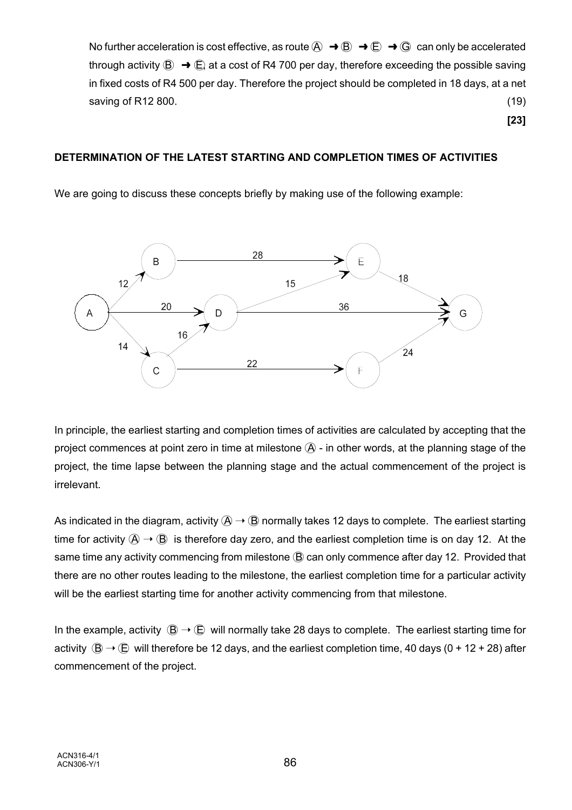No further acceleration is cost effective, as route  $\overline{A} \rightarrow \overline{B} \rightarrow \overline{E} \rightarrow \overline{G}$  can only be accelerated through activity  $\circledB \rightarrow \circledB$  at a cost of R4 700 per day, therefore exceeding the possible saving in fixed costs of R4 500 per day. Therefore the project should be completed in 18 days, at a net saving of R12 800. (19) (19) and the same of R12 800.

**[23]**

#### **DETERMINATION OF THE LATEST STARTING AND COMPLETION TIMES OF ACTIVITIES**

We are going to discuss these concepts briefly by making use of the following example:



In principle, the earliest starting and completion times of activities are calculated by accepting that the project commences at point zero in time at milestone  $A$  - in other words, at the planning stage of the project, the time lapse between the planning stage and the actual commencement of the project is irrelevant.

As indicated in the diagram, activity  $\mathcal{A} \to \mathcal{B}$  normally takes 12 days to complete. The earliest starting time for activity  $\hat{A} \rightarrow \hat{B}$  is therefore day zero, and the earliest completion time is on day 12. At the same time any activity commencing from milestone (B) can only commence after day 12. Provided that there are no other routes leading to the milestone, the earliest completion time for a particular activity will be the earliest starting time for another activity commencing from that milestone.

In the example, activity  $(B \to \overline{B})$  will normally take 28 days to complete. The earliest starting time for activity  $(B \rightarrow (E$  will therefore be 12 days, and the earliest completion time, 40 days (0 + 12 + 28) after commencement of the project.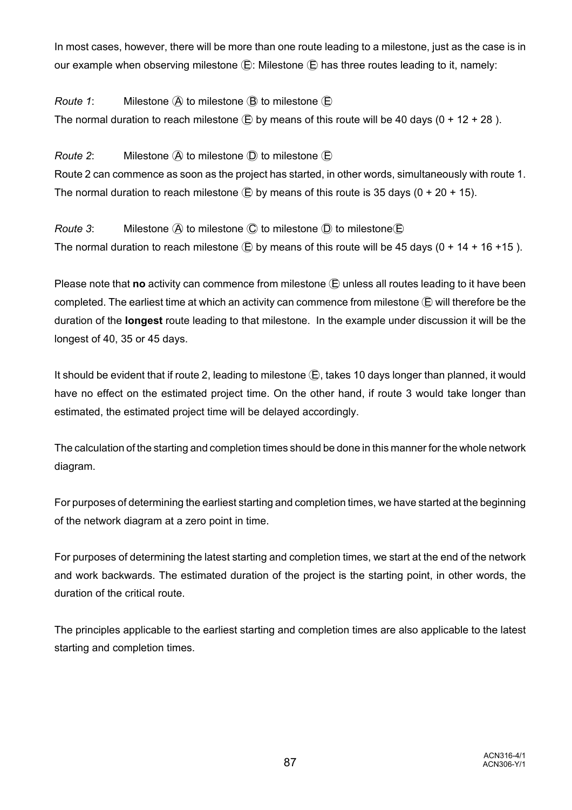In most cases, however, there will be more than one route leading to a milestone, just as the case is in our example when observing milestone  $\bigoplus$ : Milestone  $\bigoplus$  has three routes leading to it, namely:

*Route 1*: Milestone  $\widehat{A}$  to milestone  $\widehat{B}$  to milestone  $\widehat{E}$ The normal duration to reach milestone  $\bigoplus$  by means of this route will be 40 days (0 + 12 + 28).

*Route 2*: Milestone  $\widehat{A}$  to milestone  $\widehat{D}$  to milestone  $\widehat{E}$ 

Route 2 can commence as soon as the project has started, in other words, simultaneously with route 1. The normal duration to reach milestone  $\overline{E}$  by means of this route is 35 days (0 + 20 + 15).

*Route 3*: Milestone  $\widehat{A}$  to milestone  $\widehat{C}$  to milestone  $\widehat{D}$  to milestone  $\widehat{E}$ The normal duration to reach milestone  $\bigoplus$  by means of this route will be 45 days (0 + 14 + 16 +15).

Please note that **no** activity can commence from milestone  $\overline{E}$  unless all routes leading to it have been completed. The earliest time at which an activity can commence from milestone  $\bigoplus$  will therefore be the duration of the **longest** route leading to that milestone. In the example under discussion it will be the longest of 40, 35 or 45 days.

It should be evident that if route 2, leading to milestone  $\left(\mathbf{E}\right)$ , takes 10 days longer than planned, it would have no effect on the estimated project time. On the other hand, if route 3 would take longer than estimated, the estimated project time will be delayed accordingly.

The calculation of the starting and completion times should be done in this manner for the whole network diagram.

For purposes of determining the earliest starting and completion times, we have started at the beginning of the network diagram at a zero point in time.

For purposes of determining the latest starting and completion times, we start at the end of the network and work backwards. The estimated duration of the project is the starting point, in other words, the duration of the critical route.

The principles applicable to the earliest starting and completion times are also applicable to the latest starting and completion times.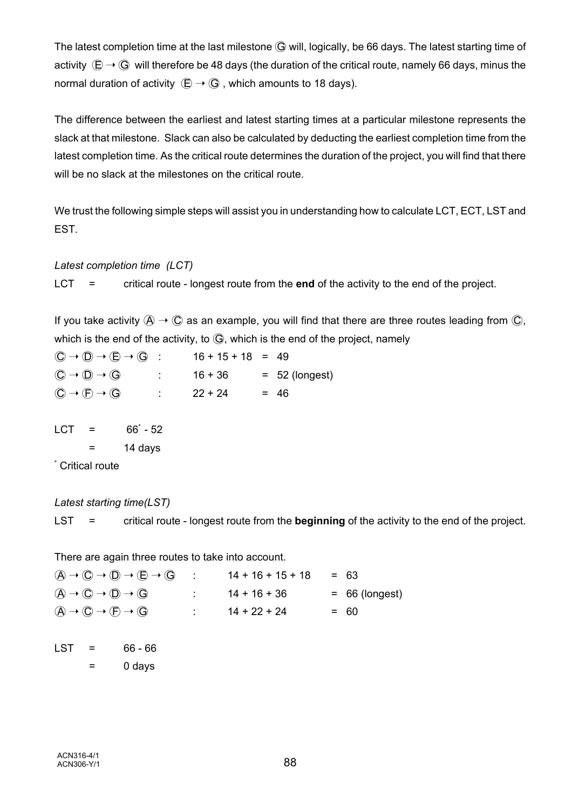The latest completion time at the last milestone  $G$  will, logically, be 66 days. The latest starting time of activity  $\overline{E} \to \overline{G}$  will therefore be 48 days (the duration of the critical route, namely 66 days, minus the normal duration of activity  $\overline{(E)} \rightarrow \overline{G}$ , which amounts to 18 days).

The difference between the earliest and latest starting times at a particular milestone represents the slack at that milestone. Slack can also be calculated by deducting the earliest completion time from the latest completion time. As the critical route determines the duration of the project, you will find that there will be no slack at the milestones on the critical route.

We trust the following simple steps will assist you in understanding how to calculate LCT, ECT, LST and EST.

### *Latest completion time (LCT)*

LCT = critical route - longest route from the **end** of the activity to the end of the project.

If you take activity  $A \rightarrow C$  as an example, you will find that there are three routes leading from  $C$ , which is the end of the activity, to  $\mathbb{G}$ , which is the end of the project, namely

 $\overline{(C)} \rightarrow \overline{(D)} \rightarrow \overline{(E)} \rightarrow \overline{(G)}$  : 16 + 15 + 18 = 49  $\overline{(C)} \to \overline{(D)} \to \overline{(G)}$  : 16 + 36 = 52 (longest)  $\textcircled{C} \rightarrow \textcircled{F} \rightarrow \textcircled{G}$  : 22 + 24 = 46

 $LCT = 66^{\circ} - 52$ 

 $=$  14 days

\* Critical route

### *Latest starting time(LST)*

LST = critical route - longest route from the **beginning** of the activity to the end of the project.

There are again three routes to take into account.

 $(A \rightarrow C) \rightarrow (D) \rightarrow (E \rightarrow (G)$  :  $14 + 16 + 15 + 18 = 63$  $(A \rightarrow C \rightarrow D \rightarrow G$  :  $14 + 16 + 36$  = 66 (longest)  $(A \rightarrow C) \rightarrow (F) \rightarrow (G)$  :  $14 + 22 + 24$  = 60

 $LST = 66 - 66$  $=$  0 days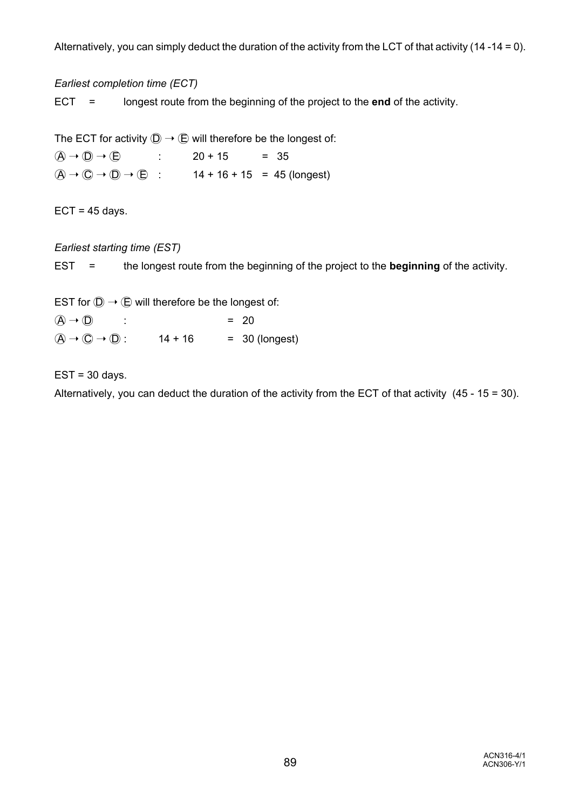Alternatively, you can simply deduct the duration of the activity from the LCT of that activity (14 -14 = 0).

*Earliest completion time (ECT)*

ECT = longest route from the beginning of the project to the **end** of the activity.

The ECT for activity  $\mathbb{D} \to \mathbb{E}$  will therefore be the longest of:  $(A \rightarrow \textcircled{1}) \rightarrow (\textcircled{2})$  : 20 + 15 = 35  $(\widehat{A} \rightarrow \widehat{C}) \rightarrow (\widehat{D} \rightarrow \widehat{C})$  : 14 + 16 + 15 = 45 (longest)

 $ECT = 45 days.$ 

*Earliest starting time (EST)*

EST = the longest route from the beginning of the project to the **beginning** of the activity.

EST for  $\mathbb{D} \to \mathbb{D}$  will therefore be the longest of:

 $(\overline{A}) \rightarrow (\overline{D})$  : = 20  $(A \rightarrow \mathbb{O} \rightarrow \mathbb{O})$ : 14 + 16 = 30 (longest)

 $EST = 30$  days.

Alternatively, you can deduct the duration of the activity from the ECT of that activity (45 - 15 = 30).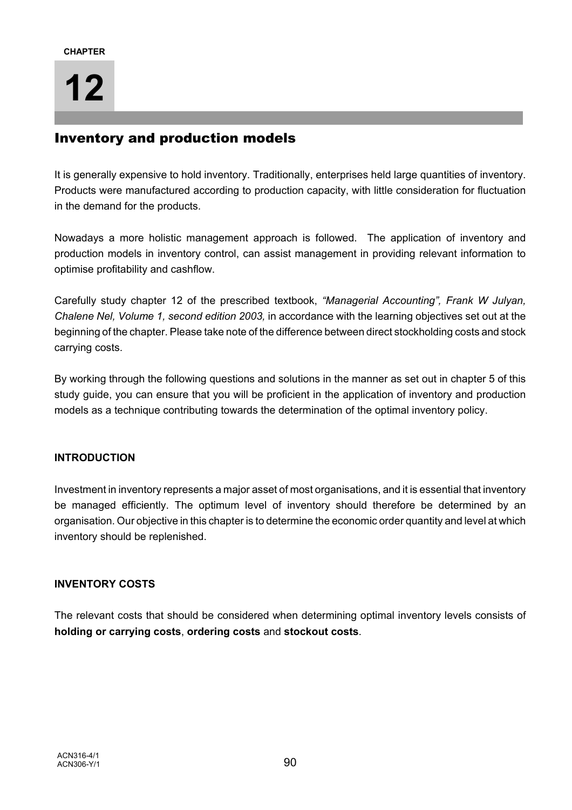# Inventory and production models

It is generally expensive to hold inventory. Traditionally, enterprises held large quantities of inventory. Products were manufactured according to production capacity, with little consideration for fluctuation in the demand for the products.

Nowadays a more holistic management approach is followed. The application of inventory and production models in inventory control, can assist management in providing relevant information to optimise profitability and cashflow.

Carefully study chapter 12 of the prescribed textbook, *"Managerial Accounting", Frank W Julyan, Chalene Nel, Volume 1, second edition 2003,* in accordance with the learning objectives set out at the beginning of the chapter. Please take note of the difference between direct stockholding costs and stock carrying costs.

By working through the following questions and solutions in the manner as set out in chapter 5 of this study guide, you can ensure that you will be proficient in the application of inventory and production models as a technique contributing towards the determination of the optimal inventory policy.

## **INTRODUCTION**

Investment in inventory represents a major asset of most organisations, and it is essential that inventory be managed efficiently. The optimum level of inventory should therefore be determined by an organisation. Our objective in this chapter is to determine the economic order quantity and level at which inventory should be replenished.

## **INVENTORY COSTS**

The relevant costs that should be considered when determining optimal inventory levels consists of **holding or carrying costs**, **ordering costs** and **stockout costs**.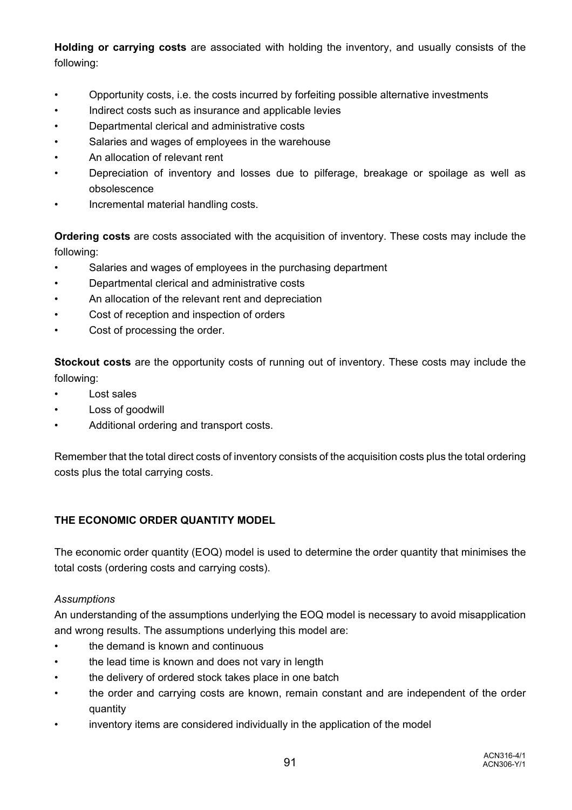**Holding or carrying costs** are associated with holding the inventory, and usually consists of the following:

- Opportunity costs, i.e. the costs incurred by forfeiting possible alternative investments
- Indirect costs such as insurance and applicable levies
- Departmental clerical and administrative costs
- Salaries and wages of employees in the warehouse
- An allocation of relevant rent
- Depreciation of inventory and losses due to pilferage, breakage or spoilage as well as obsolescence
- Incremental material handling costs.

**Ordering costs** are costs associated with the acquisition of inventory. These costs may include the following:

- Salaries and wages of employees in the purchasing department
- Departmental clerical and administrative costs
- An allocation of the relevant rent and depreciation
- Cost of reception and inspection of orders
- Cost of processing the order.

**Stockout costs** are the opportunity costs of running out of inventory. These costs may include the following:

- Lost sales
- Loss of goodwill
- Additional ordering and transport costs.

Remember that the total direct costs of inventory consists of the acquisition costs plus the total ordering costs plus the total carrying costs.

### **THE ECONOMIC ORDER QUANTITY MODEL**

The economic order quantity (EOQ) model is used to determine the order quantity that minimises the total costs (ordering costs and carrying costs).

### *Assumptions*

An understanding of the assumptions underlying the EOQ model is necessary to avoid misapplication and wrong results. The assumptions underlying this model are:

- the demand is known and continuous
- the lead time is known and does not vary in length
- the delivery of ordered stock takes place in one batch
- the order and carrying costs are known, remain constant and are independent of the order quantity
- inventory items are considered individually in the application of the model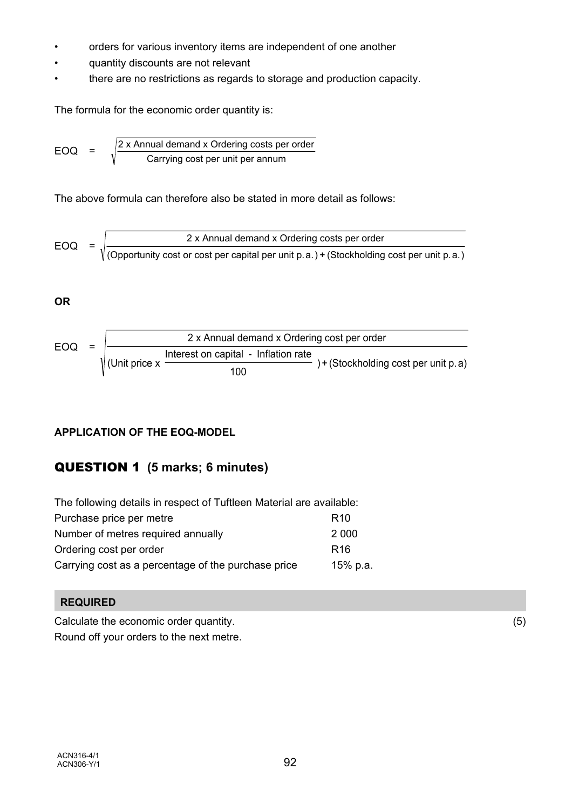- orders for various inventory items are independent of one another
- quantity discounts are not relevant
- there are no restrictions as regards to storage and production capacity.

The formula for the economic order quantity is:

EOQ = 
$$
\sqrt{\frac{2 \times \text{Annual demand} \times \text{Ordering costs per order}}{\text{Carrying cost per unit per annum}}}
$$

The above formula can therefore also be stated in more detail as follows:

$$
EOQ = \sqrt{\frac{2 \times \text{Annual demand} \times \text{Ordering costs per order}}{(\text{Opportunity cost or cost per capital per unit p.a.}) + (\text{Stockholding cost per unit p.a.})}
$$

# **OR**



# **APPLICATION OF THE EOQ-MODEL**

# QUESTION 1 **(5 marks; 6 minutes)**

| The following details in respect of Tuftleen Material are available: |                 |  |  |  |  |
|----------------------------------------------------------------------|-----------------|--|--|--|--|
| Purchase price per metre                                             | R <sub>10</sub> |  |  |  |  |
| Number of metres required annually                                   | 2 0 0 0         |  |  |  |  |
| Ordering cost per order                                              | R <sub>16</sub> |  |  |  |  |
| Carrying cost as a percentage of the purchase price                  | 15% p.a.        |  |  |  |  |

## **REQUIRED**

Calculate the economic order quantity. (5)

Round off your orders to the next metre.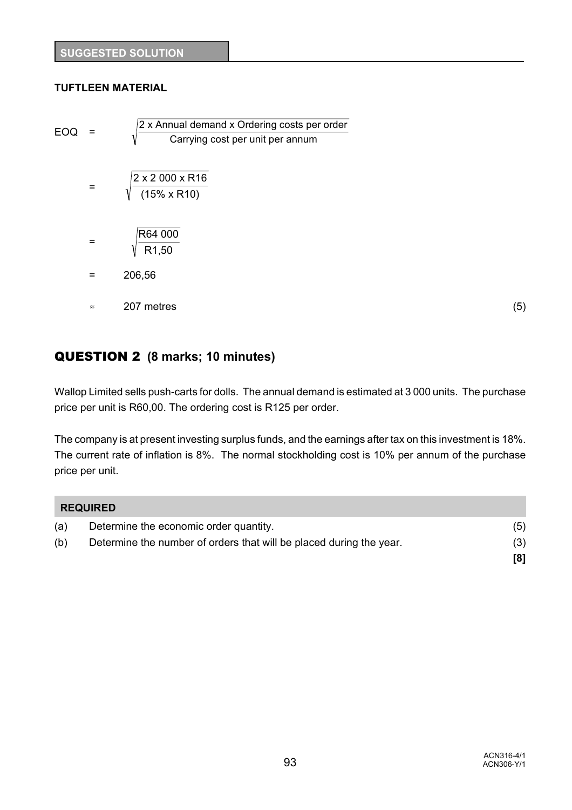## **TUFTLEEN MATERIAL**

| EOQ | $=$       | 2 x Annual demand x Ordering costs per order |     |
|-----|-----------|----------------------------------------------|-----|
|     |           | Carrying cost per unit per annum<br>V        |     |
|     | $=$       | 2 x 2 000 x R16<br>$(15\% \times R10)$       |     |
|     | $=$       | R64 000<br>R <sub>1</sub> ,50                |     |
|     | $=$       | 206,56                                       |     |
|     | $\approx$ | 207 metres                                   | (5) |

# QUESTION 2 **(8 marks; 10 minutes)**

Wallop Limited sells push-carts for dolls. The annual demand is estimated at 3 000 units. The purchase price per unit is R60,00. The ordering cost is R125 per order.

The company is at present investing surplus funds, and the earnings after tax on this investment is 18%. The current rate of inflation is 8%. The normal stockholding cost is 10% per annum of the purchase price per unit.

|     | <b>REQUIRED</b>                                                     |     |
|-----|---------------------------------------------------------------------|-----|
| (a) | Determine the economic order quantity.                              | (5) |
| (b) | Determine the number of orders that will be placed during the year. | (3) |
|     |                                                                     |     |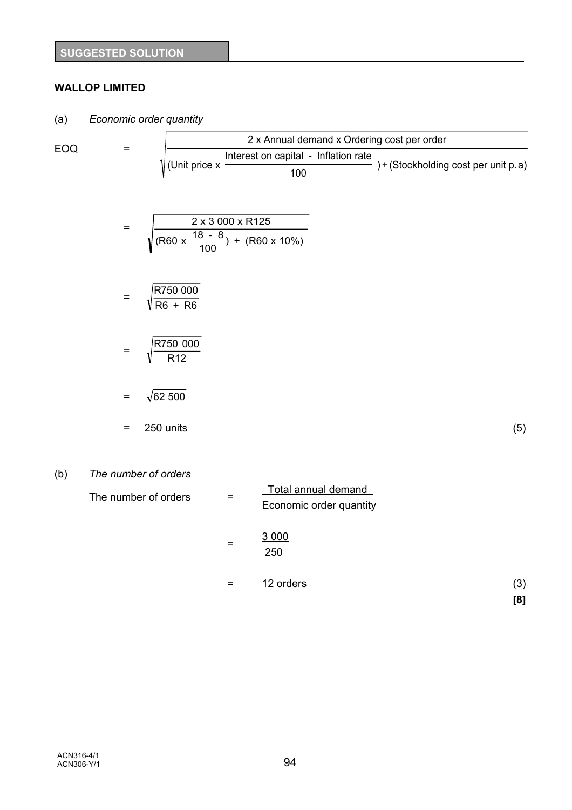# **WALLOP LIMITED**

(a) *Economic order quantity*

EOQ = 
$$
\frac{2 \times \text{Annual demand} \times \text{Ordering cost per order}}{\sqrt{\text{(Unit price x }\frac{\text{Interest on capital - Inflation rate}}{100}}) + (\text{Stockholding cost per unit p.a})}
$$

$$
= \sqrt{\frac{2 \times 3000 \times R125}{(R60 \times \frac{18 - 8}{100}) + (R60 \times 10\%)}}
$$

$$
= \sqrt{\frac{\text{R750 000}}{\text{R6 + R6}}}
$$

$$
= \sqrt{\frac{\text{R750 000}}{\text{R12}}}
$$

 $=$   $\sqrt{62\,500}$ 

$$
= 250 \text{ units} \tag{5}
$$

# (b) *The number of orders*

| The number of orders | $=$ | Total annual demand<br>Economic order quantity |     |
|----------------------|-----|------------------------------------------------|-----|
|                      | $=$ | 3 0 0 0<br>250                                 |     |
|                      | =   | 12 orders                                      | (3) |
|                      |     |                                                | [8] |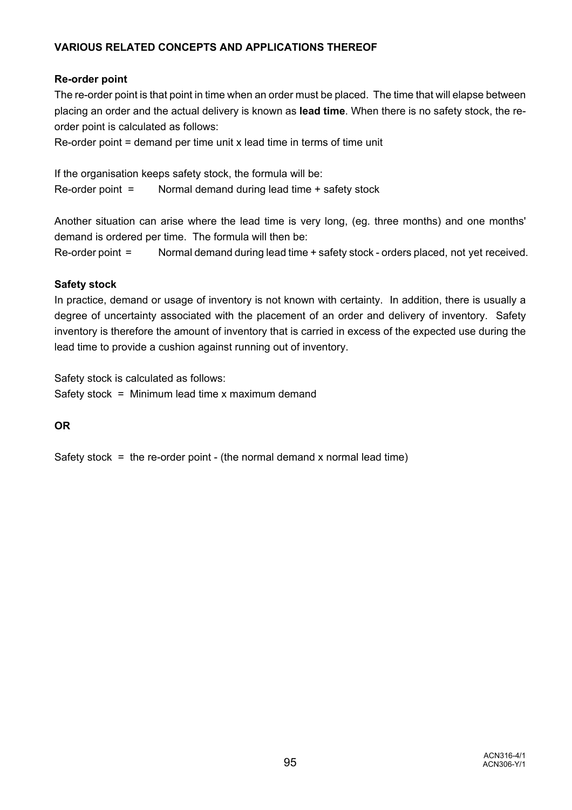# **VARIOUS RELATED CONCEPTS AND APPLICATIONS THEREOF**

# **Re-order point**

The re-order point is that point in time when an order must be placed. The time that will elapse between placing an order and the actual delivery is known as **lead time**. When there is no safety stock, the reorder point is calculated as follows:

 $Re$ -order point = demand per time unit x lead time in terms of time unit

If the organisation keeps safety stock, the formula will be: Re-order point = Normal demand during lead time + safety stock

Another situation can arise where the lead time is very long, (eg. three months) and one months' demand is ordered per time. The formula will then be:

Re-order point = Normal demand during lead time + safety stock - orders placed, not yet received.

## **Safety stock**

In practice, demand or usage of inventory is not known with certainty. In addition, there is usually a degree of uncertainty associated with the placement of an order and delivery of inventory. Safety inventory is therefore the amount of inventory that is carried in excess of the expected use during the lead time to provide a cushion against running out of inventory.

Safety stock is calculated as follows: Safety stock = Minimum lead time  $x$  maximum demand

**OR**

Safety stock = the re-order point - (the normal demand x normal lead time)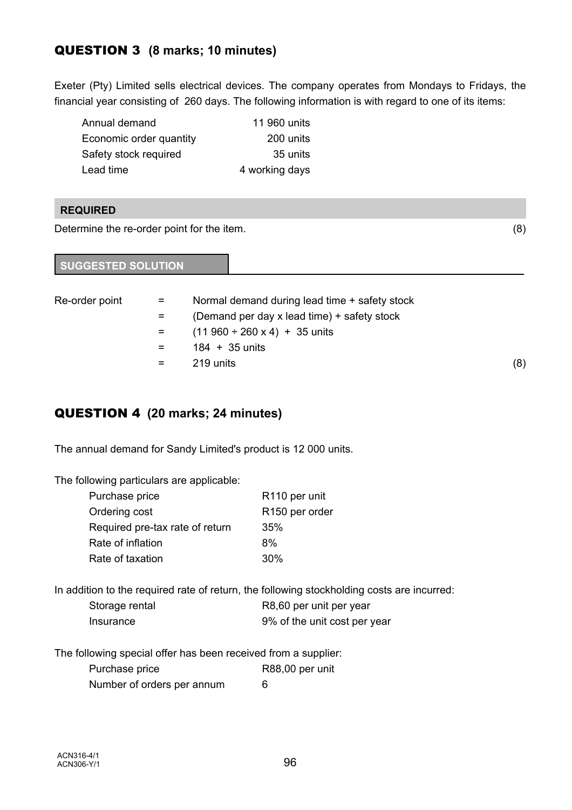# QUESTION 3 **(8 marks; 10 minutes)**

Exeter (Pty) Limited sells electrical devices. The company operates from Mondays to Fridays, the financial year consisting of 260 days. The following information is with regard to one of its items:

| Annual demand           | 11 960 units   |
|-------------------------|----------------|
| Economic order quantity | 200 units      |
| Safety stock required   | 35 units       |
| Lead time               | 4 working days |

# **REQUIRED**

Determine the re-order point for the item. (8)

| <b>SUGGESTED SOLUTION</b> |  |
|---------------------------|--|
|                           |  |

| Re-order point | $=$                 | Normal demand during lead time + safety stock |     |
|----------------|---------------------|-----------------------------------------------|-----|
|                | $=$                 | (Demand per day x lead time) + safety stock   |     |
|                | $\equiv$ 1000 $\pm$ | $(11960 \div 260 \times 4) + 35$ units        |     |
|                | $=$                 | $184 + 35$ units                              |     |
|                | $=$                 | 219 units                                     | (8) |

# QUESTION 4 **(20 marks; 24 minutes)**

The annual demand for Sandy Limited's product is 12 000 units.

The following particulars are applicable:

| R <sub>110</sub> per unit |
|---------------------------|
| R150 per order            |
| 35%                       |
| 8%                        |
| 30%                       |
|                           |

In addition to the required rate of return, the following stockholding costs are incurred:

| Storage rental | R8,60 per unit per year      |
|----------------|------------------------------|
| Insurance      | 9% of the unit cost per year |

The following special offer has been received from a supplier:

| Purchase price             | R88,00 per unit |
|----------------------------|-----------------|
| Number of orders per annum | 6               |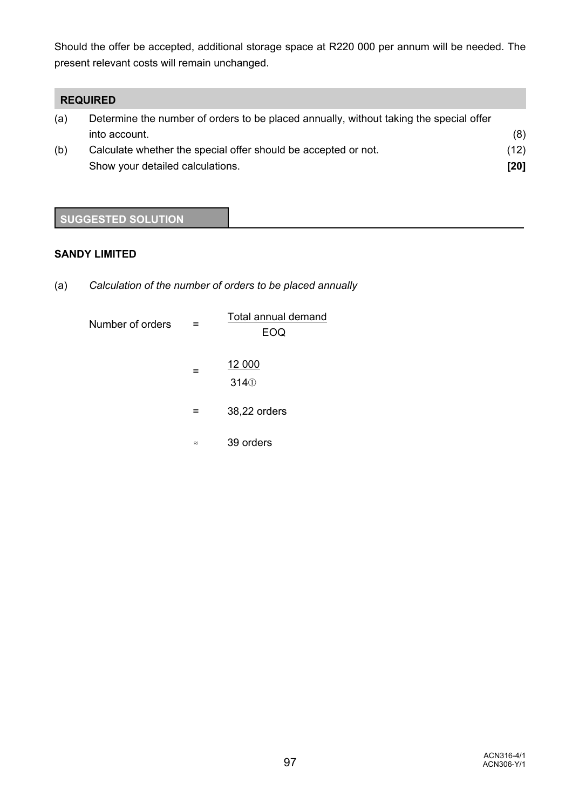Should the offer be accepted, additional storage space at R220 000 per annum will be needed. The present relevant costs will remain unchanged.

# **REQUIRED**

| (a) | Determine the number of orders to be placed annually, without taking the special offer |      |  |  |
|-----|----------------------------------------------------------------------------------------|------|--|--|
|     | into account.                                                                          | (8)  |  |  |
| (b) | Calculate whether the special offer should be accepted or not.                         | (12) |  |  |
|     | Show your detailed calculations.                                                       | [20] |  |  |

# **SUGGESTED SOLUTION**

## **SANDY LIMITED**

(a) *Calculation of the number of orders to be placed annually*

| Number of orders |           | Total annual demand<br>EOQ |  |
|------------------|-----------|----------------------------|--|
|                  |           | 12 000<br>3140             |  |
|                  |           | 38,22 orders               |  |
|                  | $\approx$ | 39 orders                  |  |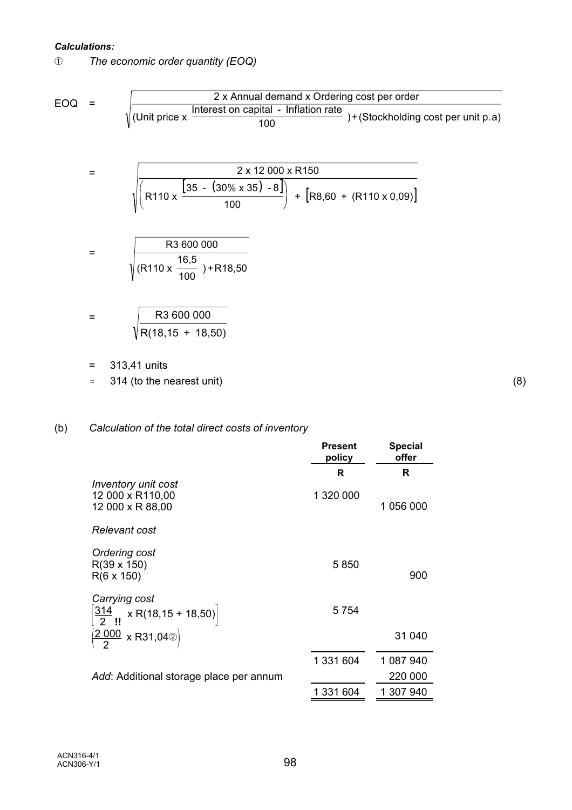#### *Calculations:*

â *The economic order quantity (EOQ)*

EOQ = 
$$
\sqrt{\frac{2 \times \text{Annual demand} \times \text{Ordering cost per order}}{(\text{Unit price} \times \frac{\text{Interest on capital - Inflation rate}}{100}) + (\text{Stockholding cost per unit p.a})}}
$$
  
= 
$$
\sqrt{\frac{2 \times 12\,000 \times \text{R150}}{(\text{R110} \times \frac{[35 - (30\% \times 35) - 8]}{100})} + [\text{R8,60} + (\text{R110} \times 0,09)]}
$$
  
= 
$$
\sqrt{\frac{\text{R3 600 000}}{(\text{R110} \times \frac{16,5}{100}) + \text{R18,50}}}
$$
  
= 
$$
\sqrt{\frac{\text{R3 600 000}}{\text{R(18,15 + 18,50)}}}
$$
  
= 313,41 units  

$$
\approx 314 \text{ (to the nearest unit)}
$$
 (8)

# (b) *Calculation of the total direct costs of inventory*

|                                                                  | <b>Present</b><br>policy | <b>Special</b><br>offer |
|------------------------------------------------------------------|--------------------------|-------------------------|
|                                                                  | R                        | R                       |
| Inventory unit cost<br>12 000 x R110,00<br>12 000 x R 88,00      | 1 320 000                | 1 056 000               |
| Relevant cost                                                    |                          |                         |
| Ordering cost<br>$R(39 \times 150)$<br>$R(6 \times 150)$         | 5850                     | 900                     |
| Carrying cost<br>$\left[\frac{314}{2}\right]$ x R(18,15 + 18,50) | 5 7 5 4                  |                         |
| $\frac{(2000)}{2}$ x R31,042)                                    |                          | 31 040                  |
|                                                                  | 1 331 604                | 1 087 940               |
| Add: Additional storage place per annum                          |                          | 220 000                 |
|                                                                  | 1 331 604                | 1 307 940               |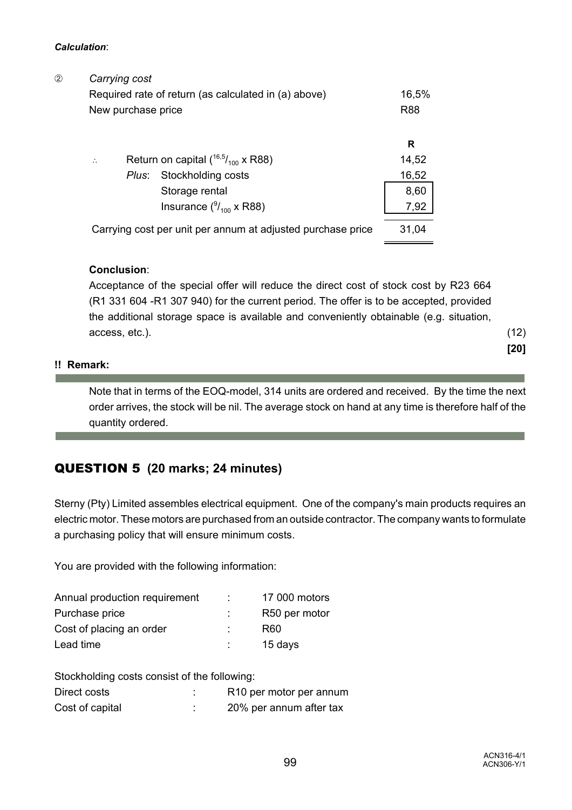#### *Calculation*:

| ② | Carrying cost                                               |            |
|---|-------------------------------------------------------------|------------|
|   | Required rate of return (as calculated in (a) above)        | 16,5%      |
|   | New purchase price                                          | <b>R88</b> |
|   |                                                             |            |
|   |                                                             | R          |
|   | Return on capital $(^{16,5}/_{100}$ x R88)<br>$\therefore$  | 14,52      |
|   | Plus: Stockholding costs                                    | 16,52      |
|   | Storage rental                                              | 8,60       |
|   | Insurance $(^9/_{100} \times R88)$                          | 7,92       |
|   | Carrying cost per unit per annum at adjusted purchase price | 31,04      |
|   |                                                             |            |

# **Conclusion**:

Acceptance of the special offer will reduce the direct cost of stock cost by R23 664 (R1 331 604 -R1 307 940) for the current period. The offer is to be accepted, provided the additional storage space is available and conveniently obtainable (e.g. situation, access, etc.). (12)

Note that in terms of the EOQ-model, 314 units are ordered and received. By the time the next order arrives, the stock will be nil. The average stock on hand at any time is therefore half of the quantity ordered.

# QUESTION 5 **(20 marks; 24 minutes)**

Sterny (Pty) Limited assembles electrical equipment. One of the company's main products requires an electric motor. These motors are purchased from an outside contractor. The company wants to formulate a purchasing policy that will ensure minimum costs.

You are provided with the following information:

| Annual production requirement | 17 000 motors |
|-------------------------------|---------------|
| Purchase price                | R50 per motor |
| Cost of placing an order      | R60           |
| Lead time                     | 15 days       |

Stockholding costs consist of the following:

| Direct costs    | R <sub>10</sub> per motor per annum |
|-----------------|-------------------------------------|
| Cost of capital | 20% per annum after tax             |

**[20]**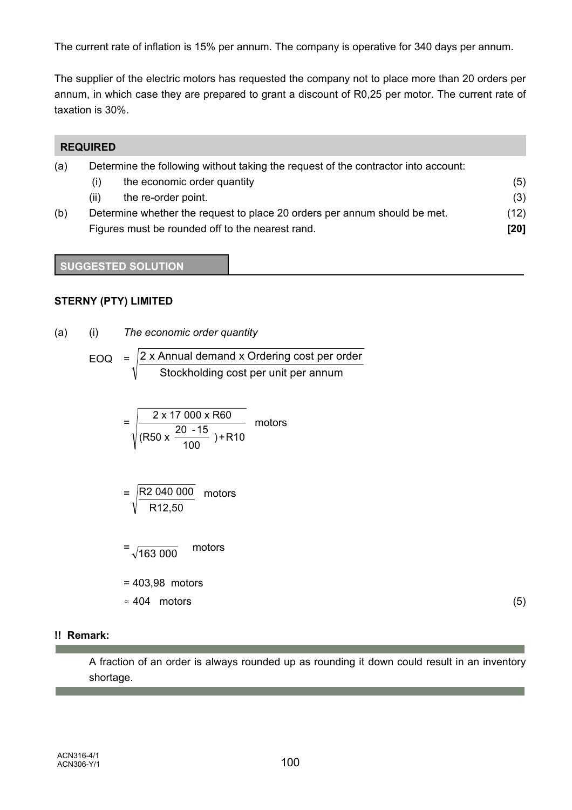The current rate of inflation is 15% per annum. The company is operative for 340 days per annum.

The supplier of the electric motors has requested the company not to place more than 20 orders per annum, in which case they are prepared to grant a discount of R0,25 per motor. The current rate of taxation is 30%.

|     | <b>REQUIRED</b> |                                                                                    |      |
|-----|-----------------|------------------------------------------------------------------------------------|------|
| (a) |                 | Determine the following without taking the request of the contractor into account: |      |
|     | (i)             | the economic order quantity                                                        | (5)  |
|     | (ii)            | the re-order point.                                                                | (3)  |
| (b) |                 | Determine whether the request to place 20 orders per annum should be met.          | (12) |
|     |                 | Figures must be rounded off to the nearest rand.                                   | [20] |

### **SUGGESTED SOLUTION**

### **STERNY (PTY) LIMITED**

(a) (i) *The economic order quantity*

EOQ = 
$$
\sqrt{\frac{2 \times \text{Annual demand} \times \text{Ordering cost per order}}{\text{Stockholding cost per unit per annum}}}
$$

$$
= \sqrt{\frac{2 \times 17000 \times R60}{(R50 \times \frac{20 - 15}{100}) + R10}}
$$
 motors

$$
= \sqrt{\frac{R2\ 040\ 000}{R12,50}}
$$
 motors

$$
= \sqrt{163\ 000} \qquad \text{motors}
$$

- = 403,98 motors
- $\approx 404$  motors (5)

### **!! Remark:**

п

A fraction of an order is always rounded up as rounding it down could result in an inventory shortage.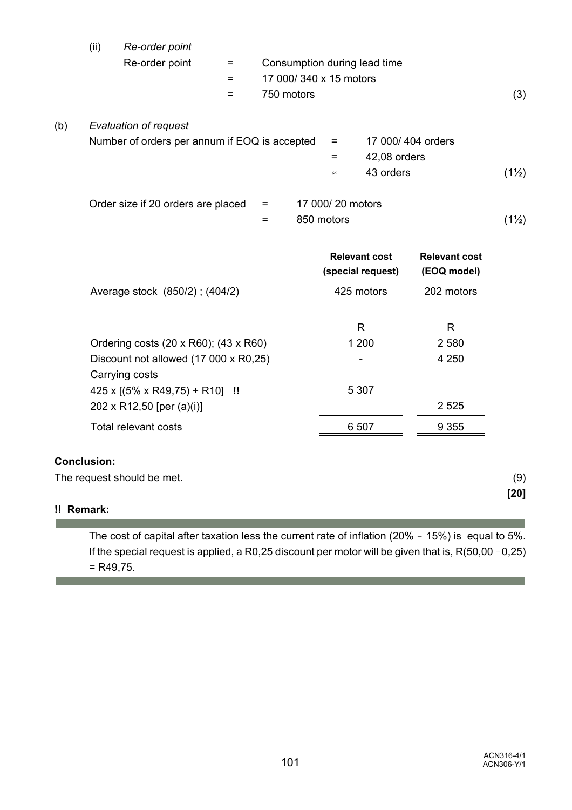|            | (ii)                                  | Re-order point                                          |     |                              |                  |                      |                      |                  |
|------------|---------------------------------------|---------------------------------------------------------|-----|------------------------------|------------------|----------------------|----------------------|------------------|
|            |                                       | Re-order point                                          | $=$ | Consumption during lead time |                  |                      |                      |                  |
|            |                                       |                                                         | $=$ | 17 000/340 x 15 motors       |                  |                      |                      |                  |
|            |                                       |                                                         | $=$ | 750 motors                   |                  |                      |                      | (3)              |
| (b)        |                                       | <b>Evaluation of request</b>                            |     |                              |                  |                      |                      |                  |
|            |                                       | Number of orders per annum if EOQ is accepted           |     | $=$                          |                  | 17 000/404 orders    |                      |                  |
|            |                                       |                                                         |     |                              | $=$              | 42,08 orders         |                      |                  |
|            |                                       |                                                         |     |                              | $\approx$        | 43 orders            |                      | $(1\frac{1}{2})$ |
|            |                                       | Order size if 20 orders are placed                      |     | $=$                          | 17 000/20 motors |                      |                      |                  |
|            |                                       |                                                         |     | $=$                          | 850 motors       |                      |                      | $(1\frac{1}{2})$ |
|            |                                       |                                                         |     |                              |                  | <b>Relevant cost</b> | <b>Relevant cost</b> |                  |
|            |                                       |                                                         |     |                              |                  | (special request)    | (EOQ model)          |                  |
|            |                                       | Average stock (850/2); (404/2)                          |     |                              |                  | 425 motors           | 202 motors           |                  |
|            |                                       |                                                         |     |                              |                  | R.                   | R.                   |                  |
|            | Ordering costs (20 x R60); (43 x R60) |                                                         |     |                              |                  | 1 200                | 2 5 8 0              |                  |
|            |                                       | Discount not allowed (17 000 x R0,25)<br>Carrying costs |     |                              |                  |                      | 4 2 5 0              |                  |
|            |                                       | $425 \times [(5\% \times R49,75) + R10]$ !!             |     |                              |                  | 5 3 0 7              |                      |                  |
|            |                                       | 202 x R12,50 [per (a)(i)]                               |     |                              |                  |                      | 2 5 2 5              |                  |
|            |                                       | <b>Total relevant costs</b>                             |     |                              |                  | 6 507                | 9 3 5 5              |                  |
|            | <b>Conclusion:</b>                    |                                                         |     |                              |                  |                      |                      |                  |
|            |                                       | The request should be met.                              |     |                              |                  |                      |                      | (9)              |
| !! Remark: |                                       |                                                         |     |                              |                  |                      |                      | [20]             |

The cost of capital after taxation less the current rate of inflation (20% - 15%) is equal to 5%. If the special request is applied, a R0,25 discount per motor will be given that is,  $R(50,00 - 0,25)$ = R49,75.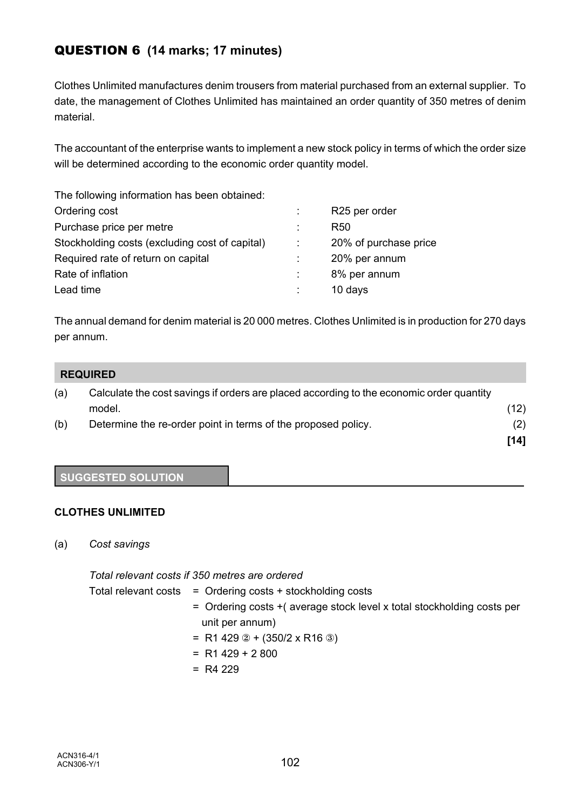# QUESTION 6 **(14 marks; 17 minutes)**

Clothes Unlimited manufactures denim trousers from material purchased from an external supplier. To date, the management of Clothes Unlimited has maintained an order quantity of 350 metres of denim material.

The accountant of the enterprise wants to implement a new stock policy in terms of which the order size will be determined according to the economic order quantity model.

| R <sub>25</sub> per order |
|---------------------------|
| R <sub>50</sub>           |
| 20% of purchase price     |
| 20% per annum             |
| 8% per annum              |
| 10 days                   |
|                           |

The annual demand for denim material is 20 000 metres. Clothes Unlimited is in production for 270 days per annum.

| <b>REQUIRED</b> |
|-----------------|
|-----------------|

| (a) | Calculate the cost savings if orders are placed according to the economic order quantity |      |
|-----|------------------------------------------------------------------------------------------|------|
|     | model.                                                                                   | (12) |
| (b) | Determine the re-order point in terms of the proposed policy.                            | (2)  |
|     |                                                                                          | [14] |

## **SUGGESTED SOLUTION**

## **CLOTHES UNLIMITED**

(a) *Cost savings*

*Total relevant costs if 350 metres are ordered*

Total relevant costs = Ordering costs + stockholding costs = Ordering costs +( average stock level x total stockholding costs per unit per annum)  $= R1 429 \text{ } \textcircled{2} + (350/2 \text{ x } R16 \text{ } \textcircled{3})$  $= R1 429 + 2 800$  $= R4 229$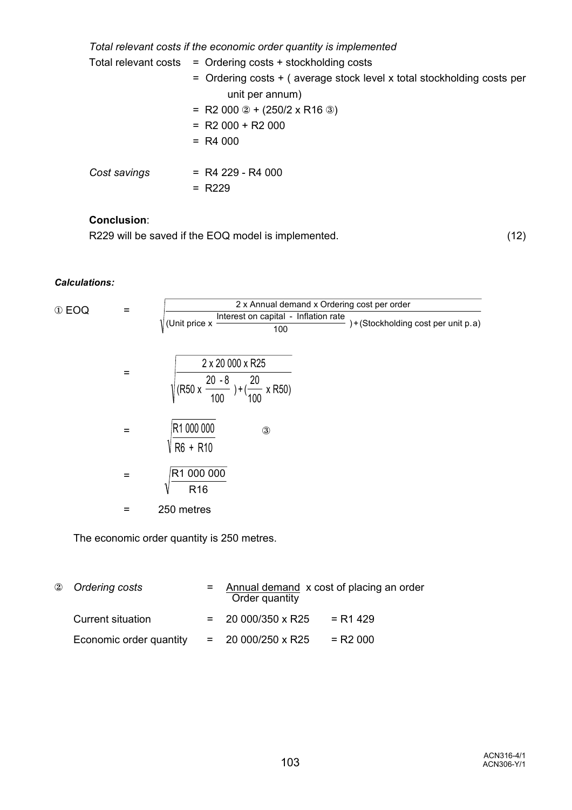*Total relevant costs if the economic order quantity is implemented*

|              | Total relevant costs $=$ Ordering costs + stockholding costs           |
|--------------|------------------------------------------------------------------------|
|              | = Ordering costs + (average stock level x total stockholding costs per |
|              | unit per annum)                                                        |
|              | = R2 000 $\textcircled{2}$ + (250/2 x R16 $\textcircled{3}$ )          |
|              | $= R2000 + R2000$                                                      |
|              | $= R4000$                                                              |
|              |                                                                        |
| Cost savings | $=$ R4 229 - R4 000                                                    |
|              | $= R229$                                                               |

# **Conclusion**:

R229 will be saved if the EOQ model is implemented. (12)

#### *Calculations:*

$$
\textcircled{1} \text{EOQ} = \sqrt{\frac{2 \times \text{Annual demand} \times \text{Ordering cost per order}}{(\text{Unit price} \times \frac{\text{Interest on capital - Inflation rate}}{100}) + (\text{Stockholding cost per unit p.a})}}
$$
\n
$$
= \sqrt{\frac{2 \times 20000 \times R25}{(R50 \times \frac{20 - 8}{100}) + (\frac{20}{100} \times R50)}}
$$
\n
$$
= \sqrt{\frac{R1000000}{R60} + R10}
$$
\n
$$
= \sqrt{\frac{R1000000}{R16}}
$$
\n
$$
= 250 \text{ metres}
$$

The economic order quantity is 250 metres.

| 2 Ordering costs        | Order quantity           | $=$ Annual demand $\times$ cost of placing an order |  |
|-------------------------|--------------------------|-----------------------------------------------------|--|
| Current situation       | $= 20000/350 \times R25$ | = R1 429                                            |  |
| Economic order quantity | $= 20000/250 \times R25$ | $=$ R2 000                                          |  |